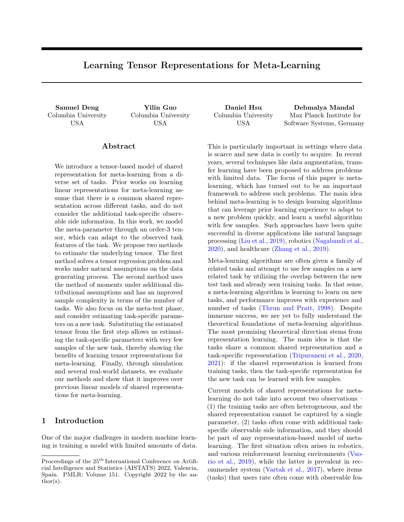# Learning Tensor Representations for Meta-Learning

Columbia University USA

Columbia University USA

Abstract

We introduce a tensor-based model of shared representation for meta-learning from a diverse set of tasks. Prior works on learning linear representations for meta-learning assume that there is a common shared representation across different tasks, and do not consider the additional task-specific observable side information. In this work, we model the meta-parameter through an order-3 tensor, which can adapt to the observed task features of the task. We propose two methods to estimate the underlying tensor. The first method solves a tensor regression problem and works under natural assumptions on the data generating process. The second method uses the method of moments under additional distributional assumptions and has an improved sample complexity in terms of the number of tasks. We also focus on the meta-test phase, and consider estimating task-specific parameters on a new task. Substituting the estimated tensor from the first step allows us estimating the task-specific parameters with very few samples of the new task, thereby showing the benefits of learning tensor representations for meta-learning. Finally, through simulation and several real-world datasets, we evaluate our methods and show that it improves over previous linear models of shared representations for meta-learning.

# 1 Introduction

One of the major challenges in modern machine learning is training a model with limited amounts of data. Columbia University USA

Samuel Deng Yilin Guo Daniel Hsu Debmalya Mandal Max Planck Institute for Software Systems, Germany

> This is particularly important in settings where data is scarce and new data is costly to acquire. In recent years, several techniques like data augmentation, transfer learning have been proposed to address problems with limited data. The focus of this paper is metalearning, which has turned out to be an important framework to address such problems. The main idea behind meta-learning is to design learning algorithms that can leverage prior learning experience to adapt to a new problem quickly, and learn a useful algorithm with few samples. Such approaches have been quite successful in diverse applications like natural language processing [\(Liu et al.,](#page-9-0) [2019\)](#page-9-0), robotics [\(Nagabandi et al.,](#page-9-1) [2020\)](#page-9-1), and healthcare [\(Zhang et al.,](#page-10-0) [2019\)](#page-10-0).

> Meta-learning algorithms are often given a family of related tasks and attempt to use few samples on a new related task by utilizing the overlap between the new test task and already seen training tasks. In that sense, a meta-learning algorithm is learning to learn on new tasks, and performance improves with experience and number of tasks [\(Thrun and Pratt,](#page-9-2) [1998\)](#page-9-2). Despite immense success, we are yet to fully understand the theoretical foundations of meta-learning algorithms. The most promising theoretical direction stems from representation learning. The main idea is that the tasks share a common shared representation and a task-specific representation [\(Tripuraneni et al.,](#page-9-3) [2020,](#page-9-3) [2021\)](#page-9-4): if the shared representation is learned from training tasks, then the task-specific representation for the new task can be learned with few samples.

> Current models of shared representations for metalearning do not take into account two observations – (1) the training tasks are often heterogeneous, and the shared representation cannot be captured by a single parameter, (2) tasks often come with additional taskspecific observable side information, and they should be part of any representation-based model of metalearning. The first situation often arises in robotics, and various reinforcement learning environments [\(Vuo](#page-9-5)[rio et al.,](#page-9-5) [2019\)](#page-9-5), while the latter is prevalent in recommender system [\(Vartak et al.,](#page-9-6) [2017\)](#page-9-6), where items (tasks) that users rate often come with observable fea-

Proceedings of the  $25<sup>th</sup>$  International Conference on Artificial Intelligence and Statistics (AISTATS) 2022, Valencia, Spain. PMLR: Volume 151. Copyright 2022 by the author(s).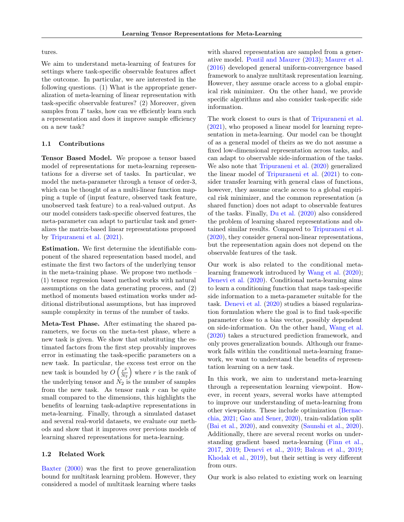tures.

We aim to understand meta-learning of features for settings where task-specific observable features affect the outcome. In particular, we are interested in the following questions. (1) What is the appropriate generalization of meta-learning of linear representation with task-specific observable features? (2) Moreover, given samples from  $T$  tasks, how can we efficiently learn such a representation and does it improve sample efficiency on a new task?

### 1.1 Contributions

Tensor Based Model. We propose a tensor based model of representations for meta-learning representations for a diverse set of tasks. In particular, we model the meta-parameter through a tensor of order-3, which can be thought of as a multi-linear function mapping a tuple of (input feature, observed task feature, unobserved task feature) to a real-valued output. As our model considers task-specific observed features, the meta-parameter can adapt to particular task and generalizes the matrix-based linear representations proposed by [Tripuraneni et al.](#page-9-4) [\(2021\)](#page-9-4).

Estimation. We first determine the identifiable component of the shared representation based model, and estimate the first two factors of the underlying tensor in the meta-training phase. We propose two methods – (1) tensor regression based method works with natural assumptions on the data generating process, and (2) method of moments based estimation works under additional distributional assumptions, but has improved sample complexity in terms of the number of tasks.

Meta-Test Phase. After estimating the shared parameters, we focus on the meta-test phase, where a new task is given. We show that substituting the estimated factors from the first step provably improves error in estimating the task-specific parameters on a new task. In particular, the excess test error on the new task is bounded by  $O\left(\frac{r^2}{N_c}\right)$  $\frac{r^2}{N_2}$  where r is the rank of the underlying tensor and  $N_2$  is the number of samples from the new task. As tensor rank  $r$  can be quite small compared to the dimensions, this highlights the benefits of learning task-adaptive representations in meta-learning. Finally, through a simulated dataset and several real-world datasets, we evaluate our methods and show that it improves over previous models of learning shared representations for meta-learning.

### 1.2 Related Work

[Baxter](#page-8-0) [\(2000\)](#page-8-0) was the first to prove generalization bound for multitask learning problem. However, they considered a model of multitask learning where tasks with shared representation are sampled from a generative model. [Pontil and Maurer](#page-9-7) [\(2013\)](#page-9-7); [Maurer et al.](#page-9-8) [\(2016\)](#page-9-8) developed general uniform-convergence based framework to analyze multitask representation learning. However, they assume oracle access to a global empirical risk minimizer. On the other hand, we provide specific algorithms and also consider task-specific side information.

The work closest to ours is that of [Tripuraneni et al.](#page-9-4) [\(2021\)](#page-9-4), who proposed a linear model for learning representation in meta-learning. Our model can be thought of as a general model of theirs as we do not assume a fixed low-dimensional representation across tasks, and can adapt to observable side-information of the tasks. We also note that [Tripuraneni et al.](#page-9-3) [\(2020\)](#page-9-3) generalized the linear model of [Tripuraneni et al.](#page-9-4) [\(2021\)](#page-9-4) to consider transfer learning with general class of functions, however, they assume oracle access to a global empirical risk minimizer, and the common representation (a shared function) does not adapt to observable features of the tasks. Finally, [Du et al.](#page-8-1) [\(2020\)](#page-8-1) also considered the problem of learning shared representations and obtained similar results. Compared to [Tripuraneni et al.](#page-9-3) [\(2020\)](#page-9-3), they consider general non-linear representations, but the representation again does not depend on the observable features of the task.

Our work is also related to the conditional metalearning framework introduced by [Wang et al.](#page-10-1) [\(2020\)](#page-10-1); [Denevi et al.](#page-8-2) [\(2020\)](#page-8-2). Conditional meta-learning aims to learn a conditioning function that maps task-specific side information to a meta-parameter suitable for the task. [Denevi et al.](#page-8-2) [\(2020\)](#page-8-2) studies a biased regularization formulation where the goal is to find task-specific parameter close to a bias vector, possibly dependent on side-information. On the other hand, [Wang et al.](#page-10-1) [\(2020\)](#page-10-1) takes a structured prediction framework, and only proves generalization bounds. Although our framework falls within the conditional meta-learning framework, we want to understand the benefits of representation learning on a new task.

In this work, we aim to understand meta-learning through a representation learning viewpoint. However, in recent years, several works have attempted to improve our understanding of meta-learning from other viewpoints. These include optimization [\(Bernac](#page-8-3)[chia,](#page-8-3) [2021;](#page-8-3) [Gao and Sener,](#page-9-9) [2020\)](#page-9-9), train-validation split [\(Bai et al.,](#page-8-4) [2020\)](#page-8-4), and convexity [\(Saunshi et al.,](#page-9-10) [2020\)](#page-9-10). Additionally, there are several recent works on understanding gradient based meta-learning [\(Finn et al.,](#page-9-11) [2017,](#page-9-11) [2019;](#page-9-12) [Denevi et al.,](#page-8-5) [2019;](#page-8-5) [Balcan et al.,](#page-8-6) [2019;](#page-8-6) [Khodak et al.,](#page-9-13) [2019\)](#page-9-13), but their setting is very different from ours.

Our work is also related to existing work on learning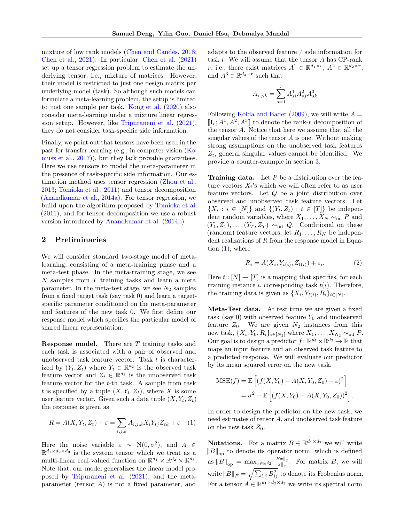mixture of low rank models [\(Chen and Candès,](#page-8-7) [2018;](#page-8-7) [Chen et al.,](#page-8-8) [2021\)](#page-8-8). In particular, [Chen et al.](#page-8-8) [\(2021\)](#page-8-8) set up a tensor regression problem to estimate the underlying tensor, i.e., mixture of matrices. However, their model is restricted to just one design matrix per underlying model (task). So although such models can formulate a meta-learning problem, the setup is limited to just one sample per task. [Kong et al.](#page-9-14) [\(2020\)](#page-9-14) also consider meta-learning under a mixture linear regression setup. However, like [Tripuraneni et al.](#page-9-4) [\(2021\)](#page-9-4), they do not consider task-specific side information.

Finally, we point out that tensors have been used in the past for transfer learning (e.g., in computer vision [\(Ko](#page-9-15)[niusz et al.,](#page-9-15) [2017\)](#page-9-15)), but they lack provable guarantees. Here we use tensors to model the meta-parameter in the presence of task-specific side information. Our estimation method uses tensor regression [\(Zhou et al.,](#page-10-2) [2013;](#page-10-2) [Tomioka et al.,](#page-9-16) [2011\)](#page-9-16) and tensor decomposition [\(Anandkumar et al.,](#page-8-9) [2014a\)](#page-8-9). For tensor regression, we build upon the algorithm proposed by [Tomioka et al.](#page-9-16) [\(2011\)](#page-9-16), and for tensor decomposition we use a robust version introduced by [Anandkumar et al.](#page-8-10) [\(2014b\)](#page-8-10).

# 2 Preliminaries

We will consider standard two-stage model of metalearning, consisting of a meta-training phase and a meta-test phase. In the meta-training stage, we see  $N$  samples from  $T$  training tasks and learn a meta parameter. In the meta-test stage, we see  $N_2$  samples from a fixed target task (say task 0) and learn a targetspecific parameter conditioned on the meta-parameter and features of the new task 0. We first define our response model which specifies the particular model of shared linear representation.

**Response model.** There are  $T$  training tasks and each task is associated with a pair of observed and unobserved task feature vector. Task  $t$  is characterized by  $(Y_t, Z_t)$  where  $Y_t \in \mathbb{R}^{d_2}$  is the observed task feature vector and  $Z_t \in \mathbb{R}^{d_3}$  is the unobserved task feature vector for the t-th task. A sample from task t is specified by a tuple  $(X, Y_t, Z_t)$ , where X is some user feature vector. Given such a data tuple  $(X, Y_t, Z_t)$ the response is given as

$$
R = A(X, Y_t, Z_t) + \varepsilon = \sum_{i,j,k} A_{i,j,k} X_i Y_{tj} Z_{tk} + \varepsilon \quad (1)
$$

Here the noise variable  $\varepsilon \sim N(0, \sigma^2)$ , and  $A \in$  $\mathbb{R}^{d_1 \times d_2 \times d_3}$  is the system tensor which we treat as a multi-linear real-valued function on  $\mathbb{R}^{d_1} \times \mathbb{R}^{d_2} \times \mathbb{R}^{d_3}$ . Note that, our model generalizes the linear model proposed by [Tripuraneni et al.](#page-9-4) [\(2021\)](#page-9-4), and the metaparameter (tensor A) is not a fixed parameter, and

adapts to the observed feature / side information for task t. We will assume that the tensor A has CP-rank r, i.e., there exist matrices  $A^1 \in \mathbb{R}^{d_1 \times r}$ ,  $A^2 \in \mathbb{R}^{d_2 \times r}$ , and  $A^3 \in \mathbb{R}^{d_3 \times r}$  such that

$$
A_{i,j,k} = \sum_{s=1}^{r} A_{si}^{1} A_{sj}^{2} A_{sk}^{3}
$$

Following [Kolda and Bader](#page-9-17) [\(2009\)](#page-9-17), we will write  $A =$  $\llbracket I_r; A^1, A^2, A^3 \rrbracket$  to denote the rank-r decomposition of<br>the tonsor A. Notice that here we assume that all the the tensor A. Notice that here we assume that all the singular values of the tensor  $A$  is one. Without making strong assumptions on the unobserved task features  $Z_t$ , general singular values cannot be identified. We provide a counter-example in section [3.](#page-3-0)

**Training data.** Let  $P$  be a distribution over the feature vectors  $X_i$ 's which we will often refer to as user feature vectors. Let Q be a joint distribution over observed and unobserved task feature vectors. Let  $\{X_i : i \in [N]\}\$  and  $\{(Y_t, Z_t) : t \in [T]\}\$  be independent random variables, where  $X_1, \ldots, X_N \sim_{\text{iid}} P$  and  $(Y_1, Z_1), \ldots, (Y_T, Z_T) \sim_{\text{iid}} Q$ . Conditional on these (random) feature vectors, let  $R_1, \ldots, R_N$  be independent realizations of  $R$  from the response model in Equation  $(1)$ , where

<span id="page-2-1"></span>
$$
R_i = A(X_i, Y_{t(i)}, Z_{t(i)}) + \varepsilon_i.
$$
\n<sup>(2)</sup>

Here  $t : [N] \to [T]$  is a mapping that specifies, for each training instance i, corresponding task  $t(i)$ . Therefore, the training data is given as  $\{X_i, Y_{t(i)}, R_i\}_{i \in [N]}.$ 

Meta-Test data. At test time we are given a fixed task (say 0) with observed feature  $Y_0$  and unobserved feature  $Z_0$ . We are given  $N_2$  instances from this new task,  $\{X_i, Y_0, R_i\}_{i \in [N_2]}$  where  $X_1, \ldots, X_{N_2} \sim_{\text{iid}} P$ . Our goal is to design a predictor  $f: \mathbb{R}^{d_1} \times \mathbb{R}^{d_2} \to \mathbb{R}$  that maps an input feature and an observed task feature to a predicted response. We will evaluate our predictor by its mean squared error on the new task.

$$
MSE(f) = \mathbb{E}\left[\left(f(X, Y_0) - A(X, Y_0, Z_0) - \varepsilon\right)^2\right]
$$
  
=  $\sigma^2 + \mathbb{E}\left[\left(f(X, Y_0) - A(X, Y_0, Z_0)\right)^2\right].$ 

<span id="page-2-0"></span>In order to design the predictor on the new task, we need estimates of tensor A, and unobserved task feature on the new task  $Z_0$ .

**Notations.** For a matrix  $B \in \mathbb{R}^{d_1 \times d_2}$  we will write  $||B||_{op}$  to denote its operator norm, which is defined as  $||B||_{op} = \max_{x \in \mathbb{R}^{d_2}} \frac{||Bx||_2}{||x||_2}$  $\frac{Bx_{\parallel_2}}{\|x\|_2}$ . For matrix B, we will write  $||B||_F = \sqrt{\sum_{i,j} B_{ij}^2}$  to denote its Frobenius norm. For a tensor  $A \in \mathbb{R}^{d_1 \times d_2 \times d_3}$  we write its spectral norm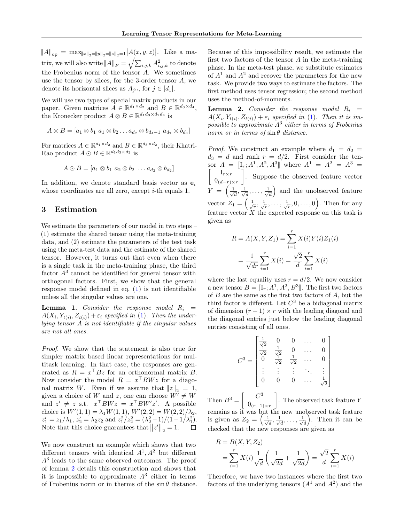$||A||_{op} = \max_{||x||_2 = ||y||_2 = ||z||_2 = 1} |A(x, y, z)|$ . Like a matrix, we will also write  $||A||_F = \sqrt{\sum_{i,j,k} A_{i,j,k}^2}$  to denote the Frobenius norm of the tensor A. We sometimes use the tensor by slices, for the 3-order tensor  $A$ , we denote its horizontal slices as  $A_{i::}$ , for  $j \in [d_1]$ .

We will use two types of special matrix products in our paper. Given matrices  $A \in \mathbb{R}^{d_1 \times d_2}$  and  $B \in \mathbb{R}^{d_3 \times d_4}$ , the Kronecker product  $A \otimes B \in \mathbb{R}^{d_1 d_3 \times d_2 d_4}$  is

$$
A \otimes B = [a_1 \otimes b_1 \ a_1 \otimes b_2 \ldots a_{d_2} \otimes b_{d_4-1} \ a_{d_2} \otimes b_{d_4}]
$$

For matrices  $A \in \mathbb{R}^{d_1 \times d_2}$  and  $B \in \mathbb{R}^{d_3 \times d_2}$ , their Khatri-Rao product  $A \odot B \in \mathbb{R}^{d_1 d_3 \times d_2}$  is

$$
A \odot B = [a_1 \otimes b_1 \ a_2 \otimes b_2 \ \ldots \ a_{d_2} \otimes b_{d_2}]
$$

In addition, we denote standard basis vector as  $e_i$ whose coordinates are all zero, except *i*-th equals 1.

## <span id="page-3-0"></span>3 Estimation

We estimate the parameters of our model in two steps – (1) estimate the shared tensor using the meta-training data, and (2) estimate the parameters of the test task using the meta-test data and the estimate of the shared tensor. However, it turns out that even when there is a single task in the meta-training phase, the third factor  $A<sup>3</sup>$  cannot be identified for general tensor with orthogonal factors. First, we show that the general response model defined in eq. [\(1\)](#page-2-0) is not identifiable unless all the singular values are one.

**Lemma 1.** Consider the response model  $R_i$  =  $A(X_i, Y_{t(i)}, Z_{t(i)}) + \varepsilon_i$  specified in [\(1\)](#page-2-0). Then the underlying tensor A is not identifiable if the singular values are not all ones.

Proof. We show that the statement is also true for simpler matrix based linear representations for multitask learning. In that case, the responses are generated as  $R = x^{\top} Bz$  for an orthonormal matrix B. Now consider the model  $R = x^{\top}BWz$  for a diagonal matrix W. Even if we assume that  $||z||_2 = 1$ , given a choice of W and z, one can choose  $W^{\dagger} \neq W$ and  $z' \neq z$  s.t.  $x^\top B W z = x^\top B W' z'$ . A possible choice is  $W'(1, 1) = \lambda_1 W(1, 1), W'(2, 2) = W(2, 2)/\lambda_2$ ,  $z'_1 = z_1/\lambda_1, z'_2 = \lambda_2 z_2 \text{ and } z_1^2/z_2^2 = (\lambda_2^2 - 1)/(1 - 1/\lambda_1^2).$ Note that this choice guarantees that  $||z'||_2 = 1$ .

We now construct an example which shows that two different tensors with identical  $A^1, A^2$  but different A<sup>3</sup> leads to the same observed outcomes. The proof of lemma [2](#page-3-1) details this construction and shows that it is impossible to approximate  $A<sup>3</sup>$  either in terms of Frobenius norm or in therms of the  $\sin \theta$  distance. Because of this impossibility result, we estimate the first two factors of the tensor  $A$  in the meta-training phase. In the meta-test phase, we substitute estimates of  $A<sup>1</sup>$  and  $A<sup>2</sup>$  and recover the parameters for the new task. We provide two ways to estimate the factors. The first method uses tensor regression; the second method uses the method-of-moments.

<span id="page-3-1"></span>**Lemma 2.** Consider the response model  $R_i$  =  $A(X_i, Y_{t(i)}, Z_{t(i)}) + \varepsilon_i$  specified in [\(1\)](#page-2-0). Then it is impossible to approximate  $A^3$  either in terms of Frobenius norm or in terms of  $\sin \theta$  distance.

*Proof.* We construct an example where  $d_1 = d_2$  $d_3 = d$  and rank  $r = d/2$ . First consider the tensor  $A = [[1, A^1, A^2, A^3]]$  where  $A^1 = A^2 = A^3 =$  $\begin{bmatrix} &I_{r\times r}\end{bmatrix}$  $0_{(d-r)\times r}$  . Suppose the observed feature vector  $Y = \left(\frac{1}{\sqrt{2}}\right)$  $\frac{1}{d}, \frac{1}{\sqrt{2}}$  $\frac{1}{d},\ldots,\frac{1}{\sqrt{d}}$  $\left( \frac{1}{d} \right)$  and the unobserved feature vector  $Z_1 = \left(\frac{1}{\sqrt{r}}, \frac{1}{\sqrt{r}}, \ldots, \frac{1}{\sqrt{r}}, 0, \ldots, 0\right)$ . Then for any feature vector  $X$  the expected response on this task is given as

$$
R = A(X, Y, Z_1) = \sum_{i=1}^{r} X(i)Y(i)Z_1(i)
$$

$$
= \frac{1}{\sqrt{dr}} \sum_{i=1}^{r} X(i) = \frac{\sqrt{2}}{d} \sum_{i=1}^{r} X(i)
$$

where the last equality uses  $r = d/2$ . We now consider a new tensor  $B = [\mathbb{I}_r; A^1, A^2, B^3]$ . The first two factors<br>of B are the same as the first two factors of A but the of  $B$  are the same as the first two factors of  $A$ , but the third factor is different. Let  $C^3$  be a bidiagonal matrix of dimension  $(r + 1) \times r$  with the leading diagonal and the diagonal entries just below the leading diagonal entries consisting of all ones.

$$
C^{3} = \begin{bmatrix} \frac{1}{\sqrt{2}} & 0 & 0 & \dots & 0\\ \frac{1}{\sqrt{2}} & \frac{1}{\sqrt{2}} & 0 & \dots & 0\\ 0 & \frac{1}{\sqrt{2}} & \frac{1}{\sqrt{2}} & \dots & 0\\ \vdots & \vdots & \vdots & \ddots & \vdots\\ 0 & 0 & 0 & \dots & \frac{1}{\sqrt{2}} \end{bmatrix}
$$

Then  $B^3 = \begin{bmatrix} C^3 \\ 0 \end{bmatrix}$  $0_{(r-1)\times r}$ . The observed task feature  $Y$ remains as it was but the new unobserved task feature is given as  $Z_2 = \left(\frac{1}{\sqrt{2}}\right)$  $\overline{\overline{d}}$  ,  $\frac{1}{\sqrt{ }}$  $\frac{1}{d},\ldots,\frac{1}{\sqrt{d}}$  $\frac{1}{d}$ . Then it can be checked that the new responses are given as

$$
R = B(X, Y, Z_2)
$$
  
=  $\sum_{i=1}^{r} X(i) \frac{1}{\sqrt{d}} \left( \frac{1}{\sqrt{2d}} + \frac{1}{\sqrt{2d}} \right) = \frac{\sqrt{2}}{d} \sum_{i=1}^{r} X(i)$ 

Therefore, we have two instances where the first two factors of the underlying tensors  $(A^1 \text{ and } A^2)$  and the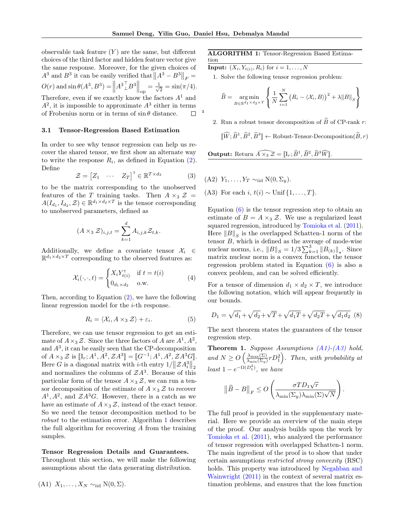1

observable task feature  $(Y)$  are the same, but different choices of the third factor and hidden feature vector give the same response. Moreover, for the given choices of  $A^3$  and  $B^3$  it can be easily verified that  $||A^3 - B^3||_F =$  $O(r)$  and  $\sin \theta (A^3, B^3) = ||A^3 \angle B^3||_{op} = \frac{1}{\sqrt{2}}$  $\overline{z} = \sin(\pi/4).$ Therefore, even if we exactly know the factors  $A<sup>1</sup>$  and  $A<sup>2</sup>$ , it is impossible to approximate  $A<sup>3</sup>$  either in terms of Frobenius norm or in terms of  $\sin \theta$  distance.  $\Box$ 

#### 3.1 Tensor-Regression Based Estimation

In order to see why tensor regression can help us recover the shared tensor, we first show an alternate way to write the response  $R_i$ , as defined in Equation [\(2\)](#page-2-1). Define

$$
\mathcal{Z} = \begin{bmatrix} Z_1 & \cdots & Z_T \end{bmatrix}^\mathsf{T} \in \mathbb{R}^{T \times d_3} \tag{3}
$$

to be the matrix corresponding to the unobserved features of the T training tasks. Then  $A \times_3 \mathcal{Z} =$  $A(I_{d_1}, I_{d_2}, \mathcal{Z}) \in \mathbb{R}^{d_1 \times d_2 \times T}$  is the tensor corresponding to unobserved parameters, defined as

$$
(A \times_3 \mathcal{Z})_{i,j,t} = \sum_{k=1}^d A_{i,j,k} \mathcal{Z}_{t,k}.
$$

Additionally, we define a covariate tensor  $\mathcal{X}_i \in$  $\mathbb{R}^{d_1 \times d_2 \times T}$  corresponding to the observed features as:

$$
\mathcal{X}_i(\cdot,\cdot,t) = \begin{cases} X_i Y_{t(i)}^{\mathsf{T}} & \text{if } t = t(i) \\ 0_{d_1 \times d_2} & \text{o.w.} \end{cases} \tag{4}
$$

<span id="page-4-4"></span>Then, according to Equation [\(2\)](#page-2-1), we have the following linear regression model for the *i*-th response.

$$
R_i = \langle \mathcal{X}_i, A \times_3 \mathcal{Z} \rangle + \varepsilon_i. \tag{5}
$$

Therefore, we can use tensor regression to get an estimate of  $A \times_3 \mathcal{Z}$ . Since the three factors of A are  $A^1, A^2$ , and  $A<sup>3</sup>$ , it can be easily seen that the CP-decomposition of  $A \times_3 \mathcal{Z}$  is  $[[I_r; A^1, A^2, \mathcal{Z}A^3]] = [[G^{-1}; A^1, A^2, \mathcal{Z}A^3G]].$ <br>Here  $G$  is a diagonal matrix with *i* theories  $1/||\mathcal{Z}A^3||$ Here G is a diagonal matrix with *i*-th entry  $1/||\mathcal{Z}A_i^3||_2$ and normalizes the columns of  $\mathcal{Z}A^3$ . Because of this particular form of the tensor  $A \times_3 \mathcal{Z}$ , we can run a tensor decomposition of the estimate of  $A \times_3 \mathcal{Z}$  to recover  $A^1, A^2$ , and  $\mathcal{Z}A^3G$ . However, there is a catch as we have an estimate of  $A \times_3 \mathcal{Z}$ , instead of the exact tensor. So we need the tensor decomposition method to be robust to the estimation error. Algorithm [1](#page-4-0) describes the full algorithm for recovering A from the training samples.

### Tensor Regression Details and Guarantees.

Throughout this section, we will make the following assumptions about the data generating distribution.

<span id="page-4-2"></span>
$$
(A1) X_1, \ldots, X_N \sim_{\text{iid}} N(0, \Sigma).
$$

#### ALGORITHM 1: Tensor-Regression Based Estimation

**Input:**  $(X_i, Y_{t(i)}, R_i)$  for  $i = 1, ..., N$ 

1. Solve the following tensor regression problem:

<span id="page-4-1"></span>
$$
\widehat{B} = \underset{B \in \mathbb{R}^{d_1 \times d_2 \times T}}{\arg \min} \left\{ \frac{1}{N} \sum_{i=1}^{N} \left( R_i - \langle X_i, B \rangle \right)^2 + \lambda \|B\|_S \right\}
$$

2. Run a robust tensor decomposition of  $\widehat{B}$  of CP-rank r:

 $\llbracket \widehat{W}; \widehat{B}^1, \widehat{B}^2, \widehat{B}^3 \rrbracket \leftarrow \text{Robust-Tensor-Decomposition}(\widehat{B}, r)$ 

<span id="page-4-0"></span>**Output:** Return  $\widehat{A \times_3 \mathcal{Z}} = [\![\mathbf{I}_r; \widehat{B}^1, \widehat{B}^2, \widehat{B}^3 \widehat{W}]\!]$ .

- <span id="page-4-5"></span>(A2)  $Y_1, \ldots, Y_T \sim_{\text{iid}} N(0, \Sigma_u)$ .
- <span id="page-4-3"></span>(A3) For each i,  $t(i) \sim \text{Unif } \{1, \ldots, T\}.$

Equation  $(6)$  is the tensor regression step to obtain an estimate of  $B = A \times_3 \mathcal{Z}$ . We use a regularized least squared regression, introduced by [Tomioka et al.](#page-9-16) [\(2011\)](#page-9-16). Here  $||B||_S$  is the overlapped Schatten-1 norm of the tensor  $B$ , which is defined as the average of mode-wise nuclear norms, i.e.,  $||B||_S = 1/3 \sum_{k=1}^3 ||B_{(k)}||_{\star}$ . Since matrix nuclear norm is a convex function, the tensor regression problem stated in Equation [\(6\)](#page-4-1) is also a convex problem, and can be solved efficiently.

For a tensor of dimension  $d_1 \times d_2 \times T$ , we introduce the following notation, which will appear frequently in our bounds.

$$
D_1 = \sqrt{d_1} + \sqrt{d_2} + \sqrt{T} + \sqrt{d_1T} + \sqrt{d_2T} + \sqrt{d_1d_2}
$$
 (8)

The next theorem states the guarantees of the tensor regression step.

<span id="page-4-6"></span>**Theorem 1.** Suppose Assumptions  $(A1)$ - $(A3)$  hold, and  $N \geq O\left(\frac{\lambda_{\max}(\Sigma)}{\lambda + (N-1)}\right)$  $\frac{\lambda_{\max}(\Sigma)}{\lambda_{\min}(\Sigma_y)}rD_1^2$ . Then, with probability at  $least 1-e^{-\Omega(D_1^2)}, we have$ 

$$
\left\|\widehat{B}-B\right\|_F \leq O\left(\frac{\sigma TD_1\sqrt{r}}{\lambda_{\min}(\Sigma_y)\lambda_{\min}(\Sigma)\sqrt{N}}\right)
$$

.

The full proof is provided in the supplementary material. Here we provide an overview of the main steps of the proof. Our analysis builds upon the work by [Tomioka et al.](#page-9-16) [\(2011\)](#page-9-16), who analyzed the performance of tensor regression with overlapped Schatten-1 norm. The main ingredient of the proof is to show that under certain assumptions restricted strong convexity (RSC) holds. This property was introduced by [Negahban and](#page-9-18) [Wainwright](#page-9-18) [\(2011\)](#page-9-18) in the context of several matrix estimation problems, and ensures that the loss function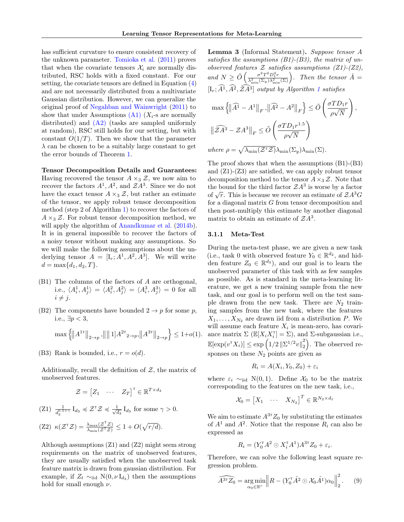has sufficient curvature to ensure consistent recovery of the unknown parameter. [Tomioka et al.](#page-9-16) [\(2011\)](#page-9-16) proves that when the covariate tensors  $\mathcal{X}_i$  are normally distributed, RSC holds with a fixed constant. For our setting, the covariate tensors are defined in Equation [\(4\)](#page-4-4) and are not necessarily distributed from a multivariate Gaussian distribution. However, we can generalize the original proof of [Negahban and Wainwright](#page-9-18) [\(2011\)](#page-9-18) to show that under Assumptions  $(A1)$   $(X_i$ -s are normally distributed) and  $(A2)$  (tasks are sampled uniformly at random), RSC still holds for our setting, but with constant  $O(1/T)$ . Then we show that the parameter  $\lambda$  can be chosen to be a suitably large constant to get the error bounds of Theorem [1.](#page-4-6)

Tensor Decomposition Details and Guarantees: Having recovered the tensor  $A \times_3 \mathcal{Z}$ , we now aim to recover the factors  $A^1$ ,  $A^2$ , and  $\mathcal{Z}A^3$ . Since we do not have the exact tensor  $A \times_3 \mathcal{Z}$ , but rather an estimate of the tensor, we apply robust tensor decomposition method (step 2 of Algorithm [1\)](#page-4-0) to recover the factors of  $A \times_3 \mathcal{Z}$ . For robust tensor decomposition method, we will apply the algorithm of [Anandkumar et al.](#page-8-10)  $(2014b)$ . It is in general impossible to recover the factors of a noisy tensor without making any assumptions. So we will make the following assumptions about the underlying tensor  $A = [\mathbf{I}_r; A^1, A^2, A^3]$ . We will write  $d = \max\{d_1, d_2, T\}.$ 

- (B1) The columns of the factors of A are orthogonal, i.e.,  $\langle A_i^1, A_j^1 \rangle = \langle A_i^2, A_j^2 \rangle = \langle A_i^3, A_j^3 \rangle = 0$  for all  $i \neq j$ .
- (B2) The components have bounded  $2 \rightarrow p$  for some p, i.e.,  $\exists p < 3$ ,

$$
\max\left\{\left\|A^{1\tau}\right\|_{2\to p}, \left\|\right\|1\right|A^{2\tau}_{2\to p}, \left\|A^{3\tau}\right\|_{2\to p}\right\} \le 1+o(1).
$$

(B3) Rank is bounded, i.e.,  $r = o(d)$ .

Additionally, recall the definition of  $\mathcal{Z}$ , the matrix of unobserved features.

$$
\mathcal{Z} = \begin{bmatrix} Z_1 & \cdots & Z_T \end{bmatrix}^\mathsf{T} \in \mathbb{R}^{T \times d_3}
$$

 $(Z1)$   $\frac{1}{d_3^{0.5+\gamma}} I_{d_3} \preccurlyeq Z^{\mathsf{T}}Z \preccurlyeq \frac{1}{\sqrt{6}}$  $\frac{1}{\overline{d_3}} I_{d_3}$  for some  $\gamma > 0$ .

(Z2) 
$$
\kappa(\mathcal{Z}^{\mathsf{T}}\mathcal{Z}) = \frac{\lambda_{\max}(\mathcal{Z}^{\mathsf{T}}\mathcal{Z})}{\lambda_{\min}(\mathcal{Z}^{\mathsf{T}}\mathcal{Z})} \le 1 + O(\sqrt{r/d}).
$$

<span id="page-5-2"></span>Although assumptions  $(Z1)$  and  $(Z2)$  might seem strong requirements on the matrix of unobserved features, they are usually satisfied when the unobserved task feature matrix is drawn from gaussian distribution. For example, if  $Z_t \sim_{\text{iid}} N(0, \nu I_{d_3})$  then the assumptions hold for small enough  $\nu.$ 

Lemma 3 (Informal Statement). Suppose tensor A satisfies the assumptions  $(B1)-(B3)$ , the matrix of unobserved features  $\mathcal Z$  satisfies assumptions (Z1)-(Z2), and  $N \geq \tilde{O}\left(\frac{\sigma^2 T^2 D_1^2 r}{\lambda^2 (\Sigma \lambda)^2}\right)$  $\frac{\sigma^2 T^2 D_1^2 r}{\lambda_{\min}^2(\Sigma_y)\lambda_{\min}^2(\Sigma)}$ . Then the tensor  $\hat{A} =$  $[I_r; \widehat{A}^1, \widehat{A}^2, \widehat{Z} \widehat{A}^3]$  $[I_r; \widehat{A}^1, \widehat{A}^2, \widehat{Z} \widehat{A}^3]$  $[I_r; \widehat{A}^1, \widehat{A}^2, \widehat{Z} \widehat{A}^3]$  output by Algorithm 1 satisfies

$$
\begin{aligned}\n\max \left\{ \left\| \widehat{A}^1 - A^1 \right\|_F, \left\| \widehat{A}^2 - A^2 \right\|_F \right\} &\leq \tilde{O} \left( \frac{\sigma T D_1 r}{\rho \sqrt{N}} \right), \\
\left\| \widehat{\mathcal{Z}} \widehat{A}^3 - \mathcal{Z} A^3 \right\|_F &\leq \tilde{O} \left( \frac{\sigma T D_1 r^{1.5}}{\rho \sqrt{N}} \right) \\
where \ \rho &= \sqrt{\lambda_{\min} (\mathcal{Z}^\top \mathcal{Z})} \lambda_{\min} (\Sigma_y) \lambda_{\min} (\Sigma).\n\end{aligned}
$$

The proof shows that when the assumptions (B1)-(B3) and  $(Z1)-(Z3)$  are satisfied, we can apply robust tensor decomposition method to the tensor  $A \times_3 \mathcal{Z}$ . Note that the bound for the third factor  $\mathcal{Z}A^3$  is worse by a factor of  $\sqrt{r}$ . This is because we recover an estimate of  $\mathcal{Z}A$ <sup>3</sup>G for a diagonal matrix G from tensor decomposition and then post-multiply this estimate by another diagonal matrix to obtain an estimate of  $\mathcal{Z}A^3$ .

### <span id="page-5-1"></span>3.1.1 Meta-Test

During the meta-test phase, we are given a new task (i.e., task 0 with observed feature  $Y_0 \in \mathbb{R}^{d_2}$ , and hidden feature  $Z_0 \in \mathbb{R}^{d_3}$ , and our goal is to learn the unobserved parameter of this task with as few samples as possible. As is standard in the meta-learning literature, we get a new training sample from the new task, and our goal is to perform well on the test sample drawn from the new task. There are  $N_2$  training samples from the new task, where the features  $X_1, \ldots, X_{N_2}$  are drawn iid from a distribution P. We will assume each feature  $X_i$  is mean-zero, has covariance matrix  $\Sigma \ (\mathbb{E}[X_i X_i^{\dagger}] = \Sigma)$ , and  $\Sigma$ -subgaussian i.e.,  $\mathbb{E}[\exp(v^{\scriptscriptstyle\mathsf{T}} X_i)] \leq \exp\left(1/2\left\|\Sigma^{1/2} v\right\|_2^2\right)$  $\binom{2}{2}$ . The observed responses on these  $N_2$  points are given as

$$
R_i = A(X_i, Y_0, Z_0) + \varepsilon_i
$$

where  $\varepsilon_i \sim_{\text{iid}} N(0, 1)$ . Define  $\mathcal{X}_0$  to be the matrix corresponding to the features on the new task, i.e.,

$$
\mathcal{X}_0 = \begin{bmatrix} X_1 & \cdots & X_{N_2} \end{bmatrix}^T \in \mathbb{R}^{N_2 \times d_1}
$$

We aim to estimate  $A^{3\tau}Z_0$  by substituting the estimates of  $A<sup>1</sup>$  and  $A<sup>2</sup>$ . Notice that the response  $R<sub>i</sub>$  can also be expressed as

$$
R_i = (Y_0^{\mathsf{T}} A^2 \odot X_i^{\mathsf{T}} A^1) A^{3\mathsf{T}} Z_0 + \varepsilon_i.
$$

Therefore, we can solve the following least square regression problem.

<span id="page-5-0"></span>
$$
\widehat{A^{3\tau}Z_0} = \underset{\alpha_0 \in \mathbb{R}^r}{\arg\min} \left\| R - (Y_0^{\tau} \hat{A}^2 \odot \mathcal{X}_0 \hat{A}^1) \alpha_0 \right\|_2^2. \tag{9}
$$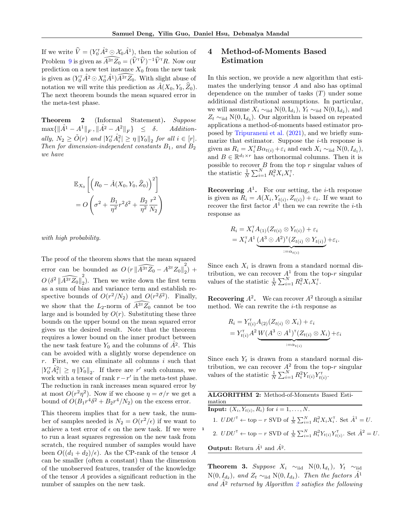1

If we write  $\hat{V} = (Y_0^{\mathsf{T}} \hat{A}^2 \odot \mathcal{X}_0 \hat{A}^1)$ , then the solution of Problem [9](#page-5-0) is given as  $\widehat{A^{3T}Z_0} = (\widehat{V}^{\dagger}\widehat{V})^{-1}\widehat{V}^{\dagger}R$ . Now our prediction on a new test instance  $X_0$  from the new task is given as  $(Y_0^{\dagger} \hat{A}^2 \odot X_0^{\dagger} \hat{A}^1) \widehat{A^{3\dagger}Z_0}$ . With slight abuse of notation we will write this prediction as  $\hat{A}(X_0, Y_0, \hat{Z}_0)$ . The next theorem bounds the mean squared error in the meta-test phase.

<span id="page-6-1"></span>Theorem 2 (Informal Statement). Suppose  $\max\{\|\hat{A}^1 - A^1\|_F, \|\hat{A}^2 - A^2\|_F\} \le \delta$ . Additionally,  $N_2 \ge \tilde{O}(r)$  and  $|Y_0^{\mathsf{T}} \hat{A}_i^2| \ge \eta ||Y_0||_2$  for all  $i \in [r]$ . Then for dimension-independent constants  $B_1$ , and  $B_2$ we have

$$
\mathbb{E}_{X_0}\left[\left(R_0 - \hat{A}(X_0, Y_0, \hat{Z}_0)\right)^2\right]
$$
  
= 
$$
O\left(\sigma^2 + \frac{B_1}{\eta^2}r^2\delta^2 + \frac{B_2}{\eta^2}\frac{r^2}{N_2}\right)
$$

with high probability.

The proof of the theorem shows that the mean squared error can be bounded as  $O(r \|\widehat{A^{3\tau}Z_0} - A^{3\tau}Z_0\|_2^2)$  $_{2}) +$  $O\,(\delta^2\, \| \widehat{A^{3\intercal}Z_0} \|_2^2$ 2 ). Then we write down the first term as a sum of bias and variance term and establish respective bounds of  $O(r^2/N_2)$  and  $O(r^2\delta^2)$ . Finally, we show that the  $L_2$ -norm of  $\widehat{A}^{3\tau}\widehat{Z_0}$  cannot be too large and is bounded by  $O(r)$ . Substituting these three bounds on the upper bound on the mean squared error gives us the desired result. Note that the theorem requires a lower bound on the inner product between the new task feature  $Y_0$  and the columns of  $A^2$ . This can be avoided with a slightly worse dependence on  $r$ . First, we can eliminate all columns  $i$  such that  $|Y_0^{\dagger} \hat{A}_i^2| \geq \eta \|Y_0\|_2$ . If there are r' such columns, we work with a tensor of rank  $r - r'$  in the meta-test phase. The reduction in rank increases mean squared error by at most  $O(r^2\eta^2)$ . Now if we choose  $\eta = \sigma/r$  we get a bound of  $O(B_1r^4\delta^2 + B_2r^4/N_2)$  on the excess error.

This theorem implies that for a new task, the number of samples needed is  $N_2 = O(r^2/\epsilon)$  if we want to achieve a test error of  $\epsilon$  on the new task. If we were to run a least squares regression on the new task from scratch, the required number of samples would have been  $O((d_1 + d_2)/\epsilon)$ . As the CP-rank of the tensor A can be smaller (often a constant) than the dimension of the unobserved features, transfer of the knowledge of the tensor A provides a significant reduction in the number of samples on the new task.

# 4 Method-of-Moments Based Estimation

In this section, we provide a new algorithm that estimates the underlying tensor A and also has optimal dependence on the number of tasks  $(T)$  under some additional distributional assumptions. In particular, we will assume  $X_i \sim_{\text{iid}} N(0, I_{d_1}), Y_t \sim_{\text{iid}} N(0, I_{d_2}),$  and  $Z_t \sim_{\text{iid}} N(0, I_{d_3})$ . Our algorithm is based on repeated applications a method-of-moments based estimator proposed by [Tripuraneni et al.](#page-9-4) [\(2021\)](#page-9-4), and we briefly summarize that estimator. Suppose the  $i$ -th response is given as  $R_i = X_i^{\mathsf{T}} B \alpha_{t(i)} + \varepsilon_i$  and each  $X_i \sim_{\text{iid}} N(0, I_{d_1}),$ and  $B \in \mathbb{R}^{d_1 \times r}$  has orthonormal columns. Then it is possible to recover  $B$  from the top  $r$  singular values of the statistic  $\frac{1}{N} \sum_{i=1}^{N} R_i^2 X_i X_i^{\mathsf{T}}$ .

**Recovering**  $A^1$ . For our setting, the *i*-th response is given as  $R_i = A(X_i, Y_{t(i)}, Z_{t(i)}) + \varepsilon_i$ . If we want to recover the first factor  $A^1$  then we can rewrite the *i*-th response as

$$
R_i = X_i^{\mathsf{T}} A_{(1)}(Z_{t(i)} \otimes Y_{t(i)}) + \varepsilon_i
$$
  
= 
$$
X_i^{\mathsf{T}} A^1 \underbrace{(A^3 \odot A^2)^{\mathsf{T}} (Z_{t(i)} \otimes Y_{t(i)})}_{:=\alpha_{t(i)}} + \varepsilon_i.
$$

Since each  $X_i$  is drawn from a standard normal distribution, we can recover  $A<sup>1</sup>$  from the top-r singular values of the statistic  $\frac{1}{N} \sum_{i=1}^{N} R_i^2 X_i X_i^{\mathsf{T}}$ .

**Recovering**  $A^2$ . We can recover  $A^2$  through a similar method. We can rewrite the  $i$ -th response as

$$
R_i = Y_{t(i)}^\top A_{(2)} (Z_{t(i)} \otimes X_i) + \varepsilon_i
$$
  
= 
$$
Y_{t(i)}^\top A^2 \underbrace{W (A^3 \odot A^1)^\top (Z_{t(i)} \otimes X_i)}_{:=\alpha_{t(i)}} + \varepsilon_i
$$

Since each  $Y_t$  is drawn from a standard normal distribution, we can recover  $A^2$  from the top-r singular values of the statistic  $\frac{1}{N} \sum_{i=1}^{N} R_i^2 Y_{t(i)} Y_{t(i)}^{\mathsf{T}}$ .

| <b>ALGORITHM 2:</b> Method-of-Moments Based Esti-                                                                                             |
|-----------------------------------------------------------------------------------------------------------------------------------------------|
| mation                                                                                                                                        |
| <b>Input:</b> $(X_i, Y_{t(i)}, R_i)$ for $i = 1, , N$ .                                                                                       |
| 1. $UDU^{\mathsf{T}} \leftarrow \text{top} - r \text{ SVD of } \frac{1}{N} \sum_{i=1}^{N} R_i^2 X_i X_i^{\mathsf{T}}$ . Set $\hat{A}^1 = U$ . |
| 2. $UDU^{\mathsf{T}} \leftarrow$ top $-r$ SVD of $\frac{1}{N} \sum_{i=1}^{N} R_i^2 Y_{t(i)} Y_{t(i)}^{\mathsf{T}}$ . Set $\hat{A}^2 = U$ .    |
| <b>Output:</b> Return $\hat{A}^1$ and $\hat{A}^2$ .                                                                                           |

<span id="page-6-2"></span><span id="page-6-0"></span>Theorem 3. Suppose  $X_i \sim_{\text{iid}} N(0, I_{d_1}), Y_t \sim_{\text{iid}}$  $N(0, I_{d_2})$ , and  $Z_t \sim_{\text{iid}} N(0, I_{d_3})$ . Then the factors  $\hat{A}^1$ and  $A<sup>2</sup>$  $A<sup>2</sup>$  $A<sup>2</sup>$  returned by Algorithm 2 satisfies the following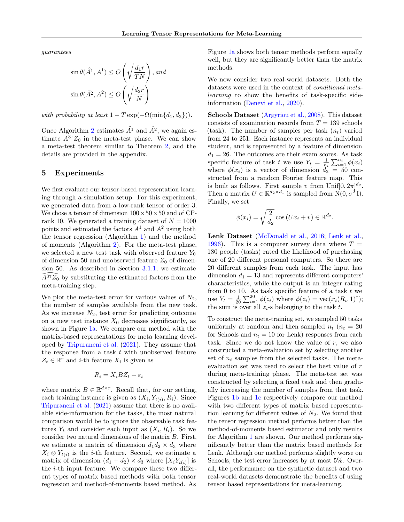guarantees

$$
\sin \theta(\hat{A}^1, A^1) \le O\left(\sqrt{\frac{d_1r}{TN}}\right), and
$$
  

$$
\sin \theta(\hat{A}^2, A^2) \le O\left(\sqrt{\frac{d_2r}{N}}\right)
$$

with probability at least  $1 - T \exp(-\Omega(\min\{d_1, d_2\}))$ .

Once Algorithm [2](#page-6-0) estimates  $\hat{A}^1$  and  $\hat{A}^2$ , we again estimate  $A^{3}Z_0$  in the meta-test phase. We can show a meta-test theorem similar to Theorem [2,](#page-6-1) and the details are provided in the appendix.

### 5 Experiments

We first evaluate our tensor-based representation learning through a simulation setup. For this experiment, we generated data from a low-rank tensor of order-3. We chose a tensor of dimension  $100 \times 50 \times 50$  and of CPrank 10. We generated a training dataset of  $N = 1000$ points and estimated the factors  $A<sup>1</sup>$  and  $A<sup>2</sup>$  using both the tensor regression (Algorithm [1\)](#page-4-0) and the method of moments (Algorithm [2\)](#page-6-0). For the meta-test phase, we selected a new test task with observed feature  $Y_0$ of dimension 50 and unobserved feature  $Z_0$  of dimension  $50$ . As described in Section  $3.1.1$ , we estimate  $\widehat{A}^{3\tau}\widetilde{Z_0}$  by substituting the estimated factors from the meta-training step.

We plot the meta-test error for various values of  $N_2$ , the number of samples available from the new task. As we increase  $N_2$ , test error for predicting outcome on a new test instance  $X_0$  decreases significantly, as shown in Figure [1a.](#page-8-11) We compare our method with the matrix-based representations for meta learning developed by [Tripuraneni et al.](#page-9-4) [\(2021\)](#page-9-4). They assume that the response from a task  $t$  with unobserved feature  $Z_t \in \mathbb{R}^r$  and *i*-th feature  $X_i$  is given as

$$
R_i = X_i B Z_t + \varepsilon_i
$$

where matrix  $B \in \mathbb{R}^{d \times r}$ . Recall that, for our setting, each training instance is given as  $(X_i, Y_{t(i)}, R_i)$ . Since [Tripuraneni et al.](#page-9-4) [\(2021\)](#page-9-4) assume that there is no available side-information for the tasks, the most natural comparison would be to ignore the observable task features  $Y_t$  and consider each input as  $(X_i, R_i)$ . So we consider two natural dimensions of the matrix B. First, we estimate a matrix of dimension  $d_1 d_2 \times d_3$  where  $X_i \otimes Y_{t(i)}$  is the *i*-th feature. Second, we estimate a matrix of dimension  $(d_1 + d_2) \times d_3$  where  $[X_i Y_{t(i)}]$  is the  $i$ -th input feature. We compare these two different types of matrix based methods with both tensor regression and method-of-moments based method. As

Figure [1a](#page-8-11) shows both tensor methods perform equally well, but they are significantly better than the matrix methods.

We now consider two real-world datasets. Both the datasets were used in the context of conditional metalearning to show the benefits of task-specific sideinformation [\(Denevi et al.,](#page-8-2) [2020\)](#page-8-2).

Schools Dataset [\(Argyriou et al.,](#page-8-12) [2008\)](#page-8-12). This dataset consists of examination records from  $T = 139$  schools (task). The number of samples per task  $(n_t)$  varied from 24 to 251. Each instance represents an individual student, and is represented by a feature of dimension  $d_1 = 26$ . The outcomes are their exam scores. As task specific feature of task t we use  $Y_t = \frac{1}{n_t} \sum_{i=1}^{n_t} \phi(x_i)$ where  $\phi(x_i)$  is a vector of dimension  $d_2 = 50$  constructed from a random Fourier feature map. This is built as follows. First sample v from Unif $[0, 2\pi]^{d_2}$ . Then a matrix  $U \in \mathbb{R}^{d_2 \times d_1}$  is sampled from  $N(0, \sigma^2 I)$ . Finally, we set

$$
\phi(x_i) = \sqrt{\frac{2}{d_2}} \cos(Ux_i + v) \in \mathbb{R}^{d_2}.
$$

Lenk Dataset [\(McDonald et al.,](#page-9-19) [2016;](#page-9-19) [Lenk et al.,](#page-9-20) [1996\)](#page-9-20). This is a computer survey data where  $T =$ 180 people (tasks) rated the likelihood of purchasing one of 20 different personal computers. So there are 20 different samples from each task. The input has dimension  $d_1 = 13$  and represents different computers' characteristics, while the output is an integer rating from 0 to 10. As task specific feature of a task  $t$  we use  $Y_t = \frac{1}{20} \sum_{i=1}^{20} \phi(z_i)$  where  $\phi(z_i) = \text{vec}(x_i(R_i, 1)^{\text{T}})$ ; the sum is over all  $z_i$ -s belonging to the task t.

To construct the meta-training set, we sampled 50 tasks uniformly at random and then sampled  $n_t$  ( $n_t = 20$ ) for Schools and  $n_t = 10$  for Lenk) responses from each task. Since we do not know the value of  $r$ , we also constructed a meta-evaluation set by selecting another set of  $n_t$  samples from the selected tasks. The metaevaluation set was used to select the best value of r during meta-training phase. The meta-test set was constructed by selecting a fixed task and then gradually increasing the number of samples from that task. Figures [1b](#page-8-11) and [1c](#page-8-11) respectively compare our method with two different types of matrix based representation learning for different values of  $N_2$ . We found that the tensor regression method performs better than the method-of-moments based estimator and only results for Algorithm [1](#page-4-0) are shown. Our method performs significantly better than the matrix based methods for Lenk. Although our method performs slightly worse on Schools, the test error increases by at most 5%. Overall, the performance on the synthetic dataset and two real-world datasets demonstrate the benefits of using tensor based representations for meta-learning.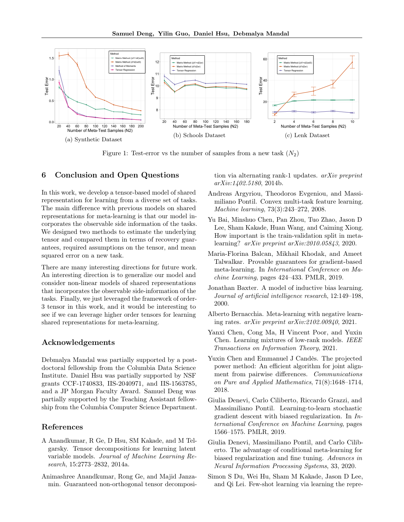<span id="page-8-11"></span>

Figure 1: Test-error vs the number of samples from a new task  $(N_2)$ 

## 6 Conclusion and Open Questions

In this work, we develop a tensor-based model of shared representation for learning from a diverse set of tasks. The main difference with previous models on shared representations for meta-learning is that our model incorporates the observable side information of the tasks. We designed two methods to estimate the underlying tensor and compared them in terms of recovery guarantees, required assumptions on the tensor, and mean squared error on a new task.

There are many interesting directions for future work. An interesting direction is to generalize our model and consider non-linear models of shared representations that incorporates the observable side-information of the tasks. Finally, we just leveraged the framework of order-3 tensor in this work, and it would be interesting to see if we can leverage higher order tensors for learning shared representations for meta-learning.

### Acknowledgements

Debmalya Mandal was partially supported by a postdoctoral fellowship from the Columbia Data Science Institute. Daniel Hsu was partially supported by NSF grants CCF-1740833, IIS-2040971, and IIS-1563785, and a JP Morgan Faculty Award. Samuel Deng was partially supported by the Teaching Assistant fellowship from the Columbia Computer Science Department.

## References

- <span id="page-8-9"></span>A Anandkumar, R Ge, D Hsu, SM Kakade, and M Telgarsky. Tensor decompositions for learning latent variable models. Journal of Machine Learning Research, 15:2773–2832, 2014a.
- <span id="page-8-10"></span>Animashree Anandkumar, Rong Ge, and Majid Janzamin. Guaranteed non-orthogonal tensor decomposi-

tion via alternating rank-1 updates. arXiv preprint arXiv:1402.5180, 2014b.

- <span id="page-8-12"></span>Andreas Argyriou, Theodoros Evgeniou, and Massimiliano Pontil. Convex multi-task feature learning. Machine learning, 73(3):243–272, 2008.
- <span id="page-8-4"></span>Yu Bai, Minshuo Chen, Pan Zhou, Tuo Zhao, Jason D Lee, Sham Kakade, Huan Wang, and Caiming Xiong. How important is the train-validation split in metalearning? arXiv preprint arXiv:2010.05843, 2020.
- <span id="page-8-6"></span>Maria-Florina Balcan, Mikhail Khodak, and Ameet Talwalkar. Provable guarantees for gradient-based meta-learning. In International Conference on Machine Learning, pages 424–433. PMLR, 2019.
- <span id="page-8-0"></span>Jonathan Baxter. A model of inductive bias learning. Journal of artificial intelligence research, 12:149–198, 2000.
- <span id="page-8-3"></span>Alberto Bernacchia. Meta-learning with negative learning rates. arXiv preprint arXiv:2102.00940, 2021.
- <span id="page-8-8"></span>Yanxi Chen, Cong Ma, H Vincent Poor, and Yuxin Chen. Learning mixtures of low-rank models. IEEE Transactions on Information Theory, 2021.
- <span id="page-8-7"></span>Yuxin Chen and Emmanuel J Candès. The projected power method: An efficient algorithm for joint alignment from pairwise differences. Communications on Pure and Applied Mathematics, 71(8):1648–1714, 2018.
- <span id="page-8-5"></span>Giulia Denevi, Carlo Ciliberto, Riccardo Grazzi, and Massimiliano Pontil. Learning-to-learn stochastic gradient descent with biased regularization. In International Conference on Machine Learning, pages 1566–1575. PMLR, 2019.
- <span id="page-8-2"></span>Giulia Denevi, Massimiliano Pontil, and Carlo Ciliberto. The advantage of conditional meta-learning for biased regularization and fine tuning. Advances in Neural Information Processing Systems, 33, 2020.
- <span id="page-8-1"></span>Simon S Du, Wei Hu, Sham M Kakade, Jason D Lee, and Qi Lei. Few-shot learning via learning the repre-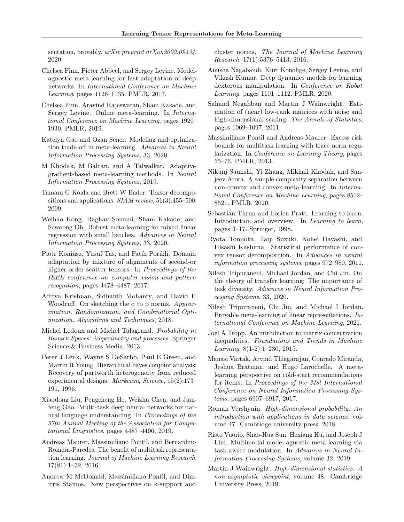sentation, provably. *arXiv preprint arXiv:2002.09434*. 2020.

- <span id="page-9-11"></span>Chelsea Finn, Pieter Abbeel, and Sergey Levine. Modelagnostic meta-learning for fast adaptation of deep networks. In International Conference on Machine Learning, pages 1126–1135. PMLR, 2017.
- <span id="page-9-12"></span>Chelsea Finn, Aravind Rajeswaran, Sham Kakade, and Sergey Levine. Online meta-learning. In International Conference on Machine Learning, pages 1920– 1930. PMLR, 2019.
- <span id="page-9-9"></span>Katelyn Gao and Ozan Sener. Modeling and optimization trade-off in meta-learning. Advances in Neural Information Processing Systems, 33, 2020.
- <span id="page-9-13"></span>M Khodak, M Balcan, and A Talwalkar. Adaptive gradient-based meta-learning methods. In Neural Information Processing Systems, 2019.
- <span id="page-9-17"></span>Tamara G Kolda and Brett W Bader. Tensor decompositions and applications. SIAM review, 51(3):455–500, 2009.
- <span id="page-9-14"></span>Weihao Kong, Raghav Somani, Sham Kakade, and Sewoong Oh. Robust meta-learning for mixed linear regression with small batches. Advances in Neural Information Processing Systems, 33, 2020.
- <span id="page-9-15"></span>Piotr Koniusz, Yusuf Tas, and Fatih Porikli. Domain adaptation by mixture of alignments of second-or higher-order scatter tensors. In Proceedings of the IEEE conference on computer vision and pattern recognition, pages 4478–4487, 2017.
- <span id="page-9-23"></span>Aditya Krishnan, Sidhanth Mohanty, and David P Woodruff. On sketching the q to p norms. Approximation, Randomization, and Combinatorial Optimization. Algorithms and Techniques, 2018.
- <span id="page-9-22"></span>Michel Ledoux and Michel Talagrand. Probability in Banach Spaces: isoperimetry and processes. Springer Science & Business Media, 2013.
- <span id="page-9-20"></span>Peter J Lenk, Wayne S DeSarbo, Paul E Green, and Martin R Young. Hierarchical bayes conjoint analysis: Recovery of partworth heterogeneity from reduced experimental designs. Marketing Science, 15(2):173– 191, 1996.
- <span id="page-9-0"></span>Xiaodong Liu, Pengcheng He, Weizhu Chen, and Jianfeng Gao. Multi-task deep neural networks for natural language understanding. In Proceedings of the 57th Annual Meeting of the Association for Computational Linguistics, pages 4487–4496, 2019.
- <span id="page-9-8"></span>Andreas Maurer, Massimiliano Pontil, and Bernardino Romera-Paredes. The benefit of multitask representation learning. Journal of Machine Learning Research, 17(81):1–32, 2016.
- <span id="page-9-19"></span>Andrew M McDonald, Massimiliano Pontil, and Dimitris Stamos. New perspectives on k-support and

cluster norms. The Journal of Machine Learning Research, 17(1):5376–5413, 2016.

- <span id="page-9-1"></span>Anusha Nagabandi, Kurt Konolige, Sergey Levine, and Vikash Kumar. Deep dynamics models for learning dexterous manipulation. In Conference on Robot Learning, pages 1101–1112. PMLR, 2020.
- <span id="page-9-18"></span>Sahand Negahban and Martin J Wainwright. Estimation of (near) low-rank matrices with noise and high-dimensional scaling. The Annals of Statistics, pages 1069–1097, 2011.
- <span id="page-9-7"></span>Massimiliano Pontil and Andreas Maurer. Excess risk bounds for multitask learning with trace norm regularization. In Conference on Learning Theory, pages 55–76. PMLR, 2013.
- <span id="page-9-10"></span>Nikunj Saunshi, Yi Zhang, Mikhail Khodak, and Sanjeev Arora. A sample complexity separation between non-convex and convex meta-learning. In International Conference on Machine Learning, pages 8512– 8521. PMLR, 2020.
- <span id="page-9-2"></span>Sebastian Thrun and Lorien Pratt. Learning to learn: Introduction and overview. In Learning to learn, pages 3–17. Springer, 1998.
- <span id="page-9-16"></span>Ryota Tomioka, Taiji Suzuki, Kohei Hayashi, and Hisashi Kashima. Statistical performance of convex tensor decomposition. In Advances in neural information processing systems, pages 972–980, 2011.
- <span id="page-9-3"></span>Nilesh Tripuraneni, Michael Jordan, and Chi Jin. On the theory of transfer learning: The importance of task diversity. Advances in Neural Information Processing Systems, 33, 2020.
- <span id="page-9-4"></span>Nilesh Tripuraneni, Chi Jin, and Michael I Jordan. Provable meta-learning of linear representations. International Conference on Machine Learning, 2021.
- <span id="page-9-25"></span>Joel A Tropp. An introduction to matrix concentration inequalities. Foundations and Trends in Machine Learning, 8(1-2):1–230, 2015.
- <span id="page-9-6"></span>Manasi Vartak, Arvind Thiagarajan, Conrado Miranda, Jeshua Bratman, and Hugo Larochelle. A metalearning perspective on cold-start recommendations for items. In Proceedings of the 31st International Conference on Neural Information Processing Systems, pages 6907–6917, 2017.
- <span id="page-9-24"></span>Roman Vershynin. High-dimensional probability: An introduction with applications in data science, volume 47. Cambridge university press, 2018.
- <span id="page-9-5"></span>Risto Vuorio, Shao-Hua Sun, Hexiang Hu, and Joseph J Lim. Multimodal model-agnostic meta-learning via task-aware modulation. In Advances in Neural Information Processing Systems, volume 32, 2019.
- <span id="page-9-21"></span>Martin J Wainwright. High-dimensional statistics: A non-asymptotic viewpoint, volume 48. Cambridge University Press, 2019.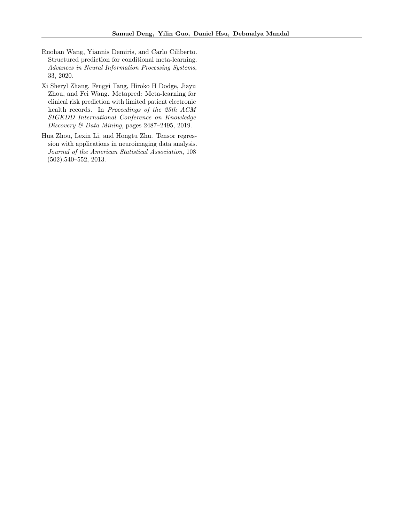- <span id="page-10-1"></span>Ruohan Wang, Yiannis Demiris, and Carlo Ciliberto. Structured prediction for conditional meta-learning. Advances in Neural Information Processing Systems, 33, 2020.
- <span id="page-10-0"></span>Xi Sheryl Zhang, Fengyi Tang, Hiroko H Dodge, Jiayu Zhou, and Fei Wang. Metapred: Meta-learning for clinical risk prediction with limited patient electronic health records. In Proceedings of the 25th ACM SIGKDD International Conference on Knowledge Discovery & Data Mining, pages 2487–2495, 2019.
- <span id="page-10-2"></span>Hua Zhou, Lexin Li, and Hongtu Zhu. Tensor regression with applications in neuroimaging data analysis. Journal of the American Statistical Association, 108 (502):540–552, 2013.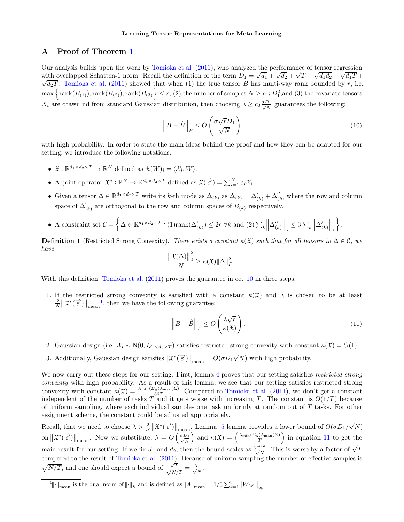# A Proof of Theorem [1](#page-4-6)

Our analysis builds upon the work by [Tomioka et al.](#page-9-16)  $(2011)$ , who analyzed the performance of tensor regression with overlapped Schatten-1 norm. Recall the definition of the term  $D_1 = \sqrt{d_1} + \sqrt{d_2} + \sqrt{T} + \sqrt{d_1 d_2} + \sqrt{d_1 T} +$  $\sqrt{d_2T}$ . [Tomioka et al.](#page-9-16) [\(2011\)](#page-9-16) showed that when (1) the true tensor B has multi-way rank bounded by r, i.e.  $\max \left\{\text{rank}(B_{(1)}),\text{rank}(B_{(2)}),\text{rank}(B_{(3)}\right\} \leq r, (2)$  the number of samples  $N \geq c_1 r D_1^2$ , and (3) the covariate tensors  $X_i$  are drawn iid from standard Gaussian distribution, then choosing  $\lambda \ge c_2 \frac{\sigma D_1}{\sqrt{N}}$  guarantees the following:

<span id="page-11-0"></span>
$$
\left\| B - \hat{B} \right\|_F \le O\left(\frac{\sigma \sqrt{r} D_1}{\sqrt{N}}\right)
$$
\n(10)

with high probability. In order to state the main ideas behind the proof and how they can be adapted for our setting, we introduce the following notations.

- $\mathfrak{X}: \mathbb{R}^{d_1 \times d_2 \times T} \to \mathbb{R}^N$  defined as  $\mathfrak{X}(W)_i = \langle \mathcal{X}_i, W \rangle$ .
- Adjoint operator  $\mathfrak{X}^* : \mathbb{R}^N \to \mathbb{R}^{d_1 \times d_2 \times T}$  defined as  $\mathfrak{X}(\vec{z}) = \sum_{i=1}^N \varepsilon_i \mathcal{X}_i$ .
- Given a tensor  $\Delta \in \mathbb{R}^{d_1 \times d_2 \times T}$  write its k-th mode as  $\Delta_{(k)}$  as  $\Delta_{(k)} = \Delta'_{(k)} + \Delta''_{(k)}$  where the row and column space of  $\Delta_0'$  $\mathcal{L}_{(k)}$  are orthogonal to the row and column spaces of  $B_{(k)}$  respectively.

• A constraint set 
$$
\mathcal{C} = \left\{ \Delta \in \mathbb{R}^{d_1 \times d_2 \times T} : (1) \text{rank}(\Delta'_{(k)}) \leq 2r \ \forall k \text{ and } (2) \sum_k \left\| \Delta''_{(k)} \right\|_{\star} \leq 3 \sum_k \left\| \Delta'_{(k)} \right\|_{\star} \right\}.
$$

**Definition 1** (Restricted Strong Convexity). There exists a constant  $\kappa(\mathfrak{X})$  such that for all tensors in  $\Delta \in \mathcal{C}$ , we have

$$
\frac{\left\|\mathfrak{X}(\Delta)\right\|_2^2}{N} \geq \kappa(\mathfrak{X}) \|\Delta\|_F^2.
$$

With this definition, [Tomioka et al.](#page-9-16)  $(2011)$  proves the guarantee in eq. [10](#page-11-0) in three steps.

1. If the restricted strong convexity is satisfied with a constant  $\kappa(\mathfrak{X})$  and  $\lambda$  is chosen to be at least  $\frac{2}{N} \|\mathfrak{X}^*(\vec{\epsilon})\|_{\text{mean}}^{-1}$  $\frac{2}{N} \|\mathfrak{X}^*(\vec{\epsilon})\|_{\text{mean}}^{-1}$  $\frac{2}{N} \|\mathfrak{X}^*(\vec{\epsilon})\|_{\text{mean}}^{-1}$ , then we have the following guarantee:

<span id="page-11-3"></span>
$$
\left\| B - \hat{B} \right\|_F \le O\left(\frac{\lambda \sqrt{r}}{\kappa(\mathfrak{X})}\right). \tag{11}
$$

- 2. Gaussian design (i.e.  $\mathcal{X}_i \sim \mathcal{N}(0, I_{d_1 \times d_2 \times T})$  satisfies restricted strong convexity with constant  $\kappa(\mathfrak{X}) = O(1)$ .
- 3. Additionally, Gaussian design satisfies  $\|\mathfrak{X}^*(\vec{\epsilon})\|_{\text{mean}} = O(\sigma D_1)$ √ N) with high probability.

We now carry out these steps for our setting. First, lemma [4](#page-11-2) proves that our setting satisfies restricted strong convexity with high probability. As a result of this lemma, we see that our setting satisfies restricted strong convexity with constant  $\kappa(\mathfrak{X}) = \frac{\lambda_{\min}(\Sigma_y)\lambda_{\max}(\Sigma)}{36T}$ . Compared to [Tomioka et al.](#page-9-16) [\(2011\)](#page-9-16), we don't get a constant independent of the number of tasks T and it gets worse with increasing T. The constant is  $O(1/T)$  because of uniform sampling, where each individual samples one task uniformly at random out of  $T$  tasks. For other assignment scheme, the constant could be adjusted appropriately.

Recall, that we need to choose  $\lambda > \frac{2}{N} ||\mathfrak{X}^*(\vec{\epsilon})||_{\text{mean}}$ . Lemma [5](#page-14-0) lemma provides a lower bound of  $O(\sigma D_1/\sqrt{\epsilon})$ √  $N)$ on  $\|\mathfrak{X}^*(\vec{\epsilon})\|_{\text{mean}}$ . Now we substitute,  $\lambda = O\left(\frac{\sigma D_1}{\sqrt{N}}\right)$  and  $\kappa(\mathfrak{X}) = \left(\frac{\lambda_{\min}(\Sigma_y)\lambda_{\max}(\Sigma)}{T}\right)$  in equation [11](#page-11-3) to get the main result for our setting. If we fix  $d_1$  and  $d_2$ , then the bound scales as  $\frac{T^{3/2}}{\sqrt{N}}$ . This is worse by a factor of  $\sqrt{T}$ compared to the result of [Tomioka et al.](#page-9-16) [\(2011\)](#page-9-16). Because of uniform sampling the number of effective samples is  $\sqrt{N/T}$ , and one should expect a bound of  $\frac{\sqrt{T}}{\sqrt{N}}$  $\frac{\sqrt{T}}{N/T}=\frac{T}{\sqrt{2}}$  $\frac{1}{N}$ .

<span id="page-11-2"></span><span id="page-11-1"></span><sup>1</sup>||·|<sub>mean</sub> is the dual norm of  $\|\cdot\|_S$  and is defined as  $\|A\|_{\text{mean}} = 1/3 \sum_{k=1}^3 \|W_{(k)}\|_{\text{op}}$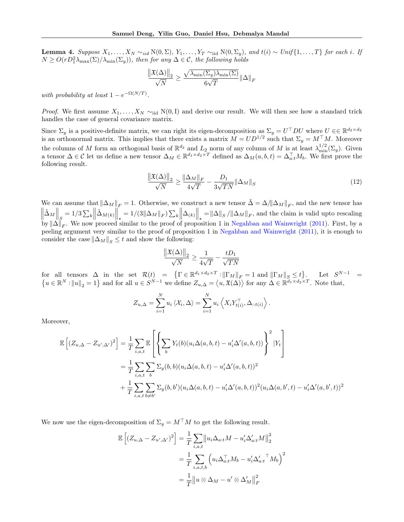**Lemma 4.** Suppose  $X_1, \ldots, X_N \sim_{iid} N(0, \Sigma), Y_1, \ldots, Y_T \sim_{iid} N(0, \Sigma_y)$ , and  $t(i) \sim Unif\{1, \ldots, T\}$  for each i. If  $N \geq O(rD_1^2\lambda_{\max}(\Sigma)/\lambda_{\min}(\Sigma_y))$ , then for any  $\Delta \in \mathcal{C}$ , the following holds

$$
\frac{\left\|\mathfrak{X}(\Delta)\right\|_2}{\sqrt{N}} \geq \frac{\sqrt{\lambda_{\min}(\Sigma_y)\lambda_{\min}(\Sigma)}}{6\sqrt{T}}\|\Delta\|_F
$$

with probability at least  $1 - e^{-\Omega(N/T)}$ .

*Proof.* We first assume  $X_1, \ldots, X_N \sim_{\text{iid}} N(0, I)$  and derive our result. We will then see how a standard trick handles the case of general covariance matrix.

Since  $\Sigma_y$  is a positive-definite matrix, we can right its eigen-decomposition as  $\Sigma_y = U^\top D U$  where  $U \in \mathbb{R}^{d_2 \times d_2}$ is an orthonormal matrix. This implies that there exists a matrix  $M = UD^{1/2}$  such that  $\Sigma_y = M^{\top}M$ . Moreover the columns of M form an orthogonal basis of  $\mathbb{R}^{d_2}$  and  $L_2$  norm of any column of M is at least  $\lambda_{\min}^{1/2}(\Sigma_y)$ . Given a tensor  $\Delta \in \mathcal{C}$  let us define a new tensor  $\Delta_M \in \mathbb{R}^{d_1 \times d_2 \times T}$  defined as  $\Delta_M(a, b, t) = \Delta_{a:t}^{\top} M_b$ . We first prove the following result.

$$
\frac{\left\|\mathfrak{X}(\Delta)\right\|_{2}}{\sqrt{N}} \ge \frac{\left\|\Delta_{M}\right\|_{F}}{4\sqrt{T}} - \frac{D_{1}}{3\sqrt{TN}}\left\|\Delta_{M}\right\|_{S} \tag{12}
$$

We can assume that  $\|\Delta_M\|_F = 1$ . Otherwise, we construct a new tensor  $\tilde{\Delta} = \Delta/\|\Delta_M\|_F$ , and the new tensor has  $\left\| \tilde{\Delta}_M \right\|_S = 1/3 \sum_k \left\| \tilde{\Delta}_{M(k)} \right\|_* = 1/(3 \|\Delta_M\|_F) \sum_k \left\| \Delta_{(k)} \right\|_* = \|\Delta\|_S / \|\Delta_M\|_F$ , and the claim is valid upto rescaling by  $\|\Delta\|_F$ . We now proceed similar to the proof of proposition 1 in [Negahban and Wainwright](#page-9-18) [\(2011\)](#page-9-18). First, by a peeling argument very similar to the proof of proposition 1 in [Negahban and Wainwright](#page-9-18) [\(2011\)](#page-9-18), it is enough to consider the case  $\|\Delta_M\|_{S} \leq t$  and show the following:

<span id="page-12-0"></span>
$$
\frac{\left\|\mathfrak{X}(\Delta)\right\|_2}{\sqrt{N}} \ge \frac{1}{4\sqrt{T}} - \frac{tD_1}{\sqrt{TN}}
$$

for all tensors  $\Delta$  in the set  $\mathcal{R}(t) = \{ \Gamma \in \mathbb{R}^{d_1 \times d_2 \times T} : ||\Gamma_M||_F = 1 \text{ and } ||\Gamma_M||_S \le t \}.$  Let  $S^{N-1} =$  $\{u \in \mathbb{R}^N : ||u||_2 = 1\}$  and for all  $u \in S^{N-1}$  we define  $Z_{u,\Delta} = \langle u, \mathfrak{X}(\Delta) \rangle$  for any  $\Delta \in \mathbb{R}^{d_1 \times d_2 \times T}$ . Note that,

$$
Z_{u,\Delta} = \sum_{i=1}^N u_i \langle \mathcal{X}_i, \Delta \rangle = \sum_{i=1}^N u_i \langle X_i Y_{t(i)}^{\top}, \Delta_{::t(i)} \rangle.
$$

Moreover,

$$
\mathbb{E}\left[\left(Z_{u,\Delta}-Z_{u',\Delta'}\right)^2\right] = \frac{1}{T} \sum_{i,a,t} \mathbb{E}\left[\left\{\sum_b Y_t(b)(u_i\Delta(a,b,t)-u'_i\Delta'(a,b,t))\right\}^2 | Y_t\right]
$$
  
\n
$$
= \frac{1}{T} \sum_{i,a,t} \sum_{b} \sum_{b} \sum_{y}(b,b)(u_i\Delta(a,b,t)-u'_i\Delta'(a,b,t))^2
$$
  
\n
$$
+ \frac{1}{T} \sum_{i,a,t} \sum_{b \neq b'} \sum_{y}(b,b')(u_i\Delta(a,b,t)-u'_i\Delta'(a,b,t))^2 (u_i\Delta(a,b',t)-u'_i\Delta'(a,b',t))^2
$$

We now use the eigen-decomposition of  $\Sigma_y = M^\top M$  to get the following result.

$$
\mathbb{E}\left[\left(Z_{u,\Delta} - Z_{u',\Delta'}\right)^2\right] = \frac{1}{T} \sum_{i,a,t} \left\|u_i \Delta_{a:t} M - u'_i \Delta'_{a:t} M\right\|_2^2
$$

$$
= \frac{1}{T} \sum_{i,a,t,b} \left(u_i \Delta_{a:t}^\top M_b - u'_i \Delta'_{a:t}^\top M_b\right)^2
$$

$$
= \frac{1}{T} \left\|u \otimes \Delta_M - u' \otimes \Delta'_M\right\|_F^2
$$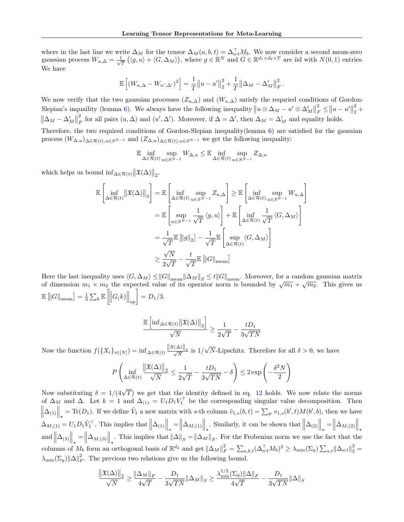where in the last line we write  $\Delta_M$  for the tensor  $\Delta_M(a, b, t) = \Delta_{a:t}^{\top} M_b$ . We now consider a second mean-zero gaussian process  $W_{u,\Delta} = \frac{1}{\sqrt{2}}$  $\frac{1}{T} (\langle g, u \rangle + \langle G, \Delta_M \rangle),$  where  $g \in \mathbb{R}^N$  and  $G \in \mathbb{R}^{d_1 \times d_2 \times T}$  are iid with  $N(0, 1)$  entries. We have

$$
\mathbb{E}\left[ (W_{u,\Delta} - W_{u',\Delta'})^2 \right] = \frac{1}{T} ||u - u'||_2^2 + \frac{1}{T} ||\Delta_M - \Delta'_M||_F^2.
$$

We now verify that the two gaussian processes  $(Z_{u,\Delta})$  and  $(W_{u,\Delta})$  satisfy the requried conditions of Gordon-Slepian's inquality (lemma [6\)](#page-15-0). We always have the following inequality  $||u \otimes \Delta_M - u' \otimes \Delta'_M||$ 2  $\|u - u'\|$ 2  $\frac{2}{2}$  +  $\left\Vert \Delta_{M}-\Delta_{M}^{\prime}\right\Vert$ 2  $\frac{d}{dF}$  for all pairs  $(u, \Delta)$  and  $(u', \Delta')$ . Moreover, if  $\Delta = \Delta'$ , then  $\Delta_M = \Delta'_M$  and equality holds.

Therefore, the two required conditions of Gordon-Slepian inequality(lemma [6\)](#page-15-0) are satisfied for the gaussian process  $(W_{\Delta,u})_{\Delta\in\mathcal{R}(t),u\in S^{N-1}}$  and  $(Z_{\Delta,u})_{\Delta\in\mathcal{R}(t),u\in S^{N-1}}$  we get the following inequality:

$$
\mathbb{E} \inf_{\Delta \in \mathcal{R}(t)} \sup_{u \in S^{N-1}} W_{\Delta,u} \leq \mathbb{E} \inf_{\Delta \in \mathcal{R}(t)} \sup_{u \in S^{N-1}} Z_{\Delta,u}
$$

which helps us bound  $\inf_{\Delta \in \mathcal{R}(t)} ||\mathfrak{X}(\Delta)||_2$ .

$$
\mathbb{E}\left[\inf_{\Delta \in \mathcal{R}(t)} \left\| \mathfrak{X}(\Delta) \right\|_{2}\right] = \mathbb{E}\left[\inf_{\Delta \in \mathcal{R}(t)} \sup_{u \in S^{N-1}} Z_{u,\Delta}\right] \geq \mathbb{E}\left[\inf_{\Delta \in \mathcal{R}(t)} \sup_{u \in S^{N-1}} W_{u,\Delta}\right]
$$

$$
= \mathbb{E}\left[\sup_{u \in S^{N-1}} \frac{1}{\sqrt{T}} \langle g, u \rangle\right] + \mathbb{E}\left[\inf_{\Delta \in \mathcal{R}(t)} \frac{1}{\sqrt{T}} \langle G, \Delta_{M} \rangle\right]
$$

$$
= \frac{1}{\sqrt{T}} \mathbb{E}\left[\|g\|_{2}\right] - \frac{1}{\sqrt{T}} \mathbb{E}\left[\sup_{\Delta \in \mathcal{R}(t)} \langle G, \Delta_{M} \rangle\right]
$$

$$
\geq \frac{\sqrt{N}}{2\sqrt{T}} - \frac{t}{\sqrt{T}} \mathbb{E}\left[\|G\|_{\text{mean}}\right]
$$

Here the last inequality uses  $\langle G, \Delta_M \rangle \leq ||G||_{\text{mean}} ||\Delta_M||_S \leq t||G||_{\text{mean}}$ . Moreover, for a random gaussian matrix of dimension  $m_1 \times m_2$  the expected value of its operator norm is bounded by  $\sqrt{m_1} + \sqrt{m_2}$ . This gives  $\mathbb{E}\left[\left\|G\right\|_{\text{mean}}\right] = \frac{1}{3}\sum_{k} \mathbb{E}\left[\left\|G_{(k)}\right\|_{\text{op}}\right] = D_1/3.$ 

$$
\frac{\mathbb{E}\left[\inf_{\Delta \in \mathcal{R}(t)} \left\|\mathfrak{X}(\Delta)\right\|_{2}\right]}{\sqrt{N}} \ge \frac{1}{2\sqrt{T}} - \frac{tD_{1}}{3\sqrt{TN}}
$$

Now the function  $f({X_i}_{i\in[N]}) = \inf_{\Delta \in \mathcal{R}(t)} \frac{\Vert \mathfrak{X}(\Delta) \Vert_2}{\sqrt{N}}$  is  $1/k$ √ N-Lipschitz. Therefore for all  $\delta > 0$ , we have

$$
P\left(\inf_{\Delta \in \mathcal{R}(t)} \frac{\left\|\mathfrak{X}(\Delta)\right\|_{2}}{\sqrt{N}} \leq \frac{1}{2\sqrt{T}} - \frac{tD_{1}}{3\sqrt{TN}} - \delta\right) \leq 2\exp\left(-\frac{\delta^{2}N}{2}\right)
$$

Now substituting  $\delta = 1/(4\sqrt{T})$  we get that the identity defined in eq. [12](#page-12-0) holds. We now relate the norms of  $\Delta_M$  and  $\Delta$ . Let  $k = 1$  and  $\Delta_{(1)} = U_1 D_1 V_1^{\top}$  be the corresponding singular value decomposition. Then  $\left\|\Delta_{(1)}\right\|_{\star} = \text{Tr}(D_1).$  If we define  $\tilde{V}_1$  a new matrix with s-th column  $\tilde{v}_{1,s}(b,t) = \sum_{b'} v_{1,s}(b',t) M(b',b)$ , then we have  $\Delta_{M,(1)} = U_1 D_1 \tilde{V}_1^{\top}$ . This implies that  $\|\Delta_{(1)}\|_{\star} = \|\Delta_{M,(1)}\|_{\star}$ . Similarly, it can be shown that  $\|\Delta_{(2)}\|_{\star} = \|\Delta_{M,(2)}\|_{\star}$ and  $\left\|\Delta_{(3)}\right\|_{\star} = \left\|\Delta_{M,(3)}\right\|_{\star}$ . This implies that  $\|\Delta\|_{S} = \|\Delta_{M}\|_{S}$ . For the Frobenius norm we use the fact that the  $\| \sup_{t \to 0} \sup_{\|k} \lim_{n \to \infty} \sup_{\|k} \sup_{\|k} \sup_{\|k} \sup_{\|k} \sup_{\|k} \sup_{\|k} \sup_{\|k} \sup_{\|k} \sum_{a,b,t} (\Delta_{a:t}^\top M_b)^2 \ge \lambda_{\min}(\Sigma_y) \sum_{a,t} \|\Delta_{a:t}\|_2^2 =$  $\lambda_{\min}(\Sigma_y) ||\Delta||_F^2$ . The previous two relations give us the following bound.

$$
\frac{\|\mathfrak{X}(\Delta)\|_{2}}{\sqrt{N}} \ge \frac{\|\Delta_{M}\|_{F}}{4\sqrt{T}} - \frac{D_{1}}{3\sqrt{TN}}\|\Delta_{M}\|_{S} \ge \frac{\lambda_{\min}^{1/2}(\Sigma_{y})\|\Delta\|_{F}}{4\sqrt{T}} - \frac{D_{1}}{3\sqrt{TN}}\|\Delta\|_{S}
$$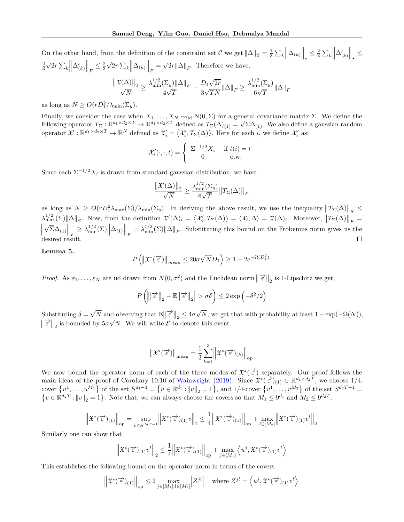On the other hand, from the definition of the constraint set  $\mathcal{C}$  we get  $\|\Delta\|_{S} = \frac{1}{3} \sum_{k} \left\| \Delta_{(k)} \right\|_{\star} \leq \frac{2}{3} \sum_{k} \left\| \Delta'_{(k)} \right\|_{\star} \leq$  $\frac{2}{3}$ √  $\overline{2r} \sum_k \left\| \Delta_{(k)}' \right\|_F \leq \frac{2}{3}$ √  $\overline{2r} \sum_k \left\| \Delta_{(k)} \right\|_F =$ √  $2r\|\Delta\|_F$ . Therefore we have,

$$
\frac{\left\|\mathfrak{X}(\Delta)\right\|_2}{\sqrt{N}} \geq \frac{\lambda_{\min}^{1/2}(\Sigma_y) \|\Delta\|_F}{4\sqrt{T}} - \frac{D_1\sqrt{2r}}{3\sqrt{TN}} \|\Delta\|_F \geq \frac{\lambda_{\min}^{1/2}(\Sigma_y)}{6\sqrt{T}} \|\Delta\|_F
$$

as long as  $N \ge O(rD_1^2/\lambda_{\min}(\Sigma_y)).$ 

Finally, we consider the case when  $X_1, \ldots, X_N \sim_{\text{iid}} N(0, \Sigma)$  for a general covariance matrix  $\Sigma$ . We define the Finally, we consider the case when  $X_1, \ldots, X_N \sim_{\text{iid}} N(0, \Sigma)$  for a generator  $T_{\Sigma} : \mathbb{R}^{d_1 \times d_2 \times T} \to \mathbb{R}^{d_1 \times d_2 \times T}$  defined as  $T_{\Sigma}(\Delta)_{(1)} = \sqrt{d_1}$  $\Sigma\Delta_{(1)}$ . We also define a gaussian random operator  $\mathfrak{X}' : \mathbb{R}^{d_1 \times d_2 \times T} \to \mathbb{R}^N$  defined as  $\mathfrak{X}'_i = \langle \mathcal{X}'_i, T_{\Sigma}(\Delta) \rangle$ . Here for each i, we define  $\mathcal{X}'_i$  as:

$$
\mathcal{X}'_i(\cdot,\cdot,t) = \begin{cases} \sum_{i=1}^{n} X_i & \text{if } t(i) = t \\ 0 & \text{o.w.} \end{cases}
$$

Since each  $\Sigma^{-1/2} X_i$  is drawn from standard gaussian distribution, we have

$$
\frac{\left\|\mathfrak{X}'(\Delta)\right\|_2}{\sqrt{N}} \ge \frac{\lambda_{\min}^{1/2}(\Sigma_y)}{6\sqrt{T}} \left\|T_\Sigma(\Delta)\right\|_F
$$

as long as  $N \ge O(rD_1^2\lambda_{\max}(\Sigma)/\lambda_{\min}(\Sigma_y)$ . In deriving the above result, we use the inequality  $||T_{\Sigma}(\Delta)||_S \le$  $\lambda_{\max}^{1/2}(\Sigma) \|\Delta\|_{S}$ . Now, from the definition  $\mathfrak{X}'(\Delta)_{i} = \langle \mathcal{X}'_{i}, T_{\Sigma}(\Delta) \rangle = \langle \mathcal{X}_{i}, \Delta \rangle = \mathfrak{X}(\Delta)_{i}$ . Moreover,  $||T_{\Sigma}(\Delta)||_{F} =$ √  $\parallel$  $\left\|\sum_{i=1}^{\infty} \Delta_{\min}^{1/2}(\Sigma) \right\| \Delta_{(1)} \Big\|_F = \lambda_{\min}^{1/2}(\Sigma) \|\Delta\|_F$ . Substituting this bound on the Frobenius norm gives us the desired result.  $\Box$ 

<span id="page-14-0"></span>Lemma 5.

$$
P\left(\left\|\mathfrak{X}^*(\overrightarrow{\varepsilon})\right\|_{mean} \leq 20\sigma\sqrt{N}D_1\right) \geq 1 - 2e^{-\Omega(D_1^2)}.
$$

Proof. As  $\varepsilon_1,\ldots,\varepsilon_N$  are iid drawn from  $N(0,\sigma^2)$  and the Euclidean norm  $\|\vec{\varepsilon}\|_2$  is 1-Lipschitz we get,

$$
P\left(\left\|\left|\overrightarrow{\varepsilon}\right\|_{2} - \mathbb{E}\left\|\overrightarrow{\varepsilon}\right\|_{2}\right| > \sigma\delta\right) \leq 2\exp\left(-\delta^{2}/2\right)
$$

Substituting  $\delta =$  $\sqrt{N}$  and observing that  $\mathbb{E} \left\| \vec{\epsilon} \right\|_2 \leq 4\sigma$ N, we get that with probability at least  $1 - \exp(-\Omega(N)),$  $\|\vec{\epsilon}\|_2$  is bounded by  $5\sigma\sqrt{N}$ . We will write  $\vec{\epsilon}$  to denote this event.

$$
\left\| {\mathfrak{X}}^{\ast}(\overrightarrow{\varepsilon}) \right\|_{\rm mean} = \frac{1}{3} \sum_{k=1}^{3} \left\| {\mathfrak{X}}^{\ast}(\overrightarrow{\varepsilon})_{(k)} \right\|_{\rm op}
$$

We now bound the operator norm of each of the three modes of  $\mathfrak{X}^*(\overrightarrow{\epsilon})$  separately. Our proof follows the main ideas of the proof of Corollary 10.10 of [Wainwright](#page-9-21) [\(2019\)](#page-9-21). Since  $\mathfrak{X}^*(\overrightarrow{\varepsilon})_{(1)} \in \mathbb{R}^{d_1 \times d_2 T}$ , we choose 1/4cover  $\{u^1, \ldots, u^{M_1}\}$  of the set  $S^{d_1-1} = \{u \in \mathbb{R}^{d_1} : ||u||_2 = 1\}$ , and  $1/4$ -cover  $\{v^1, \ldots, v^{M_2}\}$  of the set  $S^{d_2T-1}$  $\{v \in \mathbb{R}^{d_2 T}: ||v||_2 = 1\}$ . Note that, we can always choose the covers so that  $M_1 \leq 9^{d_1}$  and  $M_2 \leq 9^{d_2 T}$ .

$$
\left\| \mathfrak{X}^*(\overrightarrow{\varepsilon})_{(1)} \right\|_{\mathrm{op}} = \sup_{v \in S^{d_2 T - 1}} \left\| \mathfrak{X}^*(\overrightarrow{\varepsilon})_{(1)} v \right\|_2 \le \frac{1}{4} \left\| \mathfrak{X}^*(\overrightarrow{\varepsilon})_{(1)} \right\|_{\mathrm{op}} + \max_{l \in [M_2]} \left\| \mathfrak{X}^*(\overrightarrow{\varepsilon})_{(1)} v^l \right\|_2
$$

Similarly one can show that

$$
\left\| \mathfrak{X}^*(\overrightarrow{\varepsilon})_{(1)} v^l \right\|_2 \leq \frac{1}{4} \left\| \mathfrak{X}^*(\overrightarrow{\varepsilon})_{(1)} \right\|_{\mathrm{op}} + \max_{j \in [M_1]} \left\langle u^j, \mathfrak{X}^*(\overrightarrow{\varepsilon})_{(1)} v^l \right\rangle
$$

This establishes the following bound on the operator norm in terms of the covers.

$$
\left\| \mathfrak{X}^*(\vec{\epsilon})_{(1)} \right\|_{\text{op}} \le 2 \max_{j \in [M_1], l \in [M_2]} \left| Z^{jl} \right| \quad \text{where } Z^{jl} = \left\langle u^j, \mathfrak{X}^*(\vec{\epsilon})_{(1)} v^l \right\rangle
$$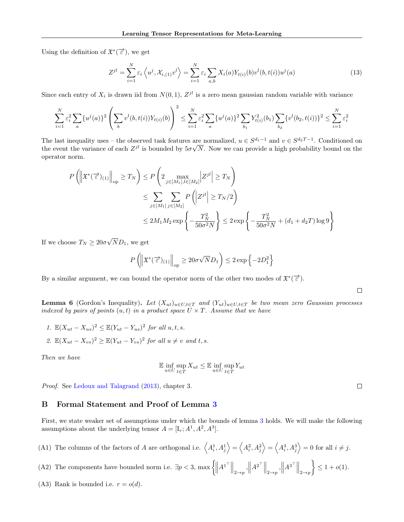Using the definition of  $\mathfrak{X}^*(\overrightarrow{\varepsilon})$ , we get

$$
Z^{jl} = \sum_{i=1}^{N} \varepsilon_i \left\langle u^j, \mathcal{X}_{i,(1)} v^l \right\rangle = \sum_{i=1}^{N} \varepsilon_i \sum_{a,b} X_i(a) Y_{t(i)}(b) v^l(b, t(i)) u^j(a)
$$
(13)

Since each entry of  $X_i$  is drawn iid from  $N(0, 1)$ ,  $Z^{jl}$  is a zero mean gaussian random variable with variance

$$
\sum_{i=1}^{N} \varepsilon_i^2 \sum_a \{ u^j(a) \}^2 \left( \sum_b v^l(b, t(i)) Y_{t(i)}(b) \right)^2 \le \sum_{i=1}^{N} \varepsilon_i^2 \sum_a \{ u^j(a) \}^2 \sum_{b_1} Y_{t(i)}^2(b_1) \sum_{b_2} \{ v^l(b_2, t(i)) \}^2 \le \sum_{i=1}^{N} \varepsilon_i^2
$$

The last inequality uses – the observed task features are normalized,  $u \in S^{d_1-1}$  and  $v \in S^{d_2T-1}$ . Conditioned on The last mequality uses – the observed task features are<br>the event the variance of each  $Z^{jl}$  is bounded by  $5\sigma\sqrt{ }$ N. Now we can provide a high probability bound on the operator norm.

$$
P\left(\left\|\mathfrak{X}^*(\overrightarrow{\varepsilon})_{(1)}\right\|_{\text{op}} \ge T_N\right) \le P\left(2 \max_{j \in [M_1], l \in [M_2]} |Z^{jl}| \ge T_N\right)
$$
  
\$\le \sum\_{j \in [M\_1]} \sum\_{j \in [M\_2]} P\left(|Z^{jl}| \ge T\_N/2\right)\$  
\$\le 2M\_1 M\_2 \exp\left\{-\frac{T\_N^2}{50\sigma^2 N}\right\} \le 2 \exp\left\{-\frac{T\_N^2}{50\sigma^2 N} + (d\_1 + d\_2 T) \log 9\right\}\$

If we choose  $T_N \geq 20\sigma$ √  $ND_1$ , we get

$$
P\left(\left\|\mathfrak{X}^*(\overrightarrow{\varepsilon})_{(1)}\right\|_{\mathrm{op}} \ge 20\sigma \sqrt{N} D_1\right) \le 2\exp\left\{-2D_1^2\right\}
$$

By a similar argument, we can bound the operator norm of the other two modes of  $\mathfrak{X}^*(\overrightarrow{\varepsilon})$ .

<span id="page-15-0"></span>**Lemma 6** (Gordon's Inequality). Let  $(X_{ut})_{u\in U,t\in T}$  and  $(Y_{ut})_{u\in U,t\in T}$  be two mean zero Gaussian processes indexed by pairs of points  $(u, t)$  in a product space  $U \times T$ . Assume that we have

1.  $\mathbb{E}(X_{ut}-X_{us})^2 \leq \mathbb{E}(Y_{ut}-Y_{us})^2$  for all  $u, t, s$ . 2.  $\mathbb{E}(X_{ut}-X_{vs})^2 \geq \mathbb{E}(Y_{ut}-Y_{vs})^2$  for all  $u \neq v$  and t, s.

Then we have

$$
\mathbb{E}\inf_{u\in U}\sup_{t\in T}X_{ut}\leq \mathbb{E}\inf_{u\in U}\sup_{t\in T}Y_{ut}
$$

Proof. See [Ledoux and Talagrand](#page-9-22) [\(2013\)](#page-9-22), chapter 3.

## B Formal Statement and Proof of Lemma [3](#page-5-2)

First, we state weaker set of assumptions under which the bounds of lemma [3](#page-5-2) holds. We will make the following assumptions about the underlying tensor  $A = [I_r; A^1, A^2, A^3]$ .

(A1) The columns of the factors of A are orthogonal i.e.  $\langle A_i^1, A_j^1 \rangle = \langle A_i^2, A_j^2 \rangle = \langle A_i^3, A_j^3 \rangle = 0$  for all  $i \neq j$ .

- (A2) The components have bounded norm i.e.  $\exists p < 3$ ,  $\max \left\{ \left\| A^{1^{\top}} \right\|_{2 \to p}, \left\| A^{2^{\top}} \right\|_{2 \to p}, \left\| A^{3^{\top}} \right\|_{2 \to p} \right\}$  $\Big\} \leq 1 + o(1).$
- (A3) Rank is bounded i.e.  $r = o(d)$ .

 $\Box$ 

 $\Box$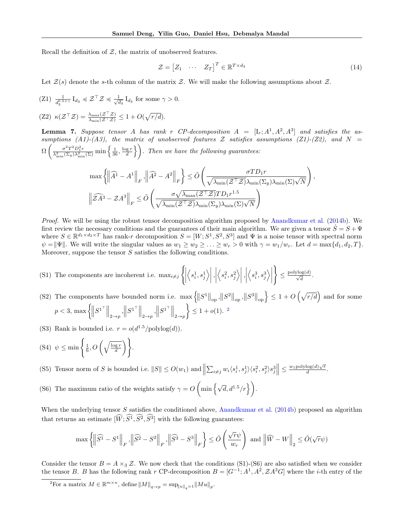Recall the definition of  $Z$ , the matrix of unobserved features.

$$
\mathcal{Z} = \begin{bmatrix} Z_1 & \cdots & Z_T \end{bmatrix}^T \in \mathbb{R}^{T \times d_3} \tag{14}
$$

Let  $\mathcal{Z}(s)$  denote the s-th column of the matrix  $\mathcal{Z}$ . We will make the following assumptions about  $\mathcal{Z}$ .

 $(Z1)$   $\frac{1}{d_3^{0.5+\gamma}} I_{d_3} \preccurlyeq \mathcal{Z}^\top \mathcal{Z} \preccurlyeq \frac{1}{\sqrt{6}}$  $\frac{1}{\overline{d_3}} I_{d_3}$  for some  $\gamma > 0$ .

 $(Z2) \kappa(\mathcal{Z}^\top \mathcal{Z}) = \frac{\lambda_{\max}(\mathcal{Z}^\top \mathcal{Z})}{\lambda_{\min}(\mathcal{Z}^\top \mathcal{Z})} \leq 1 + O(\sqrt{r/d}).$ 

**Lemma 7.** Suppose tensor A has rank r CP-decomposition  $A = [\mathbf{I}_r; A^1, A^2, A^3]$  and satisfies the assumptions (A1)-(A3), the matrix of unobserved features  $Z$  satisfies assumptions (Z1)-(Z2), and  $N =$  $\Omega\left(\frac{\sigma^2T^2D_1^2r}{\Gamma^2(\Sigma_1)\Gamma^2}\right)$  $\frac{\sigma^2 T^2 D_1^2 r}{\lambda_{\min}^2(\Sigma_y)\lambda_{\min}^2(\Sigma)} \min\left\{\frac{1}{36},\frac{\log r}{d}\right\}$ . Then we have the following guarantees:

$$
\begin{split} &\max \left\{\left\|\widehat{A^1}-A^1\right\|_F,\left\|\widehat{A^2}-A^2\right\|_F\right\}\leq \tilde{O}\left(\frac{\sigma T D_1 r}{\sqrt{\lambda_{\min}(\mathcal{Z}^\top \mathcal{Z})}\lambda_{\min}(\Sigma_y)\lambda_{\min}(\Sigma)\sqrt{N}}\right),\\ &\left\|\widehat{\mathcal{Z} A^3}-\mathcal{Z} A^3\right\|_F\leq \tilde{O}\left(\frac{\sigma \sqrt{\lambda_{\max}(\mathcal{Z}^\top \mathcal{Z})}TD_1 r^{1.5}}{\sqrt{\lambda_{\min}(\mathcal{Z}^\top \mathcal{Z})}\lambda_{\min}(\Sigma)\sqrt{N}}\right) \end{split}
$$

Proof. We will be using the robust tensor decomposition algorithm proposed by [Anandkumar et al.](#page-8-10) [\(2014b\)](#page-8-10). We first review the necessary conditions and the guarantees of their main algorithm. We are given a tensor  $S = S + \Psi$ where  $S \in \mathbb{R}^{d_1 \times d_2 \times T}$  has rank-r decomposition  $S = [W; S^1, S^2, S^3]$  and  $\Psi$  is a noise tensor with spectral norm  $\psi = \|\Psi\|$ . We will write the singular values as  $w_1 \geq w_2 \geq \ldots \geq w_r > 0$  with  $\gamma = w_1/w_r$ . Let  $d = \max\{d_1, d_2, T\}$ . Moreover, suppose the tensor  $S$  satisfies the following conditions.

- (S1) The components are incoherent i.e.  $\max_{i \neq j}$  $\left\{ \left\vert \rule{0pt}{10pt}\right. \right.$  $\left\langle s_i^1, s_j^1 \right\rangle$ ,      $\left\langle s_i^2, s_j^2 \right\rangle$ ,      $\left\langle s_i^3, s_j^3 \right\rangle \Bigg\vert$  $\mathcal{L}$  $\leq \frac{\text{polylog}(d)}{\sqrt{d}}.$
- (S2) The components have bounded norm i.e.  $\max \{ ||S^1||_{op}, ||S^2||_{op}, ||S^3||_{op} \} \le 1 + O(\sqrt{r/d})$  and for some  $p < 3$ ,  $\max \left\{ \left\| S^{1^{\top}} \right\|_{2 \to p}, \left\| S^{1^{\top}} \right\|_{2 \to p}, \left\| S^{1^{\top}} \right\|_{2 \to p} \right\}$  $\leq 1 + o(1).$ <sup>[2](#page-16-0)</sup>
- (S3) Rank is bounded i.e.  $r = o(d^{1.5}/polylog(d)).$
- (S4)  $\psi \leq \min\left\{\frac{1}{6}, O\left(\sqrt{\frac{\log r}{d}}\right)\right\}$ ) .
- (S5) Tensor norm of S is bounded i.e.  $||S|| \le O(w_1)$  and  $||\sum_{i \neq j} w_i \langle s_i^1, s_j^1 \rangle \langle s_i^2, s_j^2 \rangle s_j^3|| \le \frac{w_1 \text{polylog}(d)\sqrt{r}}{d}$  $\frac{\log(a)\sqrt{r}}{d}$ .
- (S6) The maximum ratio of the weights satisfy  $\gamma = O\left(\min\left\{\sqrt{d}, d^{1.5}/r\right\}\right)$ .

When the underlying tensor S satisfies the conditioned above, [Anandkumar et al.](#page-8-10) [\(2014b\)](#page-8-10) proposed an algorithm that returns an estimate  $[\widehat{W}; \widehat{S}^1, \widehat{S}^2, \widehat{S}^3]$  with the following guarantees:

$$
\max \left\{\left\|\widehat{S^1}-S^1\right\|_F,\left\|\widehat{S^2}-S^2\right\|_F,\left\|\widehat{S^3}-S^3\right\|_F\right\}\leq \tilde{O}\left(\frac{\sqrt{r}\psi}{w_r}\right) \text{ and }\left\|\widehat{W}-W\right\|_2\leq \tilde{O}(\sqrt{r}\psi)
$$

Consider the tensor  $B = A \times_3 \mathcal{Z}$ . We now check that the conditions (S1)-(S6) are also satisfied when we consider the tensor B. B has the following rank r CP-decomposition  $B = [G^{-1}; A^1, A^2, Z A^3 G]$  where the *i*-th entry of the

<span id="page-16-0"></span><sup>&</sup>lt;sup>2</sup>For a matrix  $M \in \mathbb{R}^{m \times n}$ , define  $||M||_{q \to p} = \sup_{||u||_q=1} ||Mu||_p$ .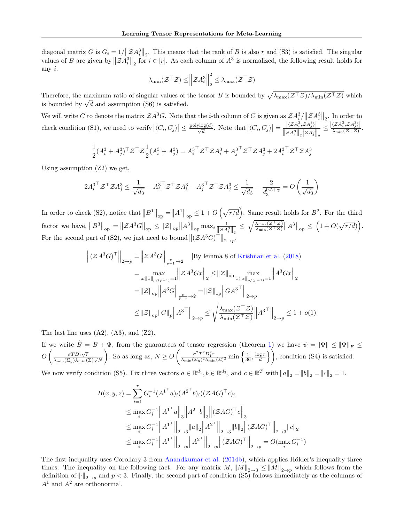diagonal matrix G is  $G_i = 1/\|\mathcal{Z}A_i^3\|_2$ . This means that the rank of B is also r and (S3) is satisfied. The singular values of B are given by  $||\mathcal{Z}A_i^3||_2$  for  $i \in [r]$ . As each column of  $A^3$  is normalized, the following result holds for any i.

$$
\lambda_{\min}(\mathcal{Z}^{\top}\mathcal{Z}) \leq \left\|\mathcal{Z}A_i^3\right\|_2^2 \leq \lambda_{\max}(\mathcal{Z}^{\top}\mathcal{Z})
$$

Therefore, the maximum ratio of singular values of the tensor B is bounded by  $\sqrt{\lambda_{\max}(\mathcal{Z}^{\top}\mathcal{Z})/\lambda_{\min}(\mathcal{Z}^{\top}\mathcal{Z})}$  which is bounded by  $\sqrt{d}$  and assumption (S6) is satisfied.

We will write C to denote the matrix  $\mathcal{Z}A^3G$ . Note that the *i*-th column of C is given as  $\mathcal{Z}A_i^3/\|\mathcal{Z}A_i^3\|_2$ . In order to check condition (S1), we need to verify  $|\langle C_i, C_j \rangle| \leq \frac{\text{polylog}(d)}{\sqrt{d}}$ . Note that  $|\langle C_i, C_j \rangle| = \frac{|\langle Z A_i^3, Z A_j^3 \rangle|}{\|\mathcal{Z} A_i^3\| \| \|\mathcal{Z} A_i^3\|}$  $\left\Vert \mathcal{Z}A_{i}^{3}\right\Vert _{2}\right\Vert \mathcal{Z}A_{j}^{3}\right\Vert _{2}$  $\leq \frac{|\langle \mathcal{Z} A_i^3, \mathcal{Z} A_j^3 \rangle|}{\lambda + (\mathcal{Z}^\top \mathcal{Z})}$  $\frac{\sum T_i, \sum T_j / |X_i - \sum T_j|}{\lambda_{\min}(\mathcal{Z}^\top \mathcal{Z})}.$ 

$$
\frac{1}{2}(A_i^3 + A_j^3)^\top \mathcal{Z}^\top \mathcal{Z} \frac{1}{2}(A_i^3 + A_j^3) = A_i^{3\top} \mathcal{Z}^\top \mathcal{Z} A_i^3 + A_j^{3\top} \mathcal{Z}^\top \mathcal{Z} A_j^3 + 2A_i^{3\top} \mathcal{Z}^\top \mathcal{Z} A_j^3
$$

Using assumption (Z2) we get,

$$
2A_i^{3\top}\mathcal{Z}^\top \mathcal{Z} A_j^3 \le \frac{1}{\sqrt{d_3}} - A_i^{3\top}\mathcal{Z}^\top \mathcal{Z} A_i^3 - A_j^{3\top}\mathcal{Z}^\top \mathcal{Z} A_j^3 \le \frac{1}{\sqrt{d_3}} - \frac{2}{d_3^{0.5+\gamma}} = O\left(\frac{1}{\sqrt{d_3}}\right)
$$

In order to check (S2), notice that  $||B^1||_{op} = ||A^1||_{op} \le 1 + O\left(\sqrt{r/d}\right)$ . Same result holds for  $B^2$ . For the third factor we have,  $||B^3||_{op} = ||\mathcal{Z}A^3G||_{op} \le ||\mathcal{Z}||_{op} ||A^3||_{op} \max_i \frac{1}{||\mathcal{Z}A_i^3||_2} \le \sqrt{\frac{\lambda_{\max}(\mathcal{Z}^\top \mathcal{Z})}{\lambda_{\min}(\mathcal{Z}^\top \mathcal{Z})}} ||A^3||_{op} \le \left(1 + O(\sqrt{r/d})\right).$ For the second part of (S2), we just need to bound  $\|(A^3G)^{\top}\|_{2\to p}$ .

$$
\left\| \left(\mathcal{Z}A^{3}G\right)^{\top} \right\|_{2\to p} = \left\| \mathcal{Z}A^{3}G \right\|_{\frac{p}{p-1}\to 2} \quad \text{[By lemma 8 of Krishna et al. (2018)]}
$$
\n
$$
= \max_{x:\|x\|_{p/(p-1)}=1} \left\| \mathcal{Z}A^{3}Gx \right\|_{2} \leq \left\| \mathcal{Z} \right\|_{\text{op } x:\|x\|_{p/(p-1)}=1} \left\| A^{3}Gx \right\|_{2}
$$
\n
$$
= \left\| \mathcal{Z} \right\|_{\text{op}} \left\| A^{3}G \right\|_{\frac{p}{p-1}\to 2} = \left\| \mathcal{Z} \right\|_{\text{op}} \left\| G A^{3} \right\|_{2\to p}
$$
\n
$$
\leq \left\| \mathcal{Z} \right\|_{\text{op}} \left\| G \right\|_{p} \left\| A^{3} \right\|_{2\to p} \leq \sqrt{\frac{\lambda_{\max}(\mathcal{Z}^{\top}\mathcal{Z})}{\lambda_{\min}(\mathcal{Z}^{\top}\mathcal{Z})}} \left\| A^{3} \right\|_{2\to p} \leq 1 + o(1)
$$

The last line uses  $(A2)$ ,  $(A3)$ , and  $(Z2)$ .

If we write  $\hat{B} = B + \Psi$ , from the guarantees of tensor regression (theorem [1\)](#page-4-6) we have  $\psi = \|\Psi\| \le \|\Psi\|_F \le$  $O\left(\frac{\sigma T D_1\sqrt{r}}{\lambda_{\min}(\Sigma_y)\lambda_{\min}(\Sigma)\sqrt{N}}\right)$ ). So as long as,  $N \geq O\left(\frac{\sigma^2 T^2 D_1^2 r}{\lambda + (N+1)^2 \lambda} \right)$  $\frac{\sigma^2 T^2 D_1^2 r}{\lambda_{\min}(\Sigma_y)^2 \lambda_{\min}(\Sigma)^2} \min\left\{\frac{1}{36},\frac{\log r}{d}\right\}$ , condition (S4) is satisfied.

We now verify condition (S5). Fix three vectors  $a \in \mathbb{R}^{d_1}$ ,  $b \in \mathbb{R}^{d_2}$ , and  $c \in \mathbb{R}^T$  with  $||a||_2 = ||b||_2 = ||c||_2 = 1$ .

$$
B(x, y, z) = \sum_{i=1}^{r} G_i^{-1} (A^{1^{\top}} a)_i (A^{2^{\top}} b)_i ((\mathcal{Z}AG)^{\top} c)_i
$$
  
\n
$$
\leq \max_i G_i^{-1} \|A^{1^{\top}} a\|_3 \|A^{2^{\top}} b\|_3 \|(\mathcal{Z}AG)^{\top} c\|_3
$$
  
\n
$$
\leq \max_i G_i^{-1} \|A^{1^{\top}}\|_{2 \to 3} \|a\|_2 \|A^{2^{\top}}\|_{2 \to 3} \|b\|_2 \|(\mathcal{Z}AG)^{\top}\|_{2 \to 3} \|c\|_2
$$
  
\n
$$
\leq \max_i G_i^{-1} \|A^{1^{\top}}\|_{2 \to p} \|A^{2^{\top}}\|_{2 \to p} \|(\mathcal{Z}AG)^{\top}\|_{2 \to p} = O(\max_i G_i^{-1})
$$

The first inequality uses Corollary 3 from [Anandkumar et al.](#page-8-10) [\(2014b\)](#page-8-10), which applies Hölder's inequality three times. The inequality on the following fact. For any matrix  $M$ ,  $||M||_{2\to 3} \le ||M||_{2\to p}$  which follows from the definition of  $\left\|\cdot\right\|_{2\to p}$  and  $p<3$ . Finally, the second part of condition (S5) follows immediately as the columns of  $A<sup>1</sup>$  and  $A<sup>2</sup>$  are orthonormal.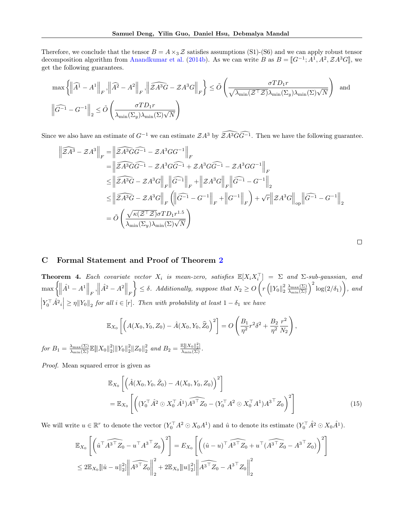Therefore, we conclude that the tensor  $B = A \times_3 \mathcal{Z}$  satisfies assumptions (S1)-(S6) and we can apply robust tensor decomposition algorithm from [Anandkumar et al.](#page-8-10) [\(2014b\)](#page-8-10). As we can write B as  $B = [G^{-1}; A^1, A^2, ZA^3G]$ , we get the following supportess. get the following guarantees.

$$
\max \left\{ \left\| \widehat{A}^1 - A^1 \right\|_F, \left\| \widehat{A}^2 - A^2 \right\|_F, \left\| \widehat{ZA^3G} - \mathcal{Z}A^3G \right\|_F \right\} \le \tilde{O} \left( \frac{\sigma TD_1 r}{\sqrt{\lambda_{\min}(\mathcal{Z}^\top \mathcal{Z})} \lambda_{\min}(\Sigma_y) \lambda_{\min}(\Sigma) \sqrt{N}} \right) \text{ and }
$$
  

$$
\left\| \widehat{G^{-1}} - G^{-1} \right\|_2 \le \tilde{O} \left( \frac{\sigma TD_1 r}{\lambda_{\min}(\Sigma_y) \lambda_{\min}(\Sigma) \sqrt{N}} \right)
$$

Since we also have an estimate of  $G^{-1}$  we can estimate  $\mathcal{Z}A^3$  by  $\widehat{\mathcal{Z}A^3GG^{-1}}$ . Then we have the following guarantee.

$$
\begin{split}\n\left\|\widehat{\mathcal{Z}}A^{3}-\mathcal{Z}A^{3}\right\|_{F} &= \left\|\widehat{\mathcal{Z}A^{3}GG^{-1}}-\mathcal{Z}A^{3}GG^{-1}\right\|_{F} \\
&= \left\|\widehat{\mathcal{Z}A^{3}GG^{-1}}-\mathcal{Z}A^{3}GG^{-1}+\mathcal{Z}A^{3}GG^{-1}-\mathcal{Z}A^{3}GG^{-1}\right\|_{F} \\
&\leq \left\|\widehat{\mathcal{Z}A^{3}G}-\mathcal{Z}A^{3}G\right\|_{F}\left\|\widehat{G^{-1}}\right\|_{F}+\left\|\mathcal{Z}A^{3}G\right\|_{F}\left\|\widehat{G^{-1}}-G^{-1}\right\|_{2} \\
&\leq \left\|\widehat{\mathcal{Z}A^{3}G}-\mathcal{Z}A^{3}G\right\|_{F}\left(\left\|\widehat{G^{-1}}-G^{-1}\right\|_{F}+\left\|G^{-1}\right\|_{F}\right)+\sqrt{r}\left\|\mathcal{Z}A^{3}G\right\|_{op}\left\|\widehat{G^{-1}}-G^{-1}\right\|_{2} \\
&= \tilde{O}\left(\frac{\sqrt{\kappa(\mathcal{Z}^{\top}\mathcal{Z})}\sigma TD_{1}r^{1.5}}{\lambda_{\min}(\Sigma_{y})\lambda_{\min}(\Sigma)\sqrt{N}}\right)\n\end{split}
$$

## C Formal Statement and Proof of Theorem [2](#page-6-1)

**Theorem 4.** Each covariate vector  $X_i$  is mean-zero, satisfies  $\mathbb{E}[X_i X_i^\top] = \Sigma$  and  $\Sigma$ -sub-gaussian, and  $\max\left\{\left\|\hat{A^1}-A^1\right\|_F,\left\|\hat{A^2}-A^2\right\|_F\right\}$  $\left\{\begin{array}{l}\leq \delta.\end{array} \right.\text{Additionally, suppose that } N_2\geq O\left(r\left(\|Y_0\|_2^2\frac{\lambda_{\max}(\Sigma)}{\lambda_{\min}(\Sigma)}\right)^2\log(2/\delta_1)\right),\text{ and}\right\}$  $\left| Y_0^\top \hat{A}^2 \right| \geq \eta \| Y_0 \|_2$  for all  $i \in [r]$ . Then with probability at least  $1 - \delta_1$  we have

$$
\mathbb{E}_{X_0}\left[\left(A(X_0,Y_0,Z_0) - \hat{A}(X_0,Y_0,\widehat{Z}_0)^2\right] = O\left(\frac{B_1}{\eta^2}r^2\delta^2 + \frac{B_2}{\eta^2}\frac{r^2}{N_2}\right),\right\}
$$

for  $B_1 = \frac{\lambda_{\max}(\Sigma)}{\lambda_{\min}(\Sigma)} \mathbb{E} \|X_0\|_2^2 \|Y_0\|_2^2 \|Z_0\|_2^2$  and  $B_2 = \frac{\mathbb{E} \|X_0\|_2^2}{\lambda_{\min}(\Sigma)}$ .

Proof. Mean squared error is given as

$$
\mathbb{E}_{X_0} \left[ \left( \hat{A}(X_0, Y_0, \hat{Z}_0) - A(X_0, Y_0, Z_0) \right)^2 \right]
$$
\n
$$
= \mathbb{E}_{X_0} \left[ \left( (Y_0^\top \hat{A}^2 \odot X_0^\top \hat{A}^1) \widehat{A^3}^\top Z_0 - (Y_0^\top A^2 \odot X_0^\top A^1) A^{3 \top} Z_0 \right)^2 \right] \tag{15}
$$

We will write  $u \in \mathbb{R}^r$  to denote the vector  $(Y_0^{\top} A^2 \odot X_0 A^1)$  and  $\hat{u}$  to denote its estimate  $(Y_0^{\top} \hat{A}^2 \odot X_0 \hat{A}^1)$ .

$$
\mathbb{E}_{X_0} \left[ \left( \hat{u}^\top \widehat{A^3}^\top Z_0 - u^\top A^{3\top} Z_0 \right)^2 \right] = E_{X_0} \left[ \left( (\hat{u} - u)^\top \widehat{A^3}^\top Z_0 + u^\top (\widehat{A^3}^\top Z_0 - A^{3\top} Z_0) \right)^2 \right]
$$
  

$$
\leq 2 \mathbb{E}_{X_0} ||\hat{u} - u||_2^2 ||\widehat{A^3}^\top Z_0 ||_2^2 + 2 \mathbb{E}_{X_0} ||u||_2^2 ||\widehat{A^3}^\top Z_0 - A^{3\top} Z_0 ||_2^2
$$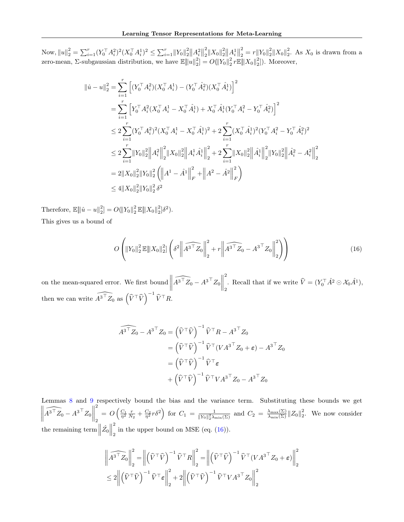Now,  $||u||_2^2 = \sum_{i=1}^r (Y_0^\top A_i^2)^2 (X_0^\top A_i^1)^2 \leq \sum_{i=1}^r ||Y_0||_2^2 ||A_i^2||$ 2  $\frac{2}{2} \|X_0\|_2^2 \big\|A_i^1\big\|_2^2$ 2  $\frac{2}{2} = r \| Y_0 \|_2^2 \| X_0 \|_2^2$ . As  $X_0$  is drawn from a zero-mean, Σ-subgaussian distribution, we have  $\mathbb{E} \|u\|_2^2 = O(\|Y_0\|_2^2 r \mathbb{E} \|X_0\|_2^2)$ . Moreover,

$$
\|\hat{u} - u\|_{2}^{2} = \sum_{i=1}^{r} \left[ (Y_{0}^{\top} A_{i}^{2})(X_{0}^{\top} A_{i}^{1}) - (Y_{0}^{\top} \hat{A}_{i}^{2})(X_{0}^{\top} \hat{A}_{i}^{1}) \right]^{2}
$$
  
\n
$$
= \sum_{i=1}^{r} \left[ Y_{0}^{\top} A_{i}^{2}(X_{0}^{\top} A_{i}^{1} - X_{0}^{\top} \hat{A}_{i}^{1}) + X_{0}^{\top} \hat{A}_{i}^{1}(Y_{0}^{\top} A_{i}^{2} - Y_{0}^{\top} \hat{A}_{i}^{2}) \right]^{2}
$$
  
\n
$$
\leq 2 \sum_{i=1}^{r} (Y_{0}^{\top} A_{i}^{2})^{2}(X_{0}^{\top} A_{i}^{1} - X_{0}^{\top} \hat{A}_{i}^{1})^{2} + 2 \sum_{i=1}^{r} (X_{0}^{\top} \hat{A}_{i}^{1})^{2}(Y_{0}^{\top} A_{i}^{2} - Y_{0}^{\top} \hat{A}_{i}^{2})^{2}
$$
  
\n
$$
\leq 2 \sum_{i=1}^{r} \|Y_{0}\|_{2}^{2} \|A_{i}^{2} \|_{2}^{2} \|X_{0}\|_{2}^{2} \|A_{i}^{1} \hat{A}_{i}^{1} \|_{2}^{2} + 2 \sum_{i=1}^{r} \|X_{0}\|_{2}^{2} \|A_{i}^{1} \|_{2}^{2} \|Y_{0}\|_{2}^{2} \|A_{i}^{2} - A_{i}^{2} \|_{2}^{2}
$$
  
\n
$$
= 2 \|X_{0}\|_{2}^{2} \|Y_{0}\|_{2}^{2} (\|A^{1} - \hat{A}^{1} \|_{F}^{2} + \|A^{2} - \hat{A}^{2} \|_{F}^{2})
$$
  
\n
$$
\leq 4 \|X_{0}\|_{2}^{2} \|Y_{0}\|_{2}^{2} \delta^{2}
$$

Therefore,  $\mathbb{E}[\|\hat{u} - u\|_2^2] = O(\|Y_0\|_2^2 \mathbb{E}[\|X_0\|_2^2] \delta^2).$ This gives us a bound of

<span id="page-19-0"></span>
$$
O\left(\|Y_0\|_2^2 \mathbb{E} \|X_0\|_2^2 \right) \left(\delta^2 \left\|\widehat{A^3 \top Z_0}\right\|_2^2 + r \left\|\widehat{A^3 \top Z_0} - A^{3 \top} Z_0\right\|_2^2\right)\right) \tag{16}
$$

on the mean-squared error. We first bound  $\left\| \right\|$  $\widehat{A^3^\top Z_0} - A^{3\top} Z_0$ 2 . Recall that if we write  $\widehat{V} = (Y_0^{\top} \hat{A}^2 \odot \mathcal{X}_0 \hat{A}^1)$ , then we can write  $\widehat{A^{3\top}Z_0}$  as  $(\widehat{V}^{\top}\widehat{V})^{-1}\widehat{V}^{\top}R$ .

$$
\widehat{A^{3}}^{\top} Z_0 - A^{3 \top} Z_0 = (\widehat{V}^{\top} \widehat{V})^{-1} \widehat{V}^{\top} R - A^{3 \top} Z_0
$$
  

$$
= (\widehat{V}^{\top} \widehat{V})^{-1} \widehat{V}^{\top} (V A^{3 \top} Z_0 + \epsilon) - A^{3 \top} Z_0
$$
  

$$
= (\widehat{V}^{\top} \widehat{V})^{-1} \widehat{V}^{\top} \epsilon
$$
  

$$
+ (\widehat{V}^{\top} \widehat{V})^{-1} \widehat{V}^{\top} V A^{3 \top} Z_0 - A^{3 \top} Z_0
$$

Lemmas [8](#page-20-0) and [9](#page-20-1) respectively bound the bias and the variance term. Substituting these bounds we get  $\begin{array}{c} \hline \end{array}$  $\widehat{A^3^\top Z_0} - A^{3\top} Z_0$ 2 2  $= O\left(\frac{C_1}{\eta^2} \frac{r}{N_2} + \frac{C_2}{\eta^2} r \delta^2\right)$  for  $C_1 = \frac{1}{\|Y_0\|_2^2 \lambda_{\min}(\Sigma)}$  and  $C_2 = \frac{\lambda_{\max}(\Sigma)}{\lambda_{\min}(\Sigma)} \|Z_0\|_2^2$ . We now consider the remaining term  $\left\|\hat{Z_0}\right\|$ 2 in the upper bound on MSE (eq.  $(16)$ ).

$$
\left\| \widehat{A^{3\top}Z_0} \right\|_2^2 = \left\| \left(\widehat{V}^{\top}\widehat{V}\right)^{-1}\widehat{V}^{\top}R \right\|_2^2 = \left\| \left(\widehat{V}^{\top}\widehat{V}\right)^{-1}\widehat{V}^{\top}(VA^{3\top}Z_0 + \varepsilon) \right\|_2^2
$$
  

$$
\leq 2 \left\| \left(\widehat{V}^{\top}\widehat{V}\right)^{-1}\widehat{V}^{\top}\varepsilon \right\|_2^2 + 2 \left\| \left(\widehat{V}^{\top}\widehat{V}\right)^{-1}\widehat{V}^{\top}VA^{3\top}Z_0 \right\|_2^2
$$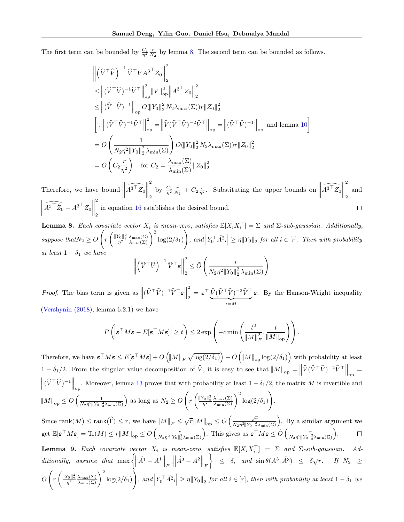The first term can be bounded by  $\frac{C_1}{\eta^2} \frac{r}{N_2}$  by lemma [8.](#page-20-0) The second term can be bounded as follows.

$$
\begin{aligned}\n&\left\|\left(\hat{V}^{\top}\hat{V}\right)^{-1}\hat{V}^{\top}VA^{3\top}Z_{0}\right\|_{2}^{2} \\
&\leq \left\|(\hat{V}^{\top}\hat{V})^{-1}\hat{V}^{\top}\right\|_{op}^{2}\|V\|_{op}^{2}\|A^{3\top}Z_{0}\right\|_{2}^{2} \\
&\leq \left\|(\hat{V}^{\top}\hat{V})^{-1}\right\|_{op}O(\|Y_{0}\|_{2}^{2}N_{2}\lambda_{\max}(\Sigma))r\|Z_{0}\|_{2}^{2} \\
&\left[\cdots\left\|(\hat{V}^{\top}\hat{V})^{-1}\hat{V}^{\top}\right\|_{op}^{2}=\left\|\hat{V}(\hat{V}^{\top}\hat{V})^{-2}\hat{V}^{\top}\right\|_{op}=\left\|(\hat{V}^{\top}\hat{V})^{-1}\right\|_{op}\right\}\text{ and lemma 10}\right] \\
&=O\left(\frac{1}{N_{2}\eta^{2}\|Y_{0}\|_{2}^{2}\lambda_{\min}(\Sigma)}\right)O(\|Y_{0}\|_{2}^{2}N_{2}\lambda_{\max}(\Sigma))r\|Z_{0}\|_{2}^{2} \\
&=O\left(C_{2}\frac{r}{\eta^{2}}\right)\quad\text{for } C_{2}=\frac{\lambda_{\max}(\Sigma)}{\lambda_{\min}(\Sigma)}\|Z_{0}\|_{2}^{2}\n\end{aligned}
$$

2 2 Therefore, we have bound  $\parallel$  $\widehat{A^{3^{\top}}Z_0}$ by  $\frac{C_1}{\eta^2} \frac{r}{N_2} + C_2 \frac{r}{\eta^2}$ . Substituting the upper bounds on  $\parallel$  $\widehat{A^{3^{\top}}Z_0}$ and 2 2 2  $\begin{array}{c} \hline \end{array}$  $\widehat{A^3 \perp Z_0} - A^{3 \perp} Z_0$  $\Box$ in equation [16](#page-19-0) establishes the desired bound. 2

<span id="page-20-0"></span>**Lemma 8.** Each covariate vector  $X_i$  is mean-zero, satisfies  $\mathbb{E}[X_i X_i^\top] = \Sigma$  and  $\Sigma$ -sub-gaussian. Additionally, suppose that  $N_2 \geq O$  $\sqrt{ }$  $r \left( \frac{\|Y_0\|_2^2}{\eta^2} \frac{\lambda_{\max}(\Sigma)}{\lambda_{\min}(\Sigma)} \right)^2 \log(2/\delta_1)$  $\setminus$ , and  $\left| Y_0^\top \hat{A}^2 \right| \geq \eta \| Y_0 \|_2$  for all  $i \in [r]$ . Then with probability at least  $1 - \delta_1$  we have 2

$$
\left\| \left( \widehat{V}^\top \widehat{V} \right)^{-1} \widehat{V}^\top \varepsilon \right\|_2^2 \le \tilde{O} \left( \frac{r}{N_2 \eta^2 \|Y_0\|_2^2 \lambda_{\min}(\Sigma)} \right)
$$

*Proof.* The bias term is given as  $\left\| (\widehat{V}^\top \widehat{V})^{-1} \widehat{V}^\top \epsilon \right\|$ 2  $\frac{\tilde{\mathcal{L}}}{2}=\boldsymbol{\varepsilon}^{\top}\,\frac{\widehat{V}(\widehat{V}^{\top}\widehat{V})^{-2}\widehat{V}^{\top}}{2}$  $:=M$ ε. By the Hanson-Wright inequality [\(Vershynin](#page-9-24) [\(2018\)](#page-9-24), lemma 6.2.1) we have

$$
P\left(\left|\boldsymbol{\varepsilon}^{\top}M\boldsymbol{\varepsilon}-E[\boldsymbol{\varepsilon}^{\top}M\boldsymbol{\varepsilon}]\right|\geq t\right)\leq 2\exp\left(-c\min\left(\frac{t^2}{\|M\|_F^2},\frac{t}{\|M\|_{\mathrm{op}}}\right)\right).
$$

Therefore, we have  $\boldsymbol{\varepsilon}^\top M \boldsymbol{\varepsilon} \leq E[\boldsymbol{\varepsilon}^\top M \boldsymbol{\varepsilon}] + O\left(\|M\|_F \sqrt{\log(2/\delta_1)}\right) + O\left(\|M\|_{\operatorname{op}} \log(2/\delta_1)\right)$  with probability at least  $1 - \delta_1/2$ . From the singular value decomposition of  $\hat{V}$ , it is easy to see that  $||M||_{op} = ||\hat{V}(\hat{V}^\top \hat{V})^{-2} \hat{V}^\top||_{op}$  $\left\| (\widehat{V}^\top \widehat{V})^{-1} \right\|_{\text{op}}$ . Moreover, lemma [13](#page-22-0) proves that with probability at least  $1 - \delta_1/2$ , the matrix M is invertible and  $||M||_{op} \leq O\left(\frac{1}{N_2\eta^2||Y_0||_2^2\lambda_{\min}(\Sigma)}\right)$  as long as  $N_2 \geq O$  $\sqrt{ }$  $r \left(\frac{\|Y_0\|_2^2}{\eta^2} \frac{\lambda_{\max}(\Sigma)}{\lambda_{\min}(\Sigma)}\right)^2 \log(2/\delta_1)$  $\setminus$ .

Since  $\text{rank}(M) \le \text{rank}(\widehat{\Gamma}) \le r$ , we have  $||M||_F \le \sqrt{r}||M||_{op} \le O\left(\frac{\sqrt{r}}{N_2\eta^2||Y_0||_2^2}\right)$  $\frac{\sqrt{r}}{N_2\eta^2\|Y_0\|_2^2\lambda_{\min}(\Sigma)}\Big)$ . By a similar argument we get  $\mathbb{E}[\varepsilon \top M \varepsilon] = \text{Tr}(M) \le r \|M\|_{\text{op}} \le O\left(\frac{r}{N_2 \eta^2 \|Y_0\|_2^2 \lambda_{\min}(\Sigma)}\right)$ . This gives us  $\varepsilon \top M \varepsilon \le \tilde{O}\left(\frac{r}{N_2 \eta^2 \|Y_0\|_2^2 \lambda_{\min}(\Sigma)}\right)$ .

<span id="page-20-1"></span>**Lemma 9.** Each covariate vector  $X_i$  is mean-zero, satisfies  $\mathbb{E}[X_i X_i^{\top}] = \Sigma$  and  $\Sigma$ -sub-gaussian. Additionally, assume that  $\max \left\{ \left\| \hat{A}^1 - A^1 \right\|_F, \left\| \hat{A}^2 - A^2 \right\|_F \right\}$  $\Big\} \leq \delta, \text{ and } \sin \theta (A^3, \hat{A}^3) \leq \delta \sqrt{r}. \text{ If } N_2 \geq$  $\overline{O}$  $\sqrt{ }$  $r \left( \frac{\|Y_0\|_2^2}{\eta^2} \frac{\lambda_{\max}(\Sigma)}{\lambda_{\min}(\Sigma)} \right)^2 \log(2/\delta_1)$  $\setminus$ , and  $\left| Y_0^\top \hat{A}^2 \iota \right| \geq \eta ||Y_0||_2$  for all  $i \in [r]$ , then with probability at least  $1 - \delta_1$  we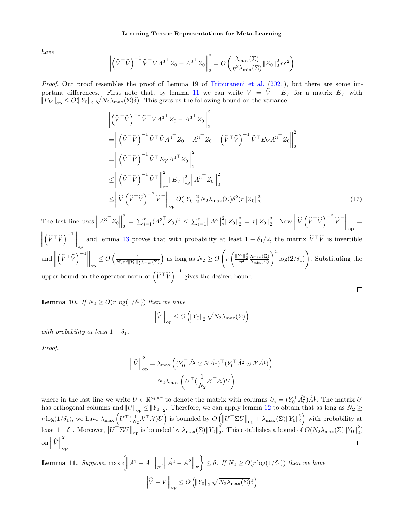have

$$
\left\| \left(\widehat{V}^\top \widehat{V}\right)^{-1} \widehat{V}^\top V A^{3\top} Z_0 - A^{3\top} Z_0 \right\|_2^2 = O\left(\frac{\lambda_{\max}(\Sigma)}{\eta^2 \lambda_{\min}(\Sigma)} \|Z_0\|_2^2 r \delta^2\right)
$$

Proof. Our proof resembles the proof of Lemma 19 of [Tripuraneni et al.](#page-9-4) [\(2021\)](#page-9-4), but there are some im-portant differences. First note that, by lemma [11](#page-21-1) we can write  $V = \hat{V} + E_V$  for a matrix  $E_V$  with  $||E_V||_{op} \leq O(||Y_0||_2 \sqrt{N_2 \lambda_{\max}(\Sigma)} \delta)$ . This gives us the following bound on the variance.

$$
\begin{split}\n&\left\| \left( \widehat{V}^{\top} \widehat{V} \right)^{-1} \widehat{V}^{\top} V A^{3 \top} Z_{0} - A^{3 \top} Z_{0} \right\|_{2}^{2} \\
&= \left\| \left( \widehat{V}^{\top} \widehat{V} \right)^{-1} \widehat{V}^{\top} \widehat{V} A^{3 \top} Z_{0} - A^{3 \top} Z_{0} + \left( \widehat{V}^{\top} \widehat{V} \right)^{-1} \widehat{V}^{\top} E_{V} A^{3 \top} Z_{0} \right\|_{2}^{2} \\
&= \left\| \left( \widehat{V}^{\top} \widehat{V} \right)^{-1} \widehat{V}^{\top} E_{V} A^{3 \top} Z_{0} \right\|_{2}^{2} \\
&\leq \left\| \left( \widehat{V}^{\top} \widehat{V} \right)^{-1} \widehat{V}^{\top} \right\|_{\text{op}}^{2} \left\| E_{V} \right\|_{\text{op}}^{2} \left\| A^{3 \top} Z_{0} \right\|_{2}^{2} \\
&\leq \left\| \widehat{V} \left( \widehat{V}^{\top} \widehat{V} \right)^{-2} \widehat{V}^{\top} \right\|_{\text{op}}^{2} O\left\| Y_{0} \right\|_{2}^{2} N_{2} \lambda_{\text{max}}(\Sigma) \delta^{2} \left\| Y_{0} \right\|_{2}^{2}\n\end{split} \tag{17}
$$

 $\Box$ 

The last line uses  $||A^{3\top}Z_0||$ 2  $\sum_{i=1}^{2} = \sum_{i=1}^{r} (A_{i}^{3} \overline{Z}_{0})^{2} \leq \sum_{i=1}^{r} ||A^{3}||$ 2  $\frac{2}{2} \|Z_0\|_2^2 = r \|Z_0\|_2^2$ . Now  $\left\|\widehat{V}\left(\widehat{V}^\top \widehat{V}\right)^{-2} \widehat{V}^\top\right\|_{\text{op}}$ =  $\begin{array}{c} \hline \end{array}$  $\left(\hat{V}^{\top}\hat{V}\right)^{-1}\Big\|_{\text{op}}$  and lemma [13](#page-22-0) proves that with probability at least  $1 - \delta_1/2$ , the matrix  $\hat{V}^{\top}\hat{V}$  is invertible and  $\parallel$  $\left(\widehat{V}^\top \widehat{V}\right)^{-1} \bigg\|_{\text{op}}$  $\leq O\left(\frac{1}{N_2\eta^2\|Y_0\|_2^2\lambda_{\min}(\Sigma)}\right)$  as long as  $N_2 \geq O$  $\sqrt{2}$  $r \left(\frac{\|Y_0\|_2^2}{\eta^2} \frac{\lambda_{\max}(\Sigma)}{\lambda_{\min}(\Sigma)}\right)^2 \log(2/\delta_1)$  $\setminus$ . Substituting the upper bound on the operator norm of  $(\widehat{V}^\top \widehat{V})^{-1}$  gives the desired bound.

<span id="page-21-0"></span>**Lemma 10.** If  $N_2 \geq O(r \log(1/\delta_1))$  then we have

$$
\left\|\widehat{V}\right\|_{op} \le O\left(\left\|Y_0\right\|_2 \sqrt{N_2 \lambda_{\max}(\Sigma)}\right)
$$

with probability at least  $1 - \delta_1$ .

Proof.

$$
\begin{aligned} \left\| \widehat{V} \right\|_{\text{op}}^2 &= \lambda_{\text{max}} \left( (Y_0^\top \hat{A}^2 \odot \mathcal{X} \hat{A}^1)^\top (Y_0^\top \hat{A}^2 \odot \mathcal{X} \hat{A}^1) \right) \\ &= N_2 \lambda_{\text{max}} \left( U^\top (\frac{1}{N_2} \mathcal{X}^\top \mathcal{X}) U \right) \end{aligned}
$$

where in the last line we write  $U \in \mathbb{R}^{d_1 \times r}$  to denote the matrix with columns  $U_i = (Y_0^{\top} \hat{A}_i^2) \hat{A}_i^1$ . The matrix U has orthogonal columns and  $||U||_{op} \le ||Y_0||_2$ . Therefore, we can apply lemma [12](#page-22-1) to obtain that as long as  $N_2 \ge$  $r \log(1/\delta_1)$ , we have  $\lambda_{\max} \left( U^\top (\frac{1}{N_2} \mathcal{X}^\top \mathcal{X}) U \right)$  is bounded by  $O\left( \left\| U^\top \Sigma U \right\|_{\text{op}} + \lambda_{\max} (\Sigma) \left\| Y_0 \right\|_2^2 \right)$  with probability at least 1 – δ<sub>1</sub>. Moreover,  $||U^{\top} \Sigma U||_{op}$  is bounded by  $\lambda_{\max}(\Sigma) ||Y_0||_2^2$ . This establishes a bound of  $O(N_2 \lambda_{\max}(\Sigma) ||Y_0||_2^2)$ 2 on  $\left\Vert \widehat{V}\right\Vert$  $\Box$ op .

<span id="page-21-1"></span>**Lemma 11.** Suppose, max  $\left\{\left\|\hat{A}^1 - A^1\right\|_F, \left\|\hat{A}^2 - A^2\right\|_F\right\}$  $\{\leq \delta. \text{ If } N_2 \geq O(r \log(1/\delta_1)) \text{ then we have }\}$  $\left\|\widehat{V} - V\right\|_{op} \leq O\left(\left\|Y_0\right\|_2 \sqrt{N_2 \lambda_{\max}(\Sigma)}\delta\right)$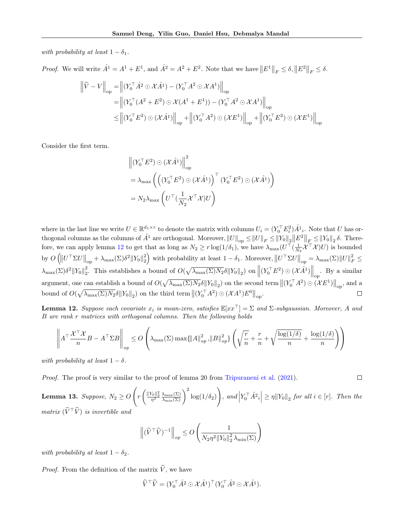with probability at least  $1 - \delta_1$ .

*Proof.* We will write  $\hat{A}^1 = A^1 + E^1$ , and  $\hat{A}^2 = A^2 + E^2$ . Note that we have  $||E^1||_F \le \delta$ ,  $||E^2||_F \le \delta$ .

$$
\begin{aligned}\n\left\|\widehat{V} - V\right\|_{\text{op}} &= \left\|(Y_0^\top \hat{A}^2 \odot \mathcal{X} \hat{A}^1) - (Y_0^\top A^2 \odot \mathcal{X} A^1)\right\|_{\text{op}} \\
&= \left\|(Y_0^\top (A^2 + E^2) \odot \mathcal{X}(A^1 + E^1)) - (Y_0^\top A^2 \odot \mathcal{X} A^1)\right\|_{\text{op}} \\
&\leq \left\|(Y_0^\top E^2) \odot (\mathcal{X} \hat{A}^1)\right\|_{\text{op}} + \left\|(Y_0^\top A^2) \odot (\mathcal{X} E^1)\right\|_{\text{op}} + \left\|(Y_0^\top E^2) \odot (\mathcal{X} E^1)\right\|_{\text{op}}\n\end{aligned}
$$

Consider the first term.

$$
\begin{aligned} & \left\| \left( Y_0^\top E^2 \right) \odot \left( \mathcal{X} \hat{A}^1 \right) \right\|_{\text{op}}^2 \\ & = \lambda_{\text{max}} \left( \left( \left( Y_0^\top E^2 \right) \odot \left( \mathcal{X} \hat{A}^1 \right) \right)^\top \left( Y_0^\top E^2 \right) \odot \left( \mathcal{X} \hat{A}^1 \right) \right) \\ & = N_2 \lambda_{\text{max}} \left( U^\top \left( \frac{1}{N_2} \mathcal{X}^\top \mathcal{X} \right) U \right) \end{aligned}
$$

where in the last line we write  $U \in \mathbb{R}^{d_1 \times r}$  to denote the matrix with columns  $U_i = (Y_0^\top E_i^2) \hat{A}^1_i$ . Note that U has orthogonal columns as the columns of  $\hat{A}^1$  are orthogonal. Moreover,  $||U||_{op} \le ||U||_F \le ||Y_0||_2 ||E^2||_F \le ||Y_0||_2 \delta$ . There-fore, we can apply lemma [12](#page-22-1) to get that as long as  $N_2 \ge r \log(1/\delta_1)$ , we have  $\lambda_{\max}(U^{\top}(\frac{1}{N_2} \mathcal{X}^{\top} \mathcal{X})U)$  is bounded by  $O\left(\left\|U^\top \Sigma U\right\|_{\text{op}} + \lambda_{\text{max}}(\Sigma)\delta^2 \left\|Y_0\right\|_2^2\right)$  with probability at least  $1 - \delta_1$ . Moreover,  $\left\|U^\top \Sigma U\right\|_{\text{op}} = \lambda_{\text{max}}(\Sigma) \left\|U\right\|_F^2 \leq$  $\lambda_{\max}(\Sigma)\delta^2 ||Y_0||_2^2$ . This establishes a bound of  $O(\sqrt{\lambda_{\max}(\Sigma)N_2}\delta ||Y_0||_2)$  on  $\left\Vert (Y_0^{\top}E^2) \odot (\mathcal{X}\hat{A}^1)\right\Vert_{\text{op}}$ . By a similar argument, one can establish a bound of  $O(\sqrt{\lambda_{\max}(\Sigma)N_2}\delta||Y_0||_2)$  on the second term  $\|(Y_0^{\top}A^2)\odot(\mathcal{X}E^1)\|_{\text{op}}$ , and a bound of  $O(\sqrt{\lambda_{\max}(\Sigma)N_2}\delta||Y_0||_2)$  on the third term  $\left\|(Y_0^{\top}A^2)\odot (\mathcal{X}A^1)E^0\right\|_{\mathrm{op}}$ . П

<span id="page-22-1"></span>**Lemma 12.** Suppose each covariate  $x_i$  is mean-zero, satisfies  $\mathbb{E}[xx^\top] = \Sigma$  and  $\Sigma$ -subgaussian. Moreover, A and B are rank r matrices with orthogonal columns. Then the following holds

$$
\left\| A^\top \frac{\mathcal{X}^\top \mathcal{X}}{n} B - A^\top \Sigma B \right\|_{op} \le O\left(\lambda_{\max}(\Sigma) \max\{\|A\|_{op}^2, \|B\|_{op}^2\} \left(\sqrt{\frac{r}{n}} + \frac{r}{n} + \sqrt{\frac{\log(1/\delta)}{n}} + \frac{\log(1/\delta)}{n}\right)\right)
$$

with probability at least  $1 - \delta$ .

Proof. The proof is very similar to the proof of lemma 20 from [Tripuraneni et al.](#page-9-4) [\(2021\)](#page-9-4).

<span id="page-22-0"></span>**Lemma 13.** Suppose,  $N_2 \geq O$  $\sqrt{ }$  $r\left(\frac{\|Y_0\|_2^2}{\eta^2}\frac{\lambda_{\max}(\Sigma)}{\lambda_{\min}(\Sigma)}\right)^2\log(1/\delta_2)$  $\setminus$ , and  $\left| Y_0^\top \hat{A}^2 \cdot \right| \geq \eta ||Y_0||_2$  for all  $i \in [r]$ . Then the matrix  $(\widehat{V}^{\top}\widehat{V})$  is invertible and

 $\Box$ 

$$
\left\|(\widehat{V}^{\top}\widehat{V})^{-1}\right\|_{op} \le O\left(\frac{1}{N_2\eta^2\|Y_0\|_2^2\lambda_{\min}(\Sigma)}\right)
$$

with probability at least  $1 - \delta_2$ .

*Proof.* From the definition of the matrix  $\hat{V}$ , we have

$$
\widehat{V}^{\top}\widehat{V} = (Y_0^{\top}\widehat{A}^2 \odot \mathcal{X}\widehat{A}^1)^{\top} (Y_0^{\top}\widehat{A}^2 \odot \mathcal{X}\widehat{A}^1).
$$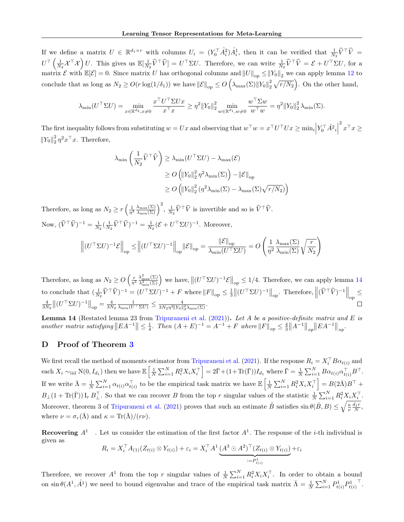If we define a matrix  $U \in \mathbb{R}^{d_1 \times r}$  with columns  $U_i = (Y_0^\top \hat{A}_i^2) \hat{A}_i^1$ , then it can be verified that  $\frac{1}{N_2} \hat{V}^\top \hat{V} =$  $U^{\top} \left( \frac{1}{N_2} \mathcal{X}^{\top} \mathcal{X} \right) U$ . This gives us  $\mathbb{E}[\frac{1}{N_2} \widehat{V}^{\top} \widehat{V}] = U^{\top} \Sigma U$ . Therefore, we can write  $\frac{1}{N_2} \widehat{V}^{\top} \widehat{V} = \mathcal{E} + U^{\top} \Sigma U$ , for a matrix  $\mathcal E$  with  $\mathbb E[\mathcal E]=0$ . Since matrix U has orthogonal columns and  $||U||_{op} \le ||Y_0||_2$  we can apply lemma [12](#page-22-1) to conclude that as long as  $N_2 \geq O(r \log(1/\delta_1))$  we have  $\|\mathcal{E}\|_{op} \leq O\left(\lambda_{\max}(\Sigma) \|Y_0\|_2^2 \sqrt{r/N_2}\right)$ . On the other hand,

$$
\lambda_{\min}(U^{\top} \Sigma U) = \min_{x \in \mathbb{R}^{d_3}, x \neq 0} \frac{x^{\top} U^{\top} \Sigma U x}{x^{\top} x} \ge \eta^2 \|Y_0\|_{2}^2 \min_{w \in \mathbb{R}^{d_1}, w \neq 0} \frac{w^{\top} \Sigma w}{w^{\top} w} = \eta^2 \|Y_0\|_{2}^2 \lambda_{\min}(\Sigma).
$$

The first inequality follows from substituting  $w = Ux$  and observing that  $w^{\top}w = x^{\top}U^{\top}Ux \ge \min_i \Big| Y_0^{\top} \hat{A}^2_i \Big|$  $x^{\top}x \geq x$  $||Y_0||_2^2 \eta^2 x^\top x$ . Therefore,

$$
\lambda_{\min} \left( \frac{1}{N_2} \widehat{V}^\top \widehat{V} \right) \ge \lambda_{\min} (U^\top \Sigma U) - \lambda_{\max} (\mathcal{E})
$$
  
\n
$$
\ge O \left( \|Y_0\|_2^2 \eta^2 \lambda_{\min} (\Sigma) \right) - \|\mathcal{E}\|_{\text{op}}
$$
  
\n
$$
\ge O \left( \|Y_0\|_2^2 \left( \eta^2 \lambda_{\min} (\Sigma) - \lambda_{\max} (\Sigma) \sqrt{r/N_2} \right) \right)
$$

Therefore, as long as  $N_2 \ge r \left(\frac{1}{\eta^2} \frac{\lambda_{\max}(\Sigma)}{\lambda_{\min}(\Sigma)}\right)^2$ ,  $\frac{1}{N_2} \widehat{V}^\top \widehat{V}$  is invertible and so is  $\widehat{V}^\top \widehat{V}$ . Now,  $(\hat{V}^{\top}\hat{V})^{-1} = \frac{1}{N_2}(\frac{1}{N_2}\hat{V}^{\top}\hat{V})^{-1} = \frac{1}{N_2}(\mathcal{E} + U^{\top}\Sigma U)^{-1}$ . Moreover,

$$
\left\| (U^\top \Sigma U)^{-1} \mathcal{E} \right\|_{\text{op}} \leq \left\| (U^\top \Sigma U)^{-1} \right\|_{\text{op}} \| \mathcal{E} \|_{\text{op}} = \frac{\left\| \mathcal{E} \right\|_{\text{op}}}{\lambda_{\min}(U^\top \Sigma U)} = O\left( \frac{1}{\eta^2} \frac{\lambda_{\max}(\Sigma)}{\lambda_{\min}(\Sigma)} \sqrt{\frac{r}{N_2}} \right)
$$

Therefore, as long as  $N_2 \geq O\left(\frac{r}{\eta^2}\right)$  $\frac{\lambda_{\max}^2(\Sigma)}{\lambda_{\min}^2(\Sigma)}$  we have,  $\left\| (U^\top \Sigma U)^{-1} \mathcal{E} \right\|_{\text{op}} \leq 1/4$ . Therefore, we can apply lemma [14](#page-23-0) to conclude that  $\left(\frac{1}{N_2}\widehat{V}^{\top}\widehat{V}\right)^{-1} = (U^{\top}\Sigma U)^{-1} + F$  where  $||F||_{op} \le \frac{1}{3} ||(U^{\top}\Sigma U)^{-1}||_{op}$ . Therefore,  $||(\widehat{V}^{\top}\widehat{V})^{-1}||_{op} \le$  $\frac{4}{3N_2} \left\| (U^\top \Sigma U)^{-1} \right\|_{\text{op}} = \frac{4}{3N_2} \frac{1}{\lambda_{\min}(U^\top \Sigma U)} \le \frac{4}{3N_2 \eta^2 \|Y_0\|_2^2 \lambda_{\min}(\Sigma)}.$ 

<span id="page-23-0"></span>**Lemma 14** (Restated lemma 23 from [Tripuraneni et al.](#page-9-4) [\(2021\)](#page-9-4)). Let A be a positive-definite matrix and E is another matrix satisfying  $||EA^{-1}|| \leq \frac{1}{4}$ . Then  $(A + E)^{-1} = A^{-1} + F$  where  $||F||_{op} \leq \frac{4}{3}||A^{-1}||_{op}||EA^{-1}||_{op}$ .

# D Proof of Theorem [3](#page-6-2)

We first recall the method of moments estimator from [Tripuraneni et al.](#page-9-4) [\(2021\)](#page-9-4). If the response  $R_i = X_i^{\top} B \alpha_{t(i)}$  and each  $X_i \sim_{\text{iid}} N(0, I_{d_1})$  then we have  $\mathbb{E}\left[\frac{1}{N}\sum_{i=1}^N R_i^2 X_i X_i^\top \right] = 2\bar{\Gamma} + (1+\text{Tr}(\bar{\Gamma}))I_{d_1}$  where  $\bar{\Gamma} = \frac{1}{N}\sum_{i=1}^N B \alpha_{t(i)} \alpha_{t(i)}^\top B^\top$ . If we write  $\bar{\Lambda} = \frac{1}{N} \sum_{i=1}^{N} \alpha_{t(i)} \alpha_{t(i)}^{\top}$  to be the empirical task matrix we have  $\mathbb{E}\left[\frac{1}{N} \sum_{i=1}^{N} R_i^2 X_i X_i^{\top}\right] = B(2\bar{\Lambda})B^{\top} +$  $B_{\perp}(1+\text{Tr}(\bar{\Gamma}))\,\mathbf{I}_r\,B_{\perp}^{\top}$ . So that we can recover B from the top r singular values of the statistic  $\frac{1}{N}\sum_{i=1}^{N}R_i^2X_iX_i^{\top}$ . Moreover, theorem 3 of [Tripuraneni et al.](#page-9-4) [\(2021\)](#page-9-4) proves that such an estimate  $\hat{B}$  satisfies  $\sin \theta(\hat{B}, B) \le \sqrt{\frac{\kappa}{\nu}} \frac{d_1 r}{N}$ , where  $\nu = \sigma_r(\bar{\Lambda})$  and  $\kappa = \text{Tr}(\bar{\Lambda})/(r\nu)$ .

**Recovering**  $A^1$ . Let us consider the estimation of the first factor  $A^1$ . The response of the *i*-th individual is given as

$$
R_i = X_i^{\top} A_{(1)} (Z_{t(i)} \otimes Y_{t(i)}) + \varepsilon_i = X_i^{\top} A^1 \underbrace{(A^3 \odot A^2)^{\top} (Z_{t(i)} \otimes Y_{t(i)})}_{:= P^1_{t(i)}} + \varepsilon_i
$$

Therefore, we recover  $A^1$  from the top r singular values of  $\frac{1}{N}\sum_{i=1}^N R_i^2 X_i X_i^{\top}$ . In order to obtain a bound on  $\sin \theta (A^1, \hat{A}^1)$  we need to bound eigenvalue and trace of the empirical task matrix  $\bar{\Lambda} = \frac{1}{N} \sum_{i=1}^N P^1_{t(i)} P^1_{t(i)}$ > .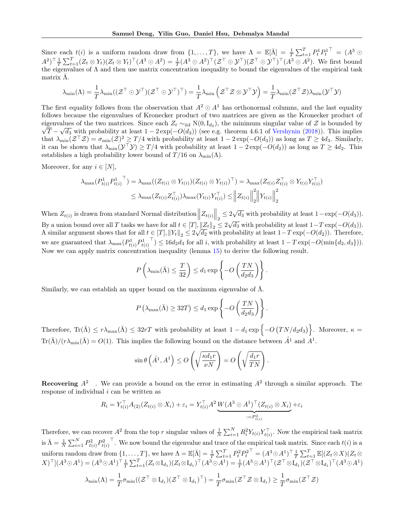Since each  $t(i)$  is a uniform random draw from  $\{1,\ldots,T\}$ , we have  $\Lambda = \mathbb{E}[\bar{\Lambda}] = \frac{1}{T} \sum_{t=1}^{T} P_t^1 P_t^1$ <sup>T</sup> =  $(A^3 \odot$  $(A^2)^\top \frac{1}{T} \sum_{t=1}^T (Z_t \otimes Y_t) (Z_t \otimes Y_t)^\top (A^3 \odot A^2) = \frac{1}{T} (A^3 \odot A^2)^\top (Z^\top \odot \mathcal{Y}^\top) (\mathcal{Z}^\top \odot \mathcal{Y}^\top)^\top (A^3 \odot A^2)$ . We first bound the eigenvalues of  $\Lambda$  and then use matrix concentration inequality to bound the eigenvalues of the empirical task matrix  $\bar{\Lambda}$ .

$$
\lambda_{\min}(\Lambda)=\frac{1}{T}\lambda_{\min}((\mathcal{Z}^\top\odot\mathcal{Y}^\top)(\mathcal{Z}^\top\odot\mathcal{Y}^\top)^\top)=\frac{1}{T}\lambda_{\min}\left(\mathcal{Z}^\top\mathcal{Z}\otimes\mathcal{Y}^\top\mathcal{Y}\right)=\frac{1}{T}\lambda_{\min}(\mathcal{Z}^\top\mathcal{Z})\lambda_{\min}(\mathcal{Y}^\top\mathcal{Y})
$$

The first equality follows from the observation that  $A^2 \odot A^1$  has orthonormal columns, and the last equality follows because the eigenvalues of Kronecker product of two matrices are given as the Kronecker product of eigenvalues of the two matrices. Since each  $Z_t \sim_{\text{iid}} N(0, I_{d_3})$ , the minimum singular value of Z is bounded by  $T-\sqrt{d_3}$  with probability at least  $1-2\exp(-O(d_3))$  (see e.g. theorem 4.6.1 of [Vershynin](#page-9-24) [\(2018\)](#page-9-24)). This implies that  $\lambda_{\min}(\mathcal{Z}^{\top}\mathcal{Z}) = \sigma_{\min}(\mathcal{Z})^2 \geq T/4$  with probability at least  $1 - 2\exp(-O(d_3))$  as long as  $T \geq 4d_3$ . Similarly, it can be shown that  $\lambda_{\min}(\mathcal{Y}^{\top}\mathcal{Y}) \geq T/4$  with probability at least  $1 - 2\exp(-O(d_2))$  as long as  $T \geq 4d_2$ . This establishes a high probability lower bound of  $T/16$  on  $\lambda_{\min}(\Lambda)$ .

Moreover, for any  $i \in [N]$ ,

$$
\lambda_{\max}(P_{t(i)}^1 P_{t(i)}^1) = \lambda_{\max}((Z_{t(i)} \otimes Y_{t(i)})(Z_{t(i)} \otimes Y_{t(i)})^\top) = \lambda_{\max}(Z_{t(i)} Z_{t(i)}^\top \otimes Y_{t(i)} Y_{t(i)}^\top)
$$
  

$$
\leq \lambda_{\max}(Z_{t(i)} Z_{t(i)}^\top) \lambda_{\max}(Y_{t(i)} Y_{t(i)}^\top) \leq ||Z_{t(i)}||_2^2 ||Y_{t(i)}||_2^2
$$

When  $Z_{t(i)}$  is drawn from standard Normal distribution  $||Z_{t(i)}||_2 \leq 2\sqrt{d_3}$  with probability at least  $1 - \exp(-O(d_3)).$ By a union bound over all T tasks we have for all  $t \in [T], ||Z_t||_2 \leq 2\sqrt{d_3}$  with probability at least  $1-T \exp(-O(d_3)).$ A similar argument shows that for all  $t \in [T], ||Y_t||_2 \leq 2\sqrt{d_2}$  with probability at least  $1-T \exp(-O(d_2))$ . Therefore, we are guaranteed that  $\lambda_{\max}(P_{t(i)}^1 P_{t(i)}^1)$  $\mathcal{L}(\mathcal{L}) \leq 16d_2d_3$  for all *i*, with probability at least  $1 - T \exp(-O(\min\{d_2, d_3\})).$ Now we can apply matrix concentration inequality (lemma [15\)](#page-25-0) to derive the following result.

$$
P\left(\lambda_{\min}(\bar{\Lambda}) \le \frac{T}{32}\right) \le d_1 \exp\left\{-O\left(\frac{TN}{d_2 d_3}\right)\right\}.
$$

Similarly, we can establish an upper bound on the maximum eigenvalue of  $\bar{\Lambda}$ .

$$
P\left(\lambda_{\max}(\bar{\Lambda}) \ge 32T\right) \le d_1 \exp\left\{-O\left(\frac{TN}{d_2 d_3}\right)\right\}.
$$

Therefore,  $\text{Tr}(\bar{\Lambda}) \leq r \lambda_{\text{max}}(\bar{\Lambda}) \leq 32rT$  with probability at least  $1 - d_1 \exp \{-O(TN/d_2 d_3)\}\.$  Moreover,  $\kappa =$  $\text{Tr}(\bar{\Lambda})/ (r \lambda_{\min}(\bar{\Lambda}) = O(1)$ . This implies the following bound on the distance between  $\hat{A}^1$  and  $A^1$ .

$$
\sin \theta \left( \hat{A}^1, A^1 \right) \le O\left( \sqrt{\frac{\kappa d_1 r}{\nu N}} \right) = O\left( \sqrt{\frac{d_1 r}{T N}} \right).
$$

**Recovering**  $A^2$ . We can provide a bound on the error in estimating  $A^2$  through a similar approach. The response of individual  $i$  can be written as

$$
R_i = Y_{t(i)}^{\top} A_{(2)} (Z_{t(i)} \otimes X_i) + \varepsilon_i = Y_{t(i)}^{\top} A^2 \underbrace{W (A^3 \odot A^1)^{\top} (Z_{t(i)} \otimes X_i)}_{:= P_{t(i)}^2} + \varepsilon_i
$$

Therefore, we can recover  $A^2$  from the top r singular values of  $\frac{1}{N} \sum_{i=1}^N R_i^2 Y_{t(i)} Y_{t(i)}^{\top}$ . Now the empirical task matrix is  $\bar{\Lambda} = \frac{1}{N} \sum_{i=1}^{N} P_{t(i)}^2 P_{t(i)}^2$ <sup>T</sup>. We now bound the eigenvalue and trace of the empirical task matrix. Since each  $t(i)$  is a uniform random draw from {1, . . . , T}, we have Λ = E[Λ¯] = <sup>1</sup> T P<sup>T</sup> <sup>t</sup>=1 P 2 <sup>t</sup> P 2 t <sup>&</sup>gt; = (A<sup>3</sup>A<sup>1</sup> ) > 1 T P<sup>T</sup> <sup>t</sup>=1 <sup>E</sup>[(Zt⊗X)(Zt<sup>⊗</sup>  $(X)^{\top}](A^3 \odot A^1) = (A^3 \odot A^1)^{\top} \frac{1}{T} \sum_{t=1}^T (Z_t \otimes \mathbf{I}_{d_1}) (Z_t \otimes \mathbf{I}_{d_1})^{\top} (A^3 \odot A^1) = \frac{1}{T} (A^3 \odot A^1)^{\top} (\mathcal{Z}^{\top} \otimes \mathbf{I}_{d_1}) (\mathcal{Z}^{\top} \otimes \mathbf{I}_{d_1})^{\top} (A^3 \odot A^1)$  $\lambda_{\min}(\Lambda)=\frac{1}{T}\sigma_{\min}((\mathcal{Z}^\top\otimes\mathrm{I}_{d_1})(\mathcal{Z}^\top\otimes\mathrm{I}_{d_1})^\top)=\frac{1}{T}\sigma_{\min}(\mathcal{Z}^\top\mathcal{Z}\otimes\mathrm{I}_{d_1})\geq\frac{1}{T}$  $\frac{1}{T} \sigma_{\min} (\mathcal{Z}^\top \mathcal{Z})$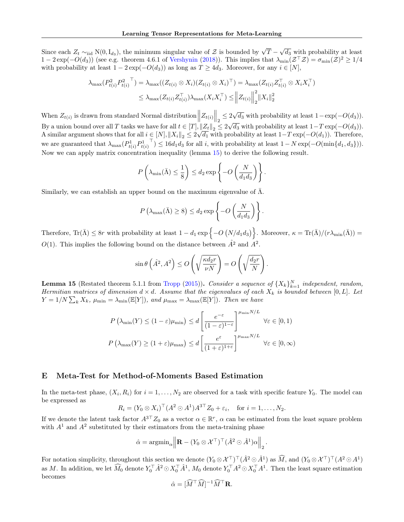Since each  $Z_t \sim_{\text{iid}} N(0, I_{d_3})$ , the minimum singular value of  $\mathcal Z$  is bounded by  $\sqrt{T} - \sqrt{d_3}$  with probability at least  $1-2\exp(-O(d_3))$  (see e.g. theorem 4.6.1 of [Vershynin](#page-9-24) [\(2018\)](#page-9-24)). This implies that  $\lambda_{\min}(\mathcal{Z}^\top \mathcal{Z}) = \sigma_{\min}(\mathcal{Z})^2 \geq 1/4$ with probability at least  $1 - 2 \exp(-O(d_3))$  as long as  $T \geq 4d_3$ . Moreover, for any  $i \in [N]$ ,

$$
\lambda_{\max}(P_{t(i)}^2 P_{t(i)}^2) = \lambda_{\max}((Z_{t(i)} \otimes X_i)(Z_{t(i)} \otimes X_i)^{\top}) = \lambda_{\max}(Z_{t(i)} Z_{t(i)}^{\top} \otimes X_i X_i^{\top})
$$
  

$$
\leq \lambda_{\max}(Z_{t(i)} Z_{t(i)}^{\top}) \lambda_{\max}(X_i X_i^{\top}) \leq ||Z_{t(i)}||_2^2 ||X_i||_2^2
$$

When  $Z_{t(i)}$  is drawn from standard Normal distribution  $||Z_{t(i)}||_2 \leq 2\sqrt{d_3}$  with probability at least  $1-\exp(-O(d_3))$ . By a union bound over all T tasks we have for all  $t \in [T], ||Z_t||_2 \leq 2\sqrt{d_3}$  with probability at least  $1-T \exp(-O(d_3))$ . By a union bound over an *I* tasks we nave for an  $t \in [1], ||Z_t||_2 \le 2\sqrt{d_3}$  with probability at least  $1-T \exp(-O(d_3))$ .<br>A similar argument shows that for all  $i \in [N], ||X_i||_2 \le 2\sqrt{d_1}$  with probability at least  $1-T \exp(-O(d_1))$ . T we are guaranteed that  $\lambda_{\max}(P_{t(i)}^1 P_{t(i)}^1)$ <sup>T</sup>)  $\leq 16d_1d_3$  for all i, with probability at least  $1 - N \exp(-O(\min\{d_1, d_3\}))$ . Now we can apply matrix concentration inequality (lemma [15\)](#page-25-0) to derive the following result.

$$
P\left(\lambda_{\min}(\bar{\Lambda}) \le \frac{1}{8}\right) \le d_2 \exp\left\{-O\left(\frac{N}{d_1 d_3}\right)\right\}.
$$

Similarly, we can establish an upper bound on the maximum eigenvalue of  $\bar{\Lambda}$ .

$$
P\left(\lambda_{\max}(\bar{\Lambda}) \ge 8\right) \le d_2 \exp\left\{-O\left(\frac{N}{d_1 d_3}\right)\right\}.
$$

Therefore,  $\text{Tr}(\bar{\Lambda}) \leq 8r$  with probability at least  $1 - d_1 \exp \{-O(N/d_1 d_3)\}\.$  Moreover,  $\kappa = \text{Tr}(\bar{\Lambda})/(r\lambda_{\min}(\bar{\Lambda})) =$ O(1). This implies the following bound on the distance between  $\hat{A}^2$  and  $\hat{A}^2$ .

$$
\sin \theta \left( \hat{A}^2, A^2 \right) \le O\left( \sqrt{\frac{\kappa d_2 r}{\nu N}} \right) = O\left( \sqrt{\frac{d_2 r}{N}} \right).
$$

<span id="page-25-0"></span>**Lemma 15** (Restated theorem 5.1.1 from [Tropp](#page-9-25) [\(2015\)](#page-9-25)). Consider a sequence of  $\{X_k\}_{k=1}^N$  independent, random, Hermitian matrices of dimension  $d \times d$ . Assume that the eigenvalues of each  $X_k$  is bounded between [0, L]. Let  $Y = 1/N \sum_{k} X_{k}$ ,  $\mu_{\min} = \lambda_{\min}(\mathbb{E}[Y])$ , and  $\mu_{\max} = \lambda_{\max}(\mathbb{E}[Y])$ . Then we have

$$
P\left(\lambda_{\min}(Y) \le (1 - \varepsilon)\mu_{\min}\right) \le d\left[\frac{e^{-\varepsilon}}{(1 - \varepsilon)^{1 - \varepsilon}}\right]^{\mu_{\min} N/L} \quad \forall \varepsilon \in [0, 1)
$$

$$
P\left(\lambda_{\max}(Y) \ge (1 + \varepsilon)\mu_{\max}\right) \le d\left[\frac{e^{\varepsilon}}{(1 + \varepsilon)^{1 + \varepsilon}}\right]^{\mu_{\max} N/L} \quad \forall \varepsilon \in [0, \infty)
$$

# E Meta-Test for Method-of-Moments Based Estimation

In the meta-test phase,  $(X_i, R_i)$  for  $i = 1, ..., N_2$  are observed for a task with specific feature  $Y_0$ . The model can be expressed as

$$
R_i = (Y_0 \otimes X_i)^\top (A^2 \odot A^1) A^{3\top} Z_0 + \varepsilon_i, \text{ for } i = 1, \dots, N_2.
$$

If we denote the latent task factor  $A^{3\top}Z_0$  as a vector  $\alpha \in \mathbb{R}^r$ ,  $\alpha$  can be estimated from the least square problem with  $A<sup>1</sup>$  and  $A<sup>2</sup>$  substituted by their estimators from the meta-training phase

$$
\hat{\alpha} = \operatorname{argmin}_{\alpha} \left\| \mathbf{R} - (Y_0 \otimes \mathcal{X}^\top)^\top (\hat{A}^2 \odot \hat{A}^1) \alpha \right\|_2.
$$

For notation simplicity, throughout this section we denote  $(Y_0 \otimes \mathcal{X}^{\top})^{\top} (\hat{A}^2 \odot \hat{A}^1)$  as  $\widehat{M}$ , and  $(Y_0 \otimes \mathcal{X}^{\top})^{\top} (A^2 \odot A^1)$ as M. In addition, we let  $\widehat{M}_0$  denote  $Y_0^{\top} \hat{A}^2 \odot X_0^{\top} \hat{A}^1$ ,  $M_0$  denote  $Y_0^{\top} A^2 \odot X_0^{\top} A^1$ . Then the least square estimation becomes

$$
\hat{\alpha} = [\widehat{M}^\top \widehat{M}]^{-1} \widehat{M}^\top \mathbf{R}.
$$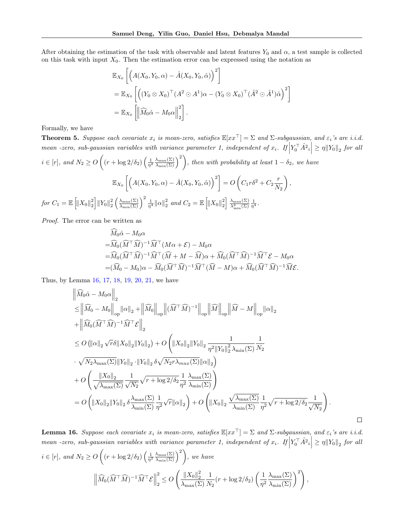After obtaining the estimation of the task with observable and latent features  $Y_0$  and  $\alpha$ , a test sample is collected on this task with input  $X_0$ . Then the estimation error can be expressed using the notation as

$$
\mathbb{E}_{X_0} \left[ \left( A(X_0, Y_0, \alpha) - \hat{A}(X_0, Y_0, \hat{\alpha}) \right)^2 \right]
$$
  
=  $\mathbb{E}_{X_0} \left[ \left( (Y_0 \otimes X_0)^\top (A^2 \odot A^1) \alpha - (Y_0 \otimes X_0)^\top (\hat{A}^2 \odot \hat{A}^1) \hat{\alpha} \right)^2 \right]$   
=  $\mathbb{E}_{X_0} \left[ \left\| \widehat{M}_0 \hat{\alpha} - M_0 \alpha \right\|_2^2 \right].$ 

Formally, we have

**Theorem 5.** Suppose each covariate  $x_i$  is mean-zero, satisfies  $\mathbb{E}[xx^\top] = \Sigma$  and  $\Sigma$ -subgaussian, and  $\varepsilon_i$ 's are i.i.d. mean -zero, sub-gaussian variables with variance parameter 1, independent of  $x_i$ . If  $\left| Y_0^\top \hat{A^2}_i \right| \geq \eta \left\| Y_0 \right\|_2$  for all  $i \in [r]$ , and  $N_2 \geq O\left((r + \log 2/\delta_2) \left(\frac{1}{\eta^2} \frac{\lambda_{\max}(\Sigma)}{\lambda_{\min}(\Sigma)}\right)^2\right)$ , then with probability at least  $1 - \delta_2$ , we have  $\mathbb{E}_{X_0}\left[\left(A(X_0,Y_0,\alpha)-\hat{A}(X_0,Y_0,\hat{\alpha})\right)^2\right]=O\left(C_1r\delta^2+C_2\frac{r}{N}\right)$  $N_{2}$  $\bigg),$  $\text{for } C_1 = \mathbb{E}\left[ \left\| X_0 \right\|^2_2 \right] \left\| Y_0 \right\|^2_2 \left( \frac{\lambda_{\max}(\Sigma)}{\lambda_{\min}(\Sigma)} \right)^2 \frac{1}{\eta^4} \left\| \alpha \right\|^2_2 \text{ and } C_2 = \mathbb{E}\left[ \left\| X_0 \right\|^2_2 \right] \frac{\lambda_{\max}(\Sigma)}{\lambda_{\min}^2(\Sigma)} \frac{1}{\eta^4}.$ 

Proof. The error can be written as

$$
\begin{split}\n\widehat{M}_{0}\widehat{\alpha} - M_{0}\alpha \\
&= \widehat{M}_{0}(\widehat{M}^{\top}\widehat{M})^{-1}\widehat{M}^{\top}(M\alpha + \mathcal{E}) - M_{0}\alpha \\
&= \widehat{M}_{0}(\widehat{M}^{\top}\widehat{M})^{-1}\widehat{M}^{\top}(\widehat{M} + M - \widehat{M})\alpha + \widehat{M}_{0}(\widehat{M}^{\top}\widehat{M})^{-1}\widehat{M}^{\top}\mathcal{E} - M_{0}\alpha \\
&= (\widehat{M}_{0} - M_{0})\alpha - \widehat{M}_{0}(\widehat{M}^{\top}\widehat{M})^{-1}\widehat{M}^{\top}(\widehat{M} - M)\alpha + \widehat{M}_{0}(\widehat{M}^{\top}\widehat{M})^{-1}\widehat{M}\mathcal{E}.\n\end{split}
$$

Thus, by Lemma [16,](#page-26-0) [17,](#page-27-0) [18,](#page-28-0) [19,](#page-29-0) [20,](#page-30-0) [21,](#page-30-1) we have

$$
\begin{split}\n&\left\|\widehat{M}_{0}\hat{\alpha}-M_{0}\alpha\right\|_{2} \\
&\leq\left\|\widehat{M}_{0}-M_{0}\right\|_{\text{op}}\left\|\alpha\right\|_{2}+\left\|\widehat{M}_{0}\right\|_{\text{op}}\left\|(\widehat{M}^{\top}\widehat{M})^{-1}\right\|_{\text{op}}\left\|\widehat{M}\right\|_{\text{op}}\left\|\widehat{M}-M\right\|_{\text{op}}\left\|\alpha\right\|_{2} \\
&+\left\|\widehat{M}_{0}(\widehat{M}^{\top}\widehat{M})^{-1}\widehat{M}^{\top}\mathcal{E}\right\|_{2} \\
&\leq O\left(\|\alpha\|_{2}\sqrt{r}\delta\|X_{0}\|_{2}\|Y_{0}\|_{2}\right)+O\left(\|X_{0}\|_{2}\|Y_{0}\|_{2}\frac{1}{\eta^{2}\|Y_{0}\|_{2}^{2}\lambda_{\min}(\Sigma)}\frac{1}{N_{2}} \\
&\cdot\sqrt{N_{2}\lambda_{\max}(\Sigma)}\|Y_{0}\|_{2}\cdot\|Y_{0}\|_{2}\delta\sqrt{N_{2}r\lambda_{\max}(\Sigma)}\|\alpha\|_{2}\right) \\
&+O\left(\frac{\|X_{0}\|_{2}}{\sqrt{\lambda_{\max}(\Sigma)}}\frac{1}{\sqrt{N_{2}}}\sqrt{r+\log 2/\delta_{2}}\frac{1}{\eta^{2}}\frac{\lambda_{\max}(\Sigma)}{\lambda_{\min}(\Sigma)}\right) \\
&=O\left(\|X_{0}\|_{2}\|Y_{0}\|_{2}\delta\frac{\lambda_{\max}(\Sigma)}{\lambda_{\min}(\Sigma)}\frac{1}{\eta^{2}}\sqrt{r}\|\alpha\|_{2}\right)+O\left(\|X_{0}\|_{2}\frac{\sqrt{\lambda_{\max}(\Sigma)}}{\lambda_{\min}(\Sigma)}\frac{1}{\eta^{2}}\sqrt{r+\log 2/\delta_{2}}\frac{1}{\sqrt{N_{2}}}\right).\n\end{split}
$$

<span id="page-26-0"></span>**Lemma 16.** Suppose each covariate  $x_i$  is mean-zero, satisfies  $\mathbb{E}[xx^\top] = \Sigma$  and  $\Sigma$ -subgaussian, and  $\varepsilon_i$ 's are i.i.d. mean -zero, sub-gaussian variables with variance parameter 1, independent of  $x_i$ . If  $\left| Y_0^\top \hat{A}^2 \right| \geq \eta \left\| Y_0 \right\|_2$  for all  $i \in [r]$ , and  $N_2 \geq O\left((r + \log 2/\delta_2) \left(\frac{1}{\eta^2} \frac{\lambda_{\max}(\Sigma)}{\lambda_{\min}(\Sigma)}\right)^2\right)$ , we have  $\left\| \widehat{M}_0 (\widehat{M}^\top \widehat{M})^{-1} \widehat{M}^\top \mathcal{E} \right\|$ 2  $\frac{1}{2} \leq O$  $\left( \frac{\|X_0\|_2^2}{\|X_0\|_2^2} \right)$  $\lambda_{\max}(\Sigma)$ 1  $\frac{1}{N_2}(r + \log 2/\delta_2) \left(\frac{1}{\eta^2}\right)$  $\eta^2$  $\frac{\lambda_{\max}(\Sigma)}{\lambda_{\min}(\Sigma)}$ <sup>2</sup> ,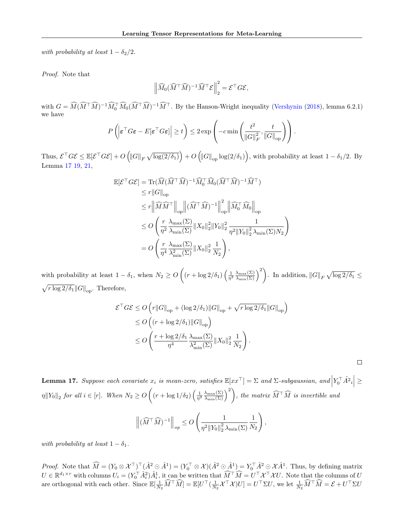with probability at least  $1 - \delta_2/2$ .

Proof. Note that

$$
\left\| \widehat{M}_0(\widehat{M}^\top \widehat{M})^{-1} \widehat{M}^\top \mathcal{E} \right\|_2^2 = \mathcal{E}^\top G \mathcal{E},
$$

with  $G = \widehat{M}(\widehat{M}^\top \widehat{M})^{-1} \widehat{M}_0^\top \widehat{M}_0(\widehat{M}^\top \widehat{M})^{-1} \widehat{M}^\top$ . By the Hanson-Wright inequality [\(Vershynin](#page-9-24) [\(2018\)](#page-9-24), lemma 6.2.1) we have

$$
P\left(\left|\boldsymbol{\varepsilon}^{\top} G \boldsymbol{\varepsilon} - E[\boldsymbol{\varepsilon}^{\top} G \boldsymbol{\varepsilon}] \right| \geq t\right) \leq 2 \exp\left(-c \min\left(\frac{t^2}{\|G\|_F^2}, \frac{t}{\|G\|_{\text{op}}}\right)\right).
$$

Thus,  $\mathcal{E}^\top G \mathcal{E} \leq \mathbb{E}[\mathcal{E}^\top G \mathcal{E}] + O\left(\|G\|_F \sqrt{\log(2/\delta_1)}\right) + O\left(\|G\|_{\text{op}} \log(2/\delta_1)\right)$ , with probability at least  $1 - \delta_1/2$ . By Lemma [17](#page-27-0) [19,](#page-29-0) [21,](#page-30-1)

$$
\mathbb{E}[\mathcal{E}^\top G \mathcal{E}] = \text{Tr}(\widehat{M}(\widehat{M}^\top \widehat{M})^{-1} \widehat{M}_0^\top \widehat{M}_0(\widehat{M}^\top \widehat{M})^{-1} \widehat{M}^\top)
$$
  
\n
$$
\leq r \|G\|_{\text{op}}
$$
  
\n
$$
\leq r \|\widehat{M}\widehat{M}^\top\|_{\text{op}} \|(\widehat{M}^\top \widehat{M})^{-1}\|_{\text{op}}^2 \|\widehat{M}_0^\top \widehat{M}_0\|_{\text{op}}
$$
  
\n
$$
\leq O \left(\frac{r}{\eta^2} \frac{\lambda_{\max}(\Sigma)}{\lambda_{\min}(\Sigma)} \|X_0\|_2^2 \|Y_0\|_2^2 \frac{1}{\eta^2 \|Y_0\|_2^2 \lambda_{\min}(\Sigma) N_2}
$$
  
\n
$$
= O \left(\frac{r}{\eta^4} \frac{\lambda_{\max}(\Sigma)}{\lambda_{\min}^2(\Sigma)} \|X_0\|_2^2 \frac{1}{N_2}\right),
$$

 $\setminus$ 

 $\Box$ 

with probability at least  $1 - \delta_1$ , when  $N_2 \ge O\left((r + \log 2/\delta_1) \left(\frac{1}{\eta^2} \frac{\lambda_{\max}(\Sigma)}{\lambda_{\min}(\Sigma)}\right)^2\right)$ . In addition,  $||G||_F \sqrt{\log 2/\delta_1} \le$  $\sqrt{r \log 2/\delta_1} ||G||_{op}$ . Therefore,

$$
\mathcal{E}^\top G \mathcal{E} \le O\left(r \|G\|_{\text{op}} + (\log 2/\delta_1) \|G\|_{\text{op}} + \sqrt{r \log 2/\delta_1} \|G\|_{\text{op}}\right)
$$
  
\n
$$
\le O\left((r + \log 2/\delta_1) \|G\|_{\text{op}}\right)
$$
  
\n
$$
\le O\left(\frac{r + \log 2/\delta_1}{\eta^4} \frac{\lambda_{\max}(\Sigma)}{\lambda_{\min}^2(\Sigma)} \|X_0\|_2^2 \frac{1}{N_2}\right).
$$

<span id="page-27-0"></span>**Lemma 17.** Suppose each covariate  $x_i$  is mean-zero, satisfies  $\mathbb{E}[xx^\top] = \Sigma$  and  $\Sigma$ -subgaussian, and  $\left| Y_0^\top \hat{A^2}_i \right| \geq 0$  $\eta \|Y_0\|_2$  for all  $i \in [r]$ . When  $N_2 \geq O\left((r + \log 1/\delta_2) \left(\frac{1}{\eta^2} \frac{\lambda_{\max}(\Sigma)}{\lambda_{\min}(\Sigma)}\right)^2\right)$ , the matrix  $\widehat{M}^\top \widehat{M}$  is invertible and

$$
\left\|(\widehat{M}^{\top}\widehat{M})^{-1}\right\|_{op} \le O\left(\frac{1}{\eta^2\|Y_0\|_2^2\lambda_{\min}(\Sigma)}\frac{1}{N_2}\right),\,
$$

with probability at least  $1 - \delta_1$ .

*Proof.* Note that  $\widehat{M} = (Y_0 \otimes \mathcal{X}^\top)^\top (\hat{A}^2 \odot \hat{A}^1) = (Y_0^\top \otimes \mathcal{X}) (\hat{A}^2 \odot \hat{A}^1) = Y_0^\top \hat{A}^2 \odot \mathcal{X} \hat{A}^1$ . Thus, by defining matrix  $U \in \mathbb{R}^{d_1 \times r}$  with columns  $U_i = (Y_0^\top \hat{A}_i^2) \hat{A}_i^1$ , it can be written that  $\widehat{M}^\top \widehat{M} = U^\top \mathcal{X}^\top \mathcal{X} U$ . Note that the columns of  $U$ are orthogonal with each other. Since  $\mathbb{E}[\frac{1}{N_2} \widehat{M}^\top \widehat{M}] = \mathbb{E}[U^\top (\frac{1}{N_2} \mathcal{X}^\top \mathcal{X}) U] = U^\top \Sigma U$ , we let  $\frac{1}{N_2} \widehat{M}^\top \widehat{M} = \mathcal{E} + U^\top \Sigma U$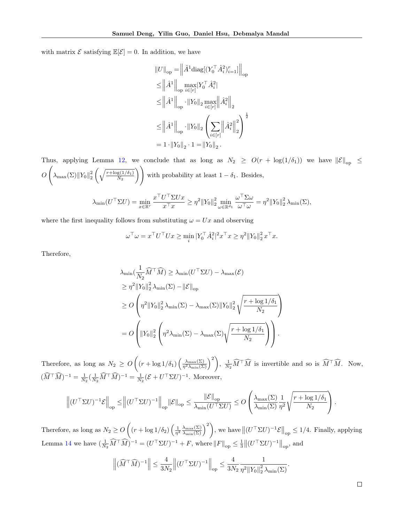with matrix  $\mathcal E$  satisfying  $\mathbb E[\mathcal E]=0$ . In addition, we have

$$
\label{eq:22} \begin{split} &\left\| U \right\|_{\rm op} = \left\| \hat{A}^1 \text{diag}[(Y_0^\top \hat{A}_i^2)_{i=1}^r] \right\|_{\rm op} \\ &\leq \left\| \hat{A}^1 \right\|_{\rm op} \max_{i \in [r]} |Y_0^\top \hat{A}_i^2| \\ &\leq \left\| \hat{A}^1 \right\|_{\rm op} \cdot \left\| Y_0 \right\|_2 \max_{i \in [r]} \left\| \hat{A}_i^2 \right\|_2 \\ &\leq \left\| \hat{A}^1 \right\|_{\rm op} \cdot \left\| Y_0 \right\|_2 \left( \sum_{i \in [r]} \left\| \hat{A}_i^2 \right\|_2^2 \right)^{\frac{1}{2}} \\ &= 1 \cdot \left\| Y_0 \right\|_2 \cdot 1 = \left\| Y_0 \right\|_2. \end{split}
$$

Thus, applying Lemma [12,](#page-22-1) we conclude that as long as  $N_2 \geq O(r + \log(1/\delta_1))$  we have  $||\mathcal{E}||_{op} \leq$  $\overline{O}$  $\sqrt{2}$  $\lambda_{\max}(\Sigma) \|Y_0\|_2^2 \left(\sqrt{\frac{r+\log(1/\delta_1)}{N_2}}\right)$  $N_2$ ) with probability at least  $1 - \delta_1$ . Besides,

$$
\lambda_{\min}(U^{\top} \Sigma U) = \min_{x \in \mathbb{R}^r} \frac{x^{\top} U^{\top} \Sigma U x}{x^{\top} x} \ge \eta^2 \|Y_0\|_2^2 \min_{\omega \in \mathbb{R}^{d_1}} \frac{\omega^{\top} \Sigma \omega}{\omega^{\top} \omega} = \eta^2 \|Y_0\|_2^2 \lambda_{\min}(\Sigma),
$$

where the first inequality follows from substituting  $\omega = Ux$  and observing

$$
\omega^{\top} \omega = x^{\top} U^{\top} U x \ge \min_{i} |Y_0^{\top} \hat{A}_i^2|^2 x^{\top} x \ge \eta^2 ||Y_0||_2^2 x^{\top} x.
$$

Therefore,

$$
\lambda_{\min}(\frac{1}{N_2}\widehat{M}^\top \widehat{M}) \ge \lambda_{\min}(U^\top \Sigma U) - \lambda_{\max}(\mathcal{E})
$$
\n
$$
\ge \eta^2 \|Y_0\|_2^2 \lambda_{\min}(\Sigma) - \|\mathcal{E}\|_{\text{op}}
$$
\n
$$
\ge O\left(\eta^2 \|Y_0\|_2^2 \lambda_{\min}(\Sigma) - \lambda_{\max}(\Sigma) \|Y_0\|_2^2 \sqrt{\frac{r + \log 1/\delta_1}{N_2}}\right)
$$
\n
$$
= O\left(\|Y_0\|_2^2 \left(\eta^2 \lambda_{\min}(\Sigma) - \lambda_{\max}(\Sigma) \sqrt{\frac{r + \log 1/\delta_1}{N_2}}\right)\right).
$$

Therefore, as long as  $N_2 \geq O\left((r + \log 1/\delta_1)\left(\frac{\lambda_{\max}(\Sigma)}{\eta^2 \lambda_{\min}(\Sigma)}\right)^2\right), \frac{1}{N_2} \widehat{M}^\top \widehat{M}$  is invertible and so is  $\widehat{M}^\top \widehat{M}$ . Now,  $(\widehat{M}^\top \widehat{M})^{-1} = \frac{1}{N_2} (\frac{1}{N_2} \widehat{M}^\top \widehat{M})^{-1} = \frac{1}{N_2} (\mathcal{E} + U^\top \Sigma U)^{-1}$ . Moreover,

$$
\left\| (U^\top \Sigma U)^{-1} \mathcal{E} \right\|_{\text{op}} \leq \left\| (U^\top \Sigma U)^{-1} \right\|_{\text{op}} \left\| \mathcal{E} \right\|_{\text{op}} \leq \frac{\left\| \mathcal{E} \right\|_{\text{op}}}{\lambda_{\min}(U^\top \Sigma U)} \leq O\left( \frac{\lambda_{\max}(\Sigma)}{\lambda_{\min}(\Sigma)} \frac{1}{\eta^2} \sqrt{\frac{r + \log 1/\delta_1}{N_2}} \right).
$$

<span id="page-28-0"></span>Therefore, as long as  $N_2 \geq O\left((r + \log 1/\delta_2) \left(\frac{1}{\eta^2} \frac{\lambda_{\max}(\Sigma)}{\lambda_{\min}(\Sigma)}\right)^2\right)$ , we have  $\left\|(U^\top \Sigma U)^{-1}\mathcal{E}\right\|_{\text{op}} \leq 1/4$ . Finally, applying Lemma [14](#page-23-0) we have  $\left(\frac{1}{N_2}\widehat{M}^\top \widehat{M}\right)^{-1} = (U^\top \Sigma U)^{-1} + F$ , where  $||F||_{op} \leq \frac{1}{3} ||(U^\top \Sigma U)^{-1}||_{op}$ , and

$$
\left\|(\widehat{M}^\top \widehat{M})^{-1}\right\| \leq \frac{4}{3N_2} \left\| (U^\top \Sigma U)^{-1} \right\|_{\text{op}} \leq \frac{4}{3N_2} \frac{1}{\eta^2 \|Y_0\|_2^2 \lambda_{\min}(\Sigma)}.
$$

 $\Box$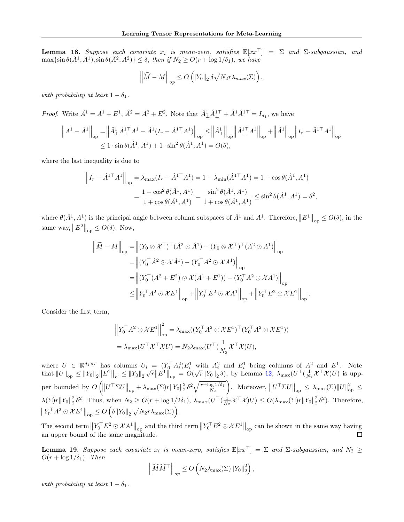**Lemma 18.** Suppose each covariate  $x_i$  is mean-zero, satisfies  $\mathbb{E}[xx^\top] = \Sigma$  and  $\Sigma$ -subgaussian, and  $\max\{\sin\theta(\hat{A}^1, A^1), \sin\theta(\hat{A}^2, A^2)\}\leq \delta$ , then if  $N_2\geq O(r+\log 1/\delta_1)$ , we have

$$
\left\|\widehat{M} - M\right\|_{op} \le O\left(\left\|Y_0\right\|_2 \delta \sqrt{N_2 r \lambda_{max}(\Sigma)}\right),\,
$$

with probability at least  $1 - \delta_1$ .

*Proof.* Write  $\hat{A}^1 = A^1 + E^1$ ,  $\hat{A}^2 = A^2 + E^2$ . Note that  $\hat{A}^1_{\perp} \hat{A}^{1\perp}_{\perp} + \hat{A}^1 \hat{A}^{1\perp}_{\perp} = I_{d_1}$ , we have

$$
\left\| A^{1} - \hat{A}^{1} \right\|_{\text{op}} = \left\| \hat{A}_{\perp}^{1} \hat{A}_{\perp}^{1 \top} A^{1} - \hat{A}^{1} (I_{r} - \hat{A}^{1 \top} A^{1}) \right\|_{\text{op}} \leq \left\| \hat{A}_{\perp}^{1} \right\|_{\text{op}} \left\| \hat{A}_{\perp}^{1 \top} A^{1} \right\|_{\text{op}} + \left\| \hat{A}^{1} \right\|_{\text{op}} \left\| I_{r} - \hat{A}^{1 \top} A^{1} \right\|_{\text{op}} \\ \leq 1 \cdot \sin \theta (\hat{A}^{1}, A^{1}) + 1 \cdot \sin^{2} \theta (\hat{A}^{1}, A^{1}) = O(\delta),
$$

where the last inequality is due to

$$
\left\| I_r - \hat{A}^{1\top} A^1 \right\|_{op} = \lambda_{\max} (I_r - \hat{A}^{1\top} A^1) = 1 - \lambda_{\min} (\hat{A}^{1\top} A^1) = 1 - \cos \theta (\hat{A}^1, A^1)
$$

$$
= \frac{1 - \cos^2 \theta (\hat{A}^1, A^1)}{1 + \cos \theta (\hat{A}^1, A^1)} = \frac{\sin^2 \theta (\hat{A}^1, A^1)}{1 + \cos \theta (\hat{A}^1, A^1)} \le \sin^2 \theta (\hat{A}^1, A^1) = \delta^2,
$$

where  $\theta(\hat{A}^1, A^1)$  is the principal angle between column subspaces of  $\hat{A}^1$  and  $A^1$ . Therefore,  $||E^1||_{op} \leq O(\delta)$ , in the same way,  $||E^2||_{op} \leq O(\delta)$ . Now,

$$
\begin{aligned}\n\left\|\widehat{M} - M\right\|_{\text{op}} &= \left\|(Y_0 \otimes \mathcal{X}^\top)^\top (\hat{A}^2 \odot \hat{A}^1) - (Y_0 \otimes \mathcal{X}^\top)^\top (A^2 \odot \mathcal{A}^1)\right\|_{\text{op}} \\
&= \left\|(Y_0^\top \hat{A}^2 \odot \mathcal{X} \hat{A}^1) - (Y_0^\top A^2 \odot \mathcal{X} \mathcal{A}^1)\right\|_{\text{op}} \\
&= \left\|(Y_0^\top (A^2 + E^2) \odot \mathcal{X}(A^1 + E^1)) - (Y_0^\top A^2 \odot \mathcal{X} \mathcal{A}^1)\right\|_{\text{op}} \\
&\le \left\|Y_0^\top A^2 \odot \mathcal{X} E^1\right\|_{\text{op}} + \left\|Y_0^\top E^2 \odot \mathcal{X} \mathcal{A}^1\right\|_{\text{op}} + \left\|Y_0^\top E^2 \odot \mathcal{X} E^1\right\|_{\text{op}}\n\end{aligned}
$$

.

Consider the first term,

$$
\left\|Y_0^{\top} A^2 \odot \mathcal{X} E^1\right\|_{op}^2 = \lambda_{\max} ((Y_0^{\top} A^2 \odot \mathcal{X} E^1)^{\top} (Y_0^{\top} A^2 \odot \mathcal{X} E^1))
$$
  
=  $\lambda_{\max} (U^{\top} \mathcal{X}^{\top} \mathcal{X} U) = N_2 \lambda_{\max} (U^{\top} (\frac{1}{N_2} \mathcal{X}^{\top} \mathcal{X}) U),$ 

where  $U \in \mathbb{R}^{d_1 \times r}$  has columns  $U_i = (Y_0^T A_i^2) E_i^1$  with  $A_i^2$  and  $E_i^1$  being columns of  $A^2$  and  $E^1$ . Note where  $U \in \mathbb{R}^+$  has columns  $U_i = (I_0 A_i) E_i$  with  $A_i$  and  $E_i$  being columns of  $A$  and  $E$ . Note that  $||U||_{op} \le ||Y_0||_2 ||E^1||_F \le ||Y_0||_2 \sqrt{r} ||E^1||_{op} = O(\sqrt{r} ||Y_0||_2 \delta)$ , by Lemma [12,](#page-22-1)  $\lambda_{max}(U^{\top}(\frac{1}{N_2} \mathcal{X}^{\top} \mathcal{X}) U$ per bounded by  $O\left(\left\|U^\top \Sigma U\right\|_{\text{op}} + \lambda_{\max}(\Sigma) r \|Y_0\|_2^2 \delta^2 \sqrt{\frac{r + \log 1/\delta_1}{N_2}}\right)$  $N_{2}$  $\left\| U^\top \Sigma U \right\|_{\text{op}} \leq \lambda_{\text{max}}(\Sigma) ||U||_{\text{op}}^2 \leq$  $\lambda(\Sigma)r||Y_0||_2^2 \delta^2$ . Thus, when  $N_2 \geq O(r + \log 1/2\delta_1)$ ,  $\lambda_{max}(U^{\top}(\frac{1}{N_2}\mathcal{X}^{\top}\mathcal{X})U) \leq O(\lambda_{max}(\Sigma)r||Y_0||_2^2 \delta^2)$ . Therefore,  $||Y_0^{\top} A^2 \odot \mathcal{X} E^1||_{op} \leq O\left(\delta ||Y_0||_2 \sqrt{N_2 r \lambda_{\max}(\Sigma)}\right).$ 

The second term  $\left\|Y_0^\top E^2 \odot \mathcal{X} A^1\right\|_{\text{op}}$  and the third term  $\left\|Y_0^\top E^2 \odot \mathcal{X} E^1\right\|_{\text{op}}$  can be shown in the same way having an upper bound of the same magnitude.  $\Box$ 

<span id="page-29-0"></span>**Lemma 19.** Suppose each covariate  $x_i$  is mean-zero, satisfies  $\mathbb{E}[xx^\top] = \Sigma$  and  $\Sigma$ -subgaussian, and  $N_2 \geq$  $O(r + \log 1/\delta_1)$ . Then

$$
\left\| \widehat{M}\widehat{M}^{\top} \right\|_{op} \le O\left(N_2 \lambda_{\max}(\Sigma) \|Y_0\|_2^2\right),\,
$$

with probability at least  $1 - \delta_1$ .